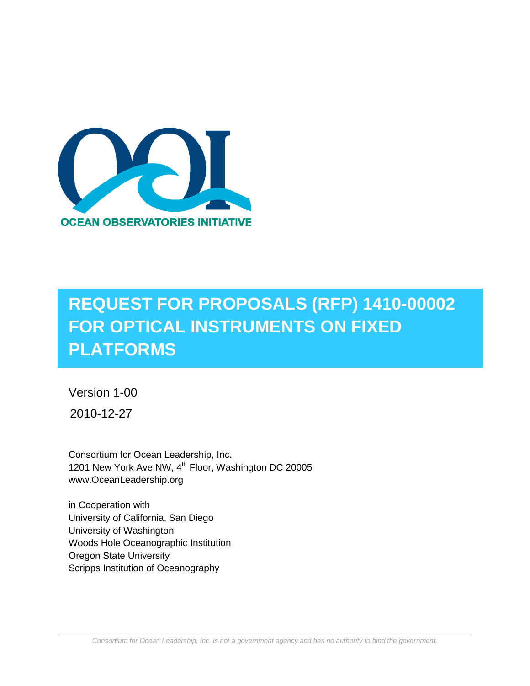

# **REQUEST FOR PROPOSALS (RFP) 1410-00002 FOR OPTICAL INSTRUMENTS ON FIXED PLATFORMS**

Version 1-00

2010-12-27

Consortium for Ocean Leadership, Inc. 1201 New York Ave NW, 4<sup>th</sup> Floor, Washington DC 20005 www.OceanLeadership.org

in Cooperation with University of California, San Diego University of Washington Woods Hole Oceanographic Institution Oregon State University Scripps Institution of Oceanography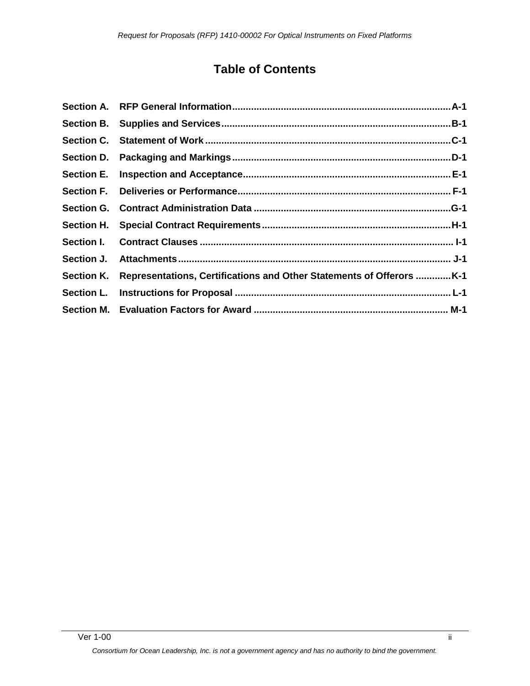# **Table of Contents**

| Section K. Representations, Certifications and Other Statements of Offerors K-1 |
|---------------------------------------------------------------------------------|
|                                                                                 |
|                                                                                 |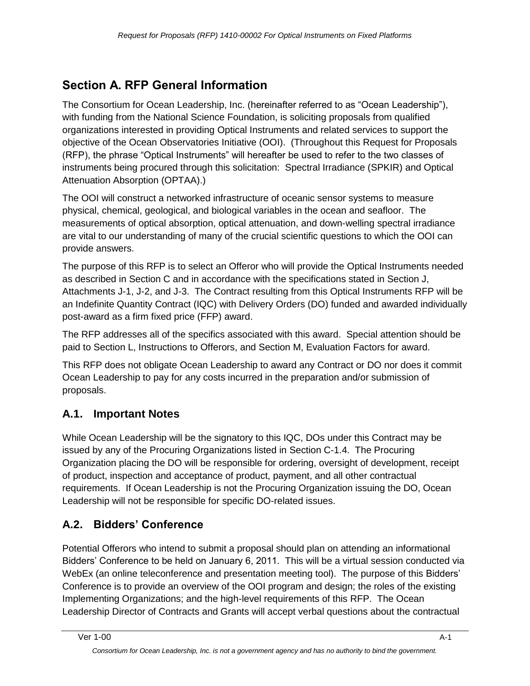# <span id="page-2-0"></span>**Section A. RFP General Information**

The Consortium for Ocean Leadership, Inc. (hereinafter referred to as "Ocean Leadership"), with funding from the National Science Foundation, is soliciting proposals from qualified organizations interested in providing Optical Instruments and related services to support the objective of the Ocean Observatories Initiative (OOI). (Throughout this Request for Proposals (RFP), the phrase "Optical Instruments" will hereafter be used to refer to the two classes of instruments being procured through this solicitation: Spectral Irradiance (SPKIR) and Optical Attenuation Absorption (OPTAA).)

The OOI will construct a networked infrastructure of oceanic sensor systems to measure physical, chemical, geological, and biological variables in the ocean and seafloor. The measurements of optical absorption, optical attenuation, and down-welling spectral irradiance are vital to our understanding of many of the crucial scientific questions to which the OOI can provide answers.

The purpose of this RFP is to select an Offeror who will provide the Optical Instruments needed as described in Section C and in accordance with the specifications stated in Section J, Attachments J-1, J-2, and J-3. The Contract resulting from this Optical Instruments RFP will be an Indefinite Quantity Contract (IQC) with Delivery Orders (DO) funded and awarded individually post-award as a firm fixed price (FFP) award.

The RFP addresses all of the specifics associated with this award. Special attention should be paid to Section L, Instructions to Offerors, and Section M, Evaluation Factors for award.

This RFP does not obligate Ocean Leadership to award any Contract or DO nor does it commit Ocean Leadership to pay for any costs incurred in the preparation and/or submission of proposals.

# **A.1. Important Notes**

While Ocean Leadership will be the signatory to this IQC, DOs under this Contract may be issued by any of the Procuring Organizations listed in Section C-1.4. The Procuring Organization placing the DO will be responsible for ordering, oversight of development, receipt of product, inspection and acceptance of product, payment, and all other contractual requirements. If Ocean Leadership is not the Procuring Organization issuing the DO, Ocean Leadership will not be responsible for specific DO-related issues.

# **A.2. Bidders' Conference**

Potential Offerors who intend to submit a proposal should plan on attending an informational Bidders' Conference to be held on January 6, 2011. This will be a virtual session conducted via WebEx (an online teleconference and presentation meeting tool). The purpose of this Bidders' Conference is to provide an overview of the OOI program and design; the roles of the existing Implementing Organizations; and the high-level requirements of this RFP. The Ocean Leadership Director of Contracts and Grants will accept verbal questions about the contractual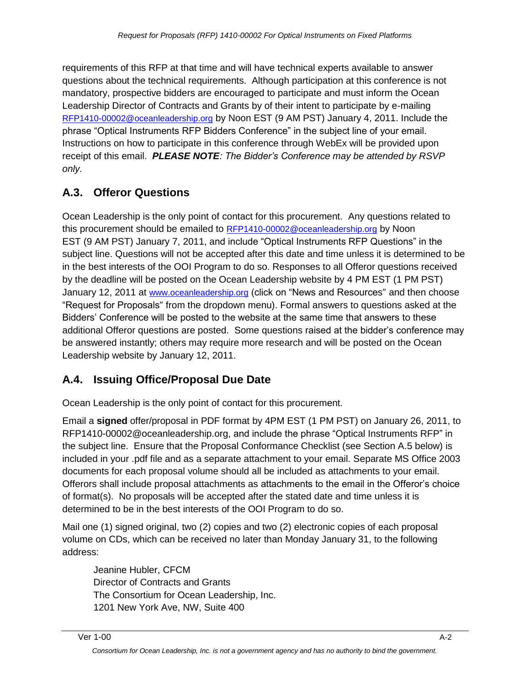requirements of this RFP at that time and will have technical experts available to answer questions about the technical requirements. Although participation at this conference is not mandatory, prospective bidders are encouraged to participate and must inform the Ocean Leadership Director of Contracts and Grants by of their intent to participate by e-mailing [RFP1410-00002@oceanleadership.org](mailto:RFP1410-00002@oceanleadership.org) by Noon EST (9 AM PST) January 4, 2011. Include the phrase "Optical Instruments RFP Bidders Conference" in the subject line of your email. Instructions on how to participate in this conference through WebEx will be provided upon receipt of this email. *PLEASE NOTE: The Bidder's Conference may be attended by RSVP only.*

# **A.3. Offeror Questions**

Ocean Leadership is the only point of contact for this procurement. Any questions related to this procurement should be emailed to [RFP1410-00002@oceanleadership.org](mailto:RFP1410-00002@oceanleadership.org) by Noon EST (9 AM PST) January 7, 2011, and include "Optical Instruments RFP Questions" in the subject line. Questions will not be accepted after this date and time unless it is determined to be in the best interests of the OOI Program to do so. Responses to all Offeror questions received by the deadline will be posted on the Ocean Leadership website by 4 PM EST (1 PM PST) January 12, 2011 at [www.oceanleadership.org](http://www.oceanleadership.org/) (click on "News and Resources" and then choose "Request for Proposals" from the dropdown menu). Formal answers to questions asked at the Bidders' Conference will be posted to the website at the same time that answers to these additional Offeror questions are posted. Some questions raised at the bidder's conference may be answered instantly; others may require more research and will be posted on the Ocean Leadership website by January 12, 2011.

### **A.4. Issuing Office/Proposal Due Date**

Ocean Leadership is the only point of contact for this procurement.

Email a **signed** offer/proposal in PDF format by 4PM EST (1 PM PST) on January 26, 2011, to RFP1410-00002@oceanleadership.org, and include the phrase "Optical Instruments RFP" in the subject line. Ensure that the Proposal Conformance Checklist (see Section A.5 below) is included in your .pdf file and as a separate attachment to your email. Separate MS Office 2003 documents for each proposal volume should all be included as attachments to your email. Offerors shall include proposal attachments as attachments to the email in the Offeror's choice of format(s). No proposals will be accepted after the stated date and time unless it is determined to be in the best interests of the OOI Program to do so.

Mail one (1) signed original, two (2) copies and two (2) electronic copies of each proposal volume on CDs, which can be received no later than Monday January 31, to the following address:

Jeanine Hubler, CFCM Director of Contracts and Grants The Consortium for Ocean Leadership, Inc. 1201 New York Ave, NW, Suite 400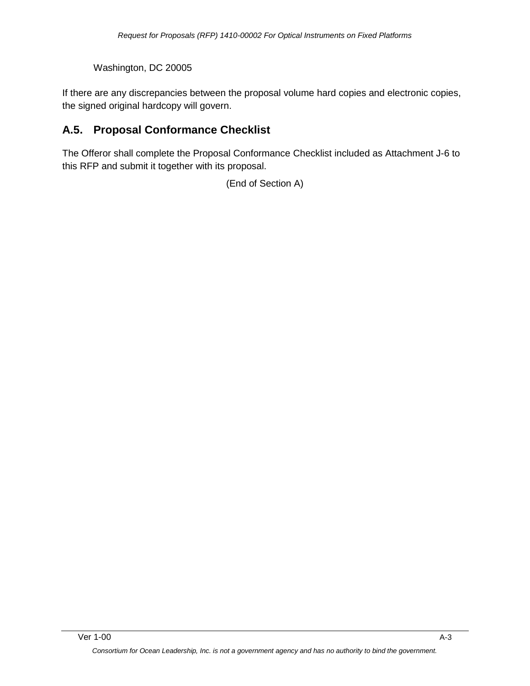Washington, DC 20005

If there are any discrepancies between the proposal volume hard copies and electronic copies, the signed original hardcopy will govern.

# **A.5. Proposal Conformance Checklist**

The Offeror shall complete the Proposal Conformance Checklist included as Attachment J-6 to this RFP and submit it together with its proposal.

(End of Section A)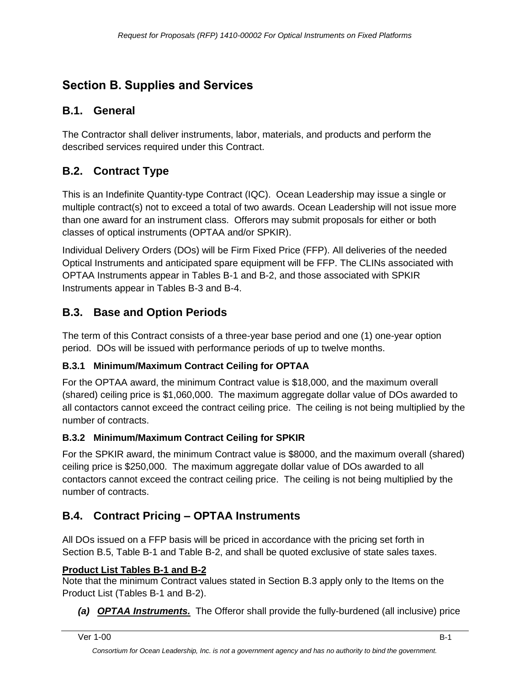# <span id="page-5-0"></span>**Section B. Supplies and Services**

# **B.1. General**

The Contractor shall deliver instruments, labor, materials, and products and perform the described services required under this Contract.

# **B.2. Contract Type**

This is an Indefinite Quantity-type Contract (IQC). Ocean Leadership may issue a single or multiple contract(s) not to exceed a total of two awards. Ocean Leadership will not issue more than one award for an instrument class. Offerors may submit proposals for either or both classes of optical instruments (OPTAA and/or SPKIR).

Individual Delivery Orders (DOs) will be Firm Fixed Price (FFP). All deliveries of the needed Optical Instruments and anticipated spare equipment will be FFP. The CLINs associated with OPTAA Instruments appear in Tables B-1 and B-2, and those associated with SPKIR Instruments appear in Tables B-3 and B-4.

### **B.3. Base and Option Periods**

The term of this Contract consists of a three-year base period and one (1) one-year option period. DOs will be issued with performance periods of up to twelve months.

#### **B.3.1 Minimum/Maximum Contract Ceiling for OPTAA**

For the OPTAA award, the minimum Contract value is \$18,000, and the maximum overall (shared) ceiling price is \$1,060,000. The maximum aggregate dollar value of DOs awarded to all contactors cannot exceed the contract ceiling price. The ceiling is not being multiplied by the number of contracts.

#### **B.3.2 Minimum/Maximum Contract Ceiling for SPKIR**

For the SPKIR award, the minimum Contract value is \$8000, and the maximum overall (shared) ceiling price is \$250,000. The maximum aggregate dollar value of DOs awarded to all contactors cannot exceed the contract ceiling price. The ceiling is not being multiplied by the number of contracts.

### **B.4. Contract Pricing – OPTAA Instruments**

All DOs issued on a FFP basis will be priced in accordance with the pricing set forth in Section B.5, Table B-1 and Table B-2, and shall be quoted exclusive of state sales taxes.

#### **Product List Tables B-1 and B-2**

Note that the minimum Contract values stated in Section B.3 apply only to the Items on the Product List (Tables B-1 and B-2).

*(a) OPTAA Instruments.* The Offeror shall provide the fully-burdened (all inclusive) price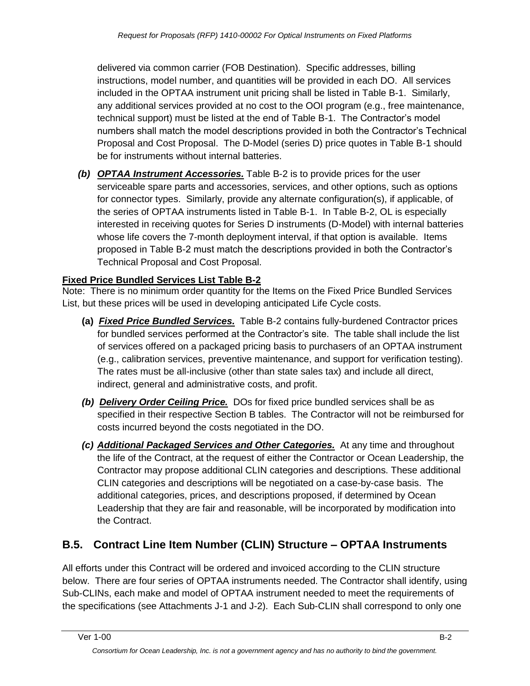delivered via common carrier (FOB Destination). Specific addresses, billing instructions, model number, and quantities will be provided in each DO. All services included in the OPTAA instrument unit pricing shall be listed in Table B-1. Similarly, any additional services provided at no cost to the OOI program (e.g., free maintenance, technical support) must be listed at the end of Table B-1. The Contractor's model numbers shall match the model descriptions provided in both the Contractor's Technical Proposal and Cost Proposal. The D-Model (series D) price quotes in Table B-1 should be for instruments without internal batteries.

*(b) OPTAA Instrument Accessories.* Table B-2 is to provide prices for the user serviceable spare parts and accessories, services, and other options, such as options for connector types. Similarly, provide any alternate configuration(s), if applicable, of the series of OPTAA instruments listed in Table B-1. In Table B-2, OL is especially interested in receiving quotes for Series D instruments (D-Model) with internal batteries whose life covers the 7-month deployment interval, if that option is available. Items proposed in Table B-2 must match the descriptions provided in both the Contractor's Technical Proposal and Cost Proposal.

#### **Fixed Price Bundled Services List Table B-2**

Note: There is no minimum order quantity for the Items on the Fixed Price Bundled Services List, but these prices will be used in developing anticipated Life Cycle costs.

- **(a)** *Fixed Price Bundled Services.* Table B-2 contains fully-burdened Contractor prices for bundled services performed at the Contractor's site. The table shall include the list of services offered on a packaged pricing basis to purchasers of an OPTAA instrument (e.g., calibration services, preventive maintenance, and support for verification testing). The rates must be all-inclusive (other than state sales tax) and include all direct, indirect, general and administrative costs, and profit.
- *(b) Delivery Order Ceiling Price.* DOs for fixed price bundled services shall be as specified in their respective Section B tables. The Contractor will not be reimbursed for costs incurred beyond the costs negotiated in the DO.
- *(c) Additional Packaged Services and Other Categories.* At any time and throughout the life of the Contract, at the request of either the Contractor or Ocean Leadership, the Contractor may propose additional CLIN categories and descriptions. These additional CLIN categories and descriptions will be negotiated on a case-by-case basis. The additional categories, prices, and descriptions proposed, if determined by Ocean Leadership that they are fair and reasonable, will be incorporated by modification into the Contract.

### **B.5. Contract Line Item Number (CLIN) Structure – OPTAA Instruments**

All efforts under this Contract will be ordered and invoiced according to the CLIN structure below. There are four series of OPTAA instruments needed. The Contractor shall identify, using Sub-CLINs, each make and model of OPTAA instrument needed to meet the requirements of the specifications (see Attachments J-1 and J-2). Each Sub-CLIN shall correspond to only one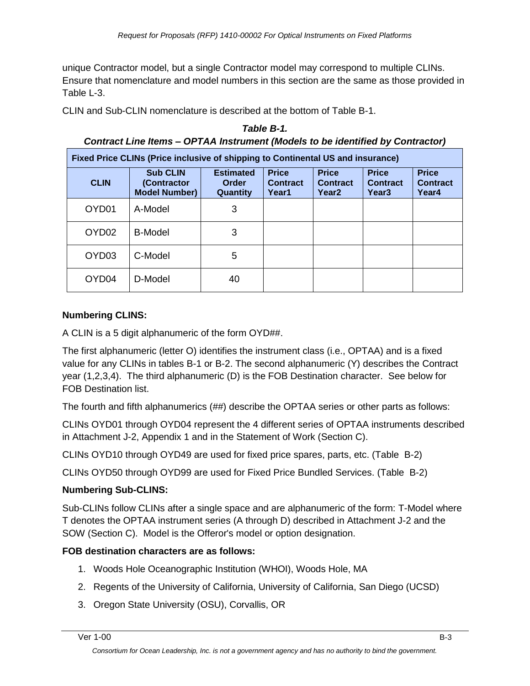unique Contractor model, but a single Contractor model may correspond to multiple CLINs. Ensure that nomenclature and model numbers in this section are the same as those provided in Table L-3.

*Table B-1.*

CLIN and Sub-CLIN nomenclature is described at the bottom of Table B-1.

|                   | Contract Line Items – OPTAA Instrument (Models to be identified by Contractor)  |                                              |                                          |                                                      |                                                      |                                          |
|-------------------|---------------------------------------------------------------------------------|----------------------------------------------|------------------------------------------|------------------------------------------------------|------------------------------------------------------|------------------------------------------|
|                   | Fixed Price CLINs (Price inclusive of shipping to Continental US and insurance) |                                              |                                          |                                                      |                                                      |                                          |
| <b>CLIN</b>       | <b>Sub CLIN</b><br>(Contractor<br><b>Model Number)</b>                          | <b>Estimated</b><br><b>Order</b><br>Quantity | <b>Price</b><br><b>Contract</b><br>Year1 | <b>Price</b><br><b>Contract</b><br>Year <sub>2</sub> | <b>Price</b><br><b>Contract</b><br>Year <sub>3</sub> | <b>Price</b><br><b>Contract</b><br>Year4 |
| OYD01             | A-Model                                                                         | 3                                            |                                          |                                                      |                                                      |                                          |
| OYD <sub>02</sub> | <b>B-Model</b>                                                                  | 3                                            |                                          |                                                      |                                                      |                                          |
| OYD <sub>03</sub> | C-Model                                                                         | 5                                            |                                          |                                                      |                                                      |                                          |
| OYD04             | D-Model                                                                         | 40                                           |                                          |                                                      |                                                      |                                          |

#### **Numbering CLINS:**

A CLIN is a 5 digit alphanumeric of the form OYD##.

The first alphanumeric (letter O) identifies the instrument class (i.e., OPTAA) and is a fixed value for any CLINs in tables B-1 or B-2. The second alphanumeric (Y) describes the Contract year (1,2,3,4). The third alphanumeric (D) is the FOB Destination character. See below for FOB Destination list.

The fourth and fifth alphanumerics (##) describe the OPTAA series or other parts as follows:

CLINs OYD01 through OYD04 represent the 4 different series of OPTAA instruments described in Attachment J-2, Appendix 1 and in the Statement of Work (Section C).

CLINs OYD10 through OYD49 are used for fixed price spares, parts, etc. (Table B-2)

CLINs OYD50 through OYD99 are used for Fixed Price Bundled Services. (Table B-2)

#### **Numbering Sub-CLINS:**

Sub-CLINs follow CLINs after a single space and are alphanumeric of the form: T-Model where T denotes the OPTAA instrument series (A through D) described in Attachment J-2 and the SOW (Section C). Model is the Offeror's model or option designation.

#### **FOB destination characters are as follows:**

- 1. Woods Hole Oceanographic Institution (WHOI), Woods Hole, MA
- 2. Regents of the University of California, University of California, San Diego (UCSD)
- 3. Oregon State University (OSU), Corvallis, OR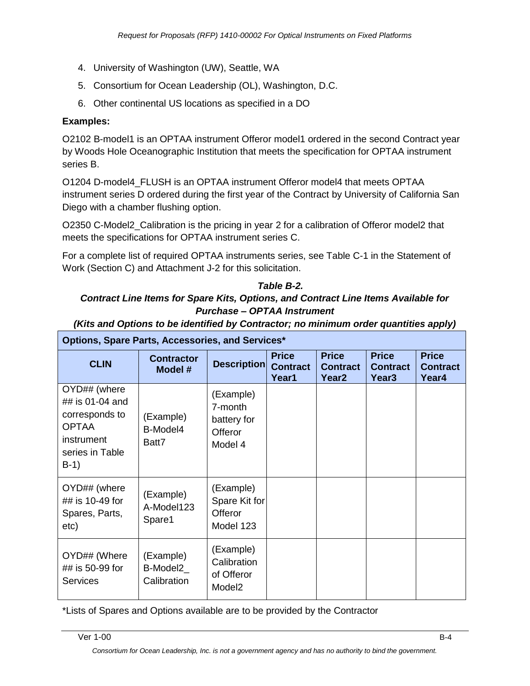- 4. University of Washington (UW), Seattle, WA
- 5. Consortium for Ocean Leadership (OL), Washington, D.C.
- 6. Other continental US locations as specified in a DO

#### **Examples:**

O2102 B-model1 is an OPTAA instrument Offeror model1 ordered in the second Contract year by Woods Hole Oceanographic Institution that meets the specification for OPTAA instrument series B.

O1204 D-model4\_FLUSH is an OPTAA instrument Offeror model4 that meets OPTAA instrument series D ordered during the first year of the Contract by University of California San Diego with a chamber flushing option.

O2350 C-Model2\_Calibration is the pricing in year 2 for a calibration of Offeror model2 that meets the specifications for OPTAA instrument series C.

For a complete list of required OPTAA instruments series, see Table C-1 in the Statement of Work (Section C) and Attachment J-2 for this solicitation.

#### *Table B-2.*

#### *Contract Line Items for Spare Kits, Options, and Contract Line Items Available for Purchase – OPTAA Instrument*

| Options, Spare Parts, Accessories, and Services*                                                             |                                      |                                                                  |                                          |                                                      |                                                      |                                          |
|--------------------------------------------------------------------------------------------------------------|--------------------------------------|------------------------------------------------------------------|------------------------------------------|------------------------------------------------------|------------------------------------------------------|------------------------------------------|
| <b>CLIN</b>                                                                                                  | <b>Contractor</b><br>Model #         | <b>Description</b>                                               | <b>Price</b><br><b>Contract</b><br>Year1 | <b>Price</b><br><b>Contract</b><br>Year <sub>2</sub> | <b>Price</b><br><b>Contract</b><br>Year <sub>3</sub> | <b>Price</b><br><b>Contract</b><br>Year4 |
| OYD## (where<br>## is 01-04 and<br>corresponds to<br><b>OPTAA</b><br>instrument<br>series in Table<br>$B-1)$ | (Example)<br>B-Model4<br>Batt7       | (Example)<br>7-month<br>battery for<br><b>Offeror</b><br>Model 4 |                                          |                                                      |                                                      |                                          |
| OYD## (where<br>## is 10-49 for<br>Spares, Parts,<br>etc)                                                    | (Example)<br>A-Model123<br>Spare1    | (Example)<br>Spare Kit for<br>Offeror<br>Model 123               |                                          |                                                      |                                                      |                                          |
| OYD## (Where<br>## is 50-99 for<br><b>Services</b>                                                           | (Example)<br>B-Model2<br>Calibration | (Example)<br>Calibration<br>of Offeror<br>Model <sub>2</sub>     |                                          |                                                      |                                                      |                                          |

*(Kits and Options to be identified by Contractor; no minimum order quantities apply)*

\*Lists of Spares and Options available are to be provided by the Contractor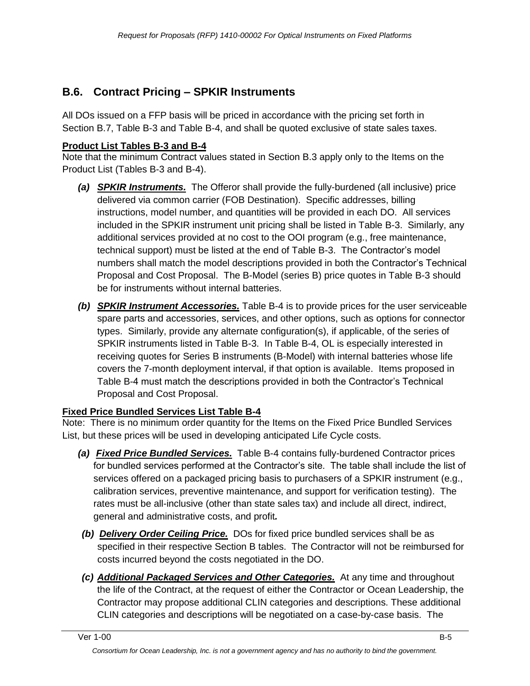# **B.6. Contract Pricing – SPKIR Instruments**

All DOs issued on a FFP basis will be priced in accordance with the pricing set forth in Section B.7, Table B-3 and Table B-4, and shall be quoted exclusive of state sales taxes.

#### **Product List Tables B-3 and B-4**

Note that the minimum Contract values stated in Section B.3 apply only to the Items on the Product List (Tables B-3 and B-4).

- *(a) SPKIR Instruments.* The Offeror shall provide the fully-burdened (all inclusive) price delivered via common carrier (FOB Destination). Specific addresses, billing instructions, model number, and quantities will be provided in each DO. All services included in the SPKIR instrument unit pricing shall be listed in Table B-3. Similarly, any additional services provided at no cost to the OOI program (e.g., free maintenance, technical support) must be listed at the end of Table B-3. The Contractor's model numbers shall match the model descriptions provided in both the Contractor's Technical Proposal and Cost Proposal. The B-Model (series B) price quotes in Table B-3 should be for instruments without internal batteries.
- *(b) SPKIR Instrument Accessories.* Table B-4 is to provide prices for the user serviceable spare parts and accessories, services, and other options, such as options for connector types. Similarly, provide any alternate configuration(s), if applicable, of the series of SPKIR instruments listed in Table B-3. In Table B-4, OL is especially interested in receiving quotes for Series B instruments (B-Model) with internal batteries whose life covers the 7-month deployment interval, if that option is available. Items proposed in Table B-4 must match the descriptions provided in both the Contractor's Technical Proposal and Cost Proposal.

### **Fixed Price Bundled Services List Table B-4**

Note: There is no minimum order quantity for the Items on the Fixed Price Bundled Services List, but these prices will be used in developing anticipated Life Cycle costs.

- *(a) Fixed Price Bundled Services.* Table B-4 contains fully-burdened Contractor prices for bundled services performed at the Contractor's site. The table shall include the list of services offered on a packaged pricing basis to purchasers of a SPKIR instrument (e.g., calibration services, preventive maintenance, and support for verification testing). The rates must be all-inclusive (other than state sales tax) and include all direct, indirect, general and administrative costs, and profit*.*
- *(b) Delivery Order Ceiling Price.* DOs for fixed price bundled services shall be as specified in their respective Section B tables. The Contractor will not be reimbursed for costs incurred beyond the costs negotiated in the DO.
- *(c) Additional Packaged Services and Other Categories.* At any time and throughout the life of the Contract, at the request of either the Contractor or Ocean Leadership, the Contractor may propose additional CLIN categories and descriptions. These additional CLIN categories and descriptions will be negotiated on a case-by-case basis. The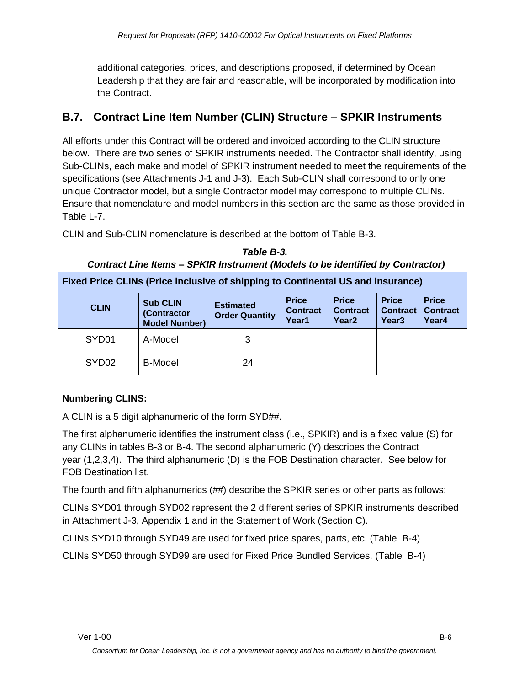additional categories, prices, and descriptions proposed, if determined by Ocean Leadership that they are fair and reasonable, will be incorporated by modification into the Contract.

# **B.7. Contract Line Item Number (CLIN) Structure – SPKIR Instruments**

All efforts under this Contract will be ordered and invoiced according to the CLIN structure below. There are two series of SPKIR instruments needed. The Contractor shall identify, using Sub-CLINs, each make and model of SPKIR instrument needed to meet the requirements of the specifications (see Attachments J-1 and J-3). Each Sub-CLIN shall correspond to only one unique Contractor model, but a single Contractor model may correspond to multiple CLINs. Ensure that nomenclature and model numbers in this section are the same as those provided in Table L-7.

CLIN and Sub-CLIN nomenclature is described at the bottom of Table B-3.

| <b>Fixed Price CLINs (Price inclusive of shipping to Continental US and insurance)</b> |                                                        |                                           |                                          |                                                      |                                                      |                                          |
|----------------------------------------------------------------------------------------|--------------------------------------------------------|-------------------------------------------|------------------------------------------|------------------------------------------------------|------------------------------------------------------|------------------------------------------|
| <b>CLIN</b>                                                                            | <b>Sub CLIN</b><br>(Contractor<br><b>Model Number)</b> | <b>Estimated</b><br><b>Order Quantity</b> | <b>Price</b><br><b>Contract</b><br>Year1 | <b>Price</b><br><b>Contract</b><br>Year <sub>2</sub> | <b>Price</b><br><b>Contract</b><br>Year <sub>3</sub> | <b>Price</b><br><b>Contract</b><br>Year4 |
| SYD01                                                                                  | A-Model                                                | 3                                         |                                          |                                                      |                                                      |                                          |
| SYD <sub>02</sub>                                                                      | <b>B-Model</b>                                         | 24                                        |                                          |                                                      |                                                      |                                          |

*Table B-3. Contract Line Items – SPKIR Instrument (Models to be identified by Contractor)*

### **Numbering CLINS:**

A CLIN is a 5 digit alphanumeric of the form SYD##.

The first alphanumeric identifies the instrument class (i.e., SPKIR) and is a fixed value (S) for any CLINs in tables B-3 or B-4. The second alphanumeric (Y) describes the Contract year (1,2,3,4). The third alphanumeric (D) is the FOB Destination character. See below for FOB Destination list.

The fourth and fifth alphanumerics (##) describe the SPKIR series or other parts as follows:

CLINs SYD01 through SYD02 represent the 2 different series of SPKIR instruments described in Attachment J-3, Appendix 1 and in the Statement of Work (Section C).

CLINs SYD10 through SYD49 are used for fixed price spares, parts, etc. (Table B-4)

CLINs SYD50 through SYD99 are used for Fixed Price Bundled Services. (Table B-4)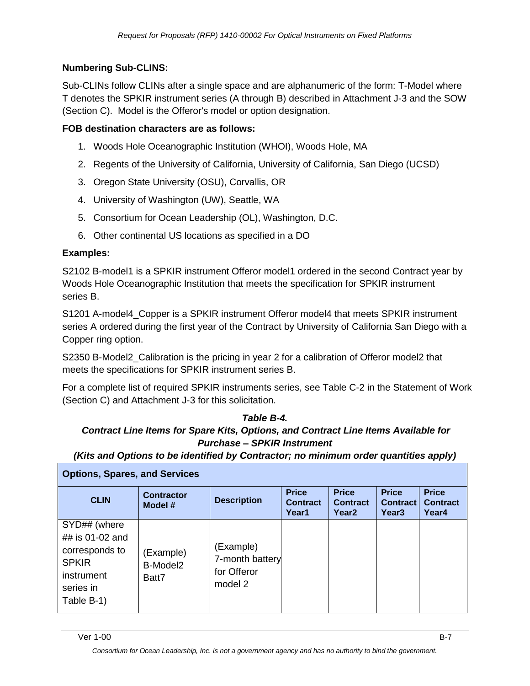#### **Numbering Sub-CLINS:**

Sub-CLINs follow CLINs after a single space and are alphanumeric of the form: T-Model where T denotes the SPKIR instrument series (A through B) described in Attachment J-3 and the SOW (Section C). Model is the Offeror's model or option designation.

#### **FOB destination characters are as follows:**

- 1. Woods Hole Oceanographic Institution (WHOI), Woods Hole, MA
- 2. Regents of the University of California, University of California, San Diego (UCSD)
- 3. Oregon State University (OSU), Corvallis, OR
- 4. University of Washington (UW), Seattle, WA
- 5. Consortium for Ocean Leadership (OL), Washington, D.C.
- 6. Other continental US locations as specified in a DO

#### **Examples:**

S2102 B-model1 is a SPKIR instrument Offeror model1 ordered in the second Contract year by Woods Hole Oceanographic Institution that meets the specification for SPKIR instrument series B.

S1201 A-model4\_Copper is a SPKIR instrument Offeror model4 that meets SPKIR instrument series A ordered during the first year of the Contract by University of California San Diego with a Copper ring option.

S2350 B-Model2\_Calibration is the pricing in year 2 for a calibration of Offeror model2 that meets the specifications for SPKIR instrument series B.

For a complete list of required SPKIR instruments series, see Table C-2 in the Statement of Work (Section C) and Attachment J-3 for this solicitation.

#### *Table B-4. Contract Line Items for Spare Kits, Options, and Contract Line Items Available for Purchase – SPKIR Instrument*

*(Kits and Options to be identified by Contractor; no minimum order quantities apply)*

| <b>Options, Spares, and Services</b>                                                                       |                                            |                                                        |                                          |                                                      |                                                      |                                          |
|------------------------------------------------------------------------------------------------------------|--------------------------------------------|--------------------------------------------------------|------------------------------------------|------------------------------------------------------|------------------------------------------------------|------------------------------------------|
| <b>CLIN</b>                                                                                                | <b>Contractor</b><br>Model #               | <b>Description</b>                                     | <b>Price</b><br><b>Contract</b><br>Year1 | <b>Price</b><br><b>Contract</b><br>Year <sub>2</sub> | <b>Price</b><br><b>Contract</b><br>Year <sub>3</sub> | <b>Price</b><br><b>Contract</b><br>Year4 |
| SYD## (where<br>## is 01-02 and<br>corresponds to<br><b>SPKIR</b><br>instrument<br>series in<br>Table B-1) | (Example)<br>B-Model <sub>2</sub><br>Batt7 | (Example)<br>7-month battery<br>for Offeror<br>model 2 |                                          |                                                      |                                                      |                                          |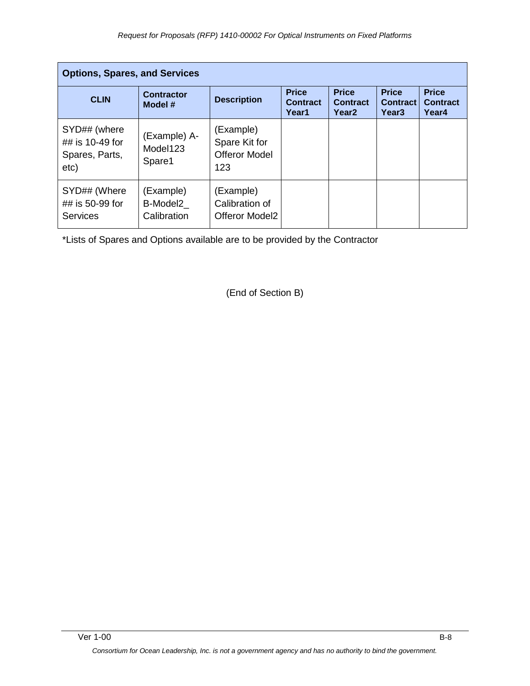|                                                           | <b>Options, Spares, and Services</b> |                                                           |                                          |                                                      |                                                      |                                          |
|-----------------------------------------------------------|--------------------------------------|-----------------------------------------------------------|------------------------------------------|------------------------------------------------------|------------------------------------------------------|------------------------------------------|
| <b>CLIN</b>                                               | <b>Contractor</b><br>Model #         | <b>Description</b>                                        | <b>Price</b><br><b>Contract</b><br>Year1 | <b>Price</b><br><b>Contract</b><br>Year <sub>2</sub> | <b>Price</b><br><b>Contract</b><br>Year <sub>3</sub> | <b>Price</b><br><b>Contract</b><br>Year4 |
| SYD## (where<br>## is 10-49 for<br>Spares, Parts,<br>etc) | (Example) A-<br>Model123<br>Spare1   | (Example)<br>Spare Kit for<br><b>Offeror Model</b><br>123 |                                          |                                                      |                                                      |                                          |
| SYD## (Where<br>## is 50-99 for<br><b>Services</b>        | (Example)<br>B-Model2<br>Calibration | (Example)<br>Calibration of<br>Offeror Model2             |                                          |                                                      |                                                      |                                          |

\*Lists of Spares and Options available are to be provided by the Contractor

(End of Section B)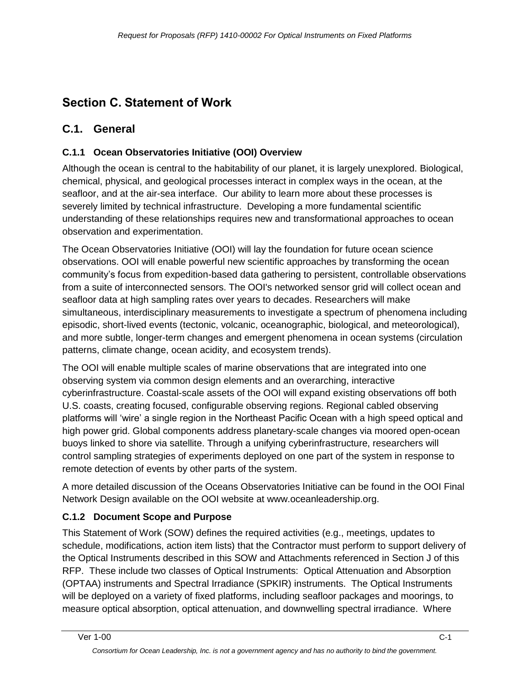# <span id="page-13-0"></span>**Section C. Statement of Work**

# **C.1. General**

### **C.1.1 Ocean Observatories Initiative (OOI) Overview**

Although the ocean is central to the habitability of our planet, it is largely unexplored. Biological, chemical, physical, and geological processes interact in complex ways in the ocean, at the seafloor, and at the air-sea interface. Our ability to learn more about these processes is severely limited by technical infrastructure. Developing a more fundamental scientific understanding of these relationships requires new and transformational approaches to ocean observation and experimentation.

The Ocean Observatories Initiative (OOI) will lay the foundation for future ocean science observations. OOI will enable powerful new scientific approaches by transforming the ocean community's focus from expedition-based data gathering to persistent, controllable observations from a suite of interconnected sensors. The OOI's networked sensor grid will collect ocean and seafloor data at high sampling rates over years to decades. Researchers will make simultaneous, interdisciplinary measurements to investigate a spectrum of phenomena including episodic, short-lived events (tectonic, volcanic, oceanographic, biological, and meteorological), and more subtle, longer-term changes and emergent phenomena in ocean systems (circulation patterns, climate change, ocean acidity, and ecosystem trends).

The OOI will enable multiple scales of marine observations that are integrated into one observing system via common design elements and an overarching, interactive cyberinfrastructure. Coastal-scale assets of the OOI will expand existing observations off both U.S. coasts, creating focused, configurable observing regions. Regional cabled observing platforms will ‗wire' a single region in the Northeast Pacific Ocean with a high speed optical and high power grid. Global components address planetary-scale changes via moored open-ocean buoys linked to shore via satellite. Through a unifying cyberinfrastructure, researchers will control sampling strategies of experiments deployed on one part of the system in response to remote detection of events by other parts of the system.

A more detailed discussion of the Oceans Observatories Initiative can be found in the OOI Final Network Design available on the OOI website at www.oceanleadership.org.

### **C.1.2 Document Scope and Purpose**

This Statement of Work (SOW) defines the required activities (e.g., meetings, updates to schedule, modifications, action item lists) that the Contractor must perform to support delivery of the Optical Instruments described in this SOW and Attachments referenced in Section J of this RFP. These include two classes of Optical Instruments: Optical Attenuation and Absorption (OPTAA) instruments and Spectral Irradiance (SPKIR) instruments. The Optical Instruments will be deployed on a variety of fixed platforms, including seafloor packages and moorings, to measure optical absorption, optical attenuation, and downwelling spectral irradiance. Where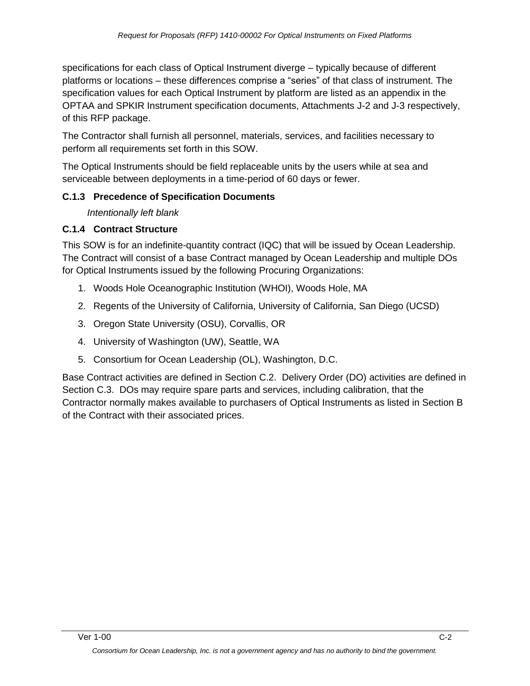specifications for each class of Optical Instrument diverge – typically because of different platforms or locations – these differences comprise a "series" of that class of instrument. The specification values for each Optical Instrument by platform are listed as an appendix in the OPTAA and SPKIR Instrument specification documents, Attachments J-2 and J-3 respectively, of this RFP package.

The Contractor shall furnish all personnel, materials, services, and facilities necessary to perform all requirements set forth in this SOW.

The Optical Instruments should be field replaceable units by the users while at sea and serviceable between deployments in a time-period of 60 days or fewer.

#### **C.1.3 Precedence of Specification Documents**

*Intentionally left blank*

#### **C.1.4 Contract Structure**

This SOW is for an indefinite-quantity contract (IQC) that will be issued by Ocean Leadership. The Contract will consist of a base Contract managed by Ocean Leadership and multiple DOs for Optical Instruments issued by the following Procuring Organizations:

- 1. Woods Hole Oceanographic Institution (WHOI), Woods Hole, MA
- 2. Regents of the University of California, University of California, San Diego (UCSD)
- 3. Oregon State University (OSU), Corvallis, OR
- 4. University of Washington (UW), Seattle, WA
- 5. Consortium for Ocean Leadership (OL), Washington, D.C.

Base Contract activities are defined in Section C.2. Delivery Order (DO) activities are defined in Section C.3. DOs may require spare parts and services, including calibration, that the Contractor normally makes available to purchasers of Optical Instruments as listed in Section B of the Contract with their associated prices.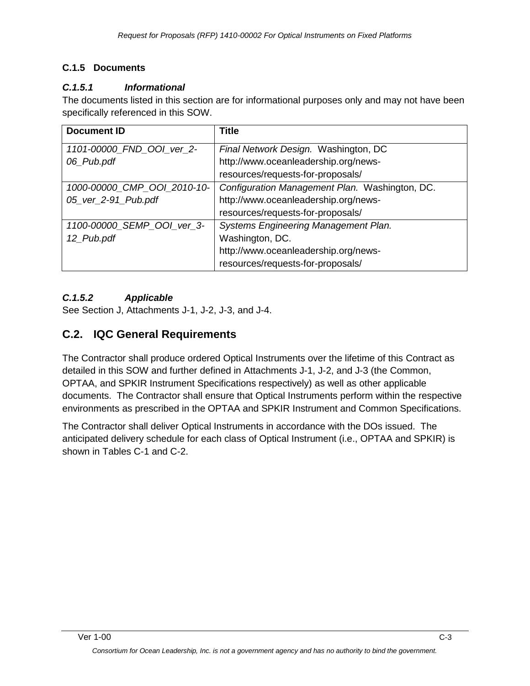#### **C.1.5 Documents**

#### *C.1.5.1 Informational*

The documents listed in this section are for informational purposes only and may not have been specifically referenced in this SOW.

| <b>Document ID</b>          | <b>Title</b>                                   |
|-----------------------------|------------------------------------------------|
| 1101-00000_FND_OOI_ver_2-   | Final Network Design. Washington, DC           |
| 06_Pub.pdf                  | http://www.oceanleadership.org/news-           |
|                             | resources/requests-for-proposals/              |
| 1000-00000_CMP_OOI_2010-10- | Configuration Management Plan. Washington, DC. |
| 05_ver_2-91_Pub.pdf         | http://www.oceanleadership.org/news-           |
|                             | resources/requests-for-proposals/              |
| 1100-00000_SEMP_OOI_ver_3-  | Systems Engineering Management Plan.           |
| 12_Pub.pdf                  | Washington, DC.                                |
|                             | http://www.oceanleadership.org/news-           |
|                             | resources/requests-for-proposals/              |

### *C.1.5.2 Applicable*

See Section J, Attachments J-1, J-2, J-3, and J-4.

# **C.2. IQC General Requirements**

The Contractor shall produce ordered Optical Instruments over the lifetime of this Contract as detailed in this SOW and further defined in Attachments J-1, J-2, and J-3 (the Common, OPTAA, and SPKIR Instrument Specifications respectively) as well as other applicable documents. The Contractor shall ensure that Optical Instruments perform within the respective environments as prescribed in the OPTAA and SPKIR Instrument and Common Specifications.

The Contractor shall deliver Optical Instruments in accordance with the DOs issued. The anticipated delivery schedule for each class of Optical Instrument (i.e., OPTAA and SPKIR) is shown in Tables C-1 and C-2.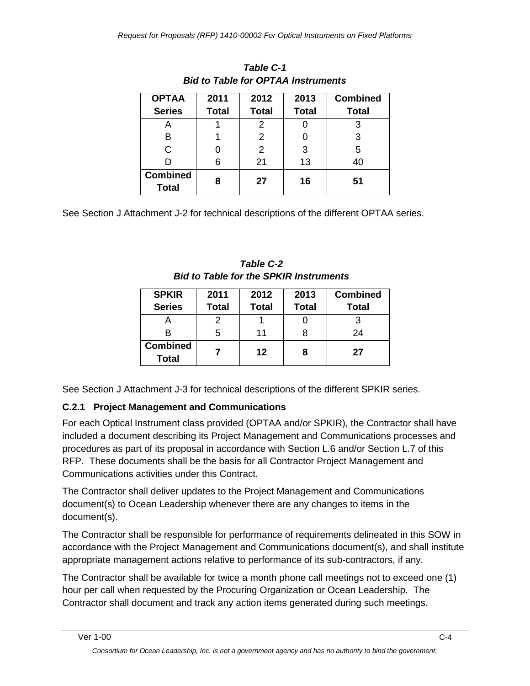| <b>OPTAA</b><br><b>Series</b>   | 2011<br><b>Total</b> | 2012<br><b>Total</b> | 2013<br><b>Total</b> | <b>Combined</b><br><b>Total</b> |
|---------------------------------|----------------------|----------------------|----------------------|---------------------------------|
| A                               |                      | 2                    |                      | 3                               |
| B                               |                      | 2                    |                      | 3                               |
| С                               |                      | 2                    | 3                    | 5                               |
|                                 | 6                    | 21                   | 13                   | 40                              |
| <b>Combined</b><br><b>Total</b> | 8                    | 27                   | 16                   | 51                              |

*Table C-1 Bid to Table for OPTAA Instruments*

See Section J Attachment J-2 for technical descriptions of the different OPTAA series.

| <b>Table C-2</b>                              |
|-----------------------------------------------|
| <b>Bid to Table for the SPKIR Instruments</b> |

| <b>SPKIR</b>                    | 2011         | 2012         | 2013         | <b>Combined</b> |
|---------------------------------|--------------|--------------|--------------|-----------------|
| <b>Series</b>                   | <b>Total</b> | <b>Total</b> | <b>Total</b> | <b>Total</b>    |
|                                 |              |              |              |                 |
| в                               | 5            | 11           |              | 24              |
| <b>Combined</b><br><b>Total</b> |              | 12           |              | 27              |

See Section J Attachment J-3 for technical descriptions of the different SPKIR series.

### **C.2.1 Project Management and Communications**

For each Optical Instrument class provided (OPTAA and/or SPKIR), the Contractor shall have included a document describing its Project Management and Communications processes and procedures as part of its proposal in accordance with Section L.6 and/or Section L.7 of this RFP. These documents shall be the basis for all Contractor Project Management and Communications activities under this Contract.

The Contractor shall deliver updates to the Project Management and Communications document(s) to Ocean Leadership whenever there are any changes to items in the document(s).

The Contractor shall be responsible for performance of requirements delineated in this SOW in accordance with the Project Management and Communications document(s), and shall institute appropriate management actions relative to performance of its sub-contractors, if any.

The Contractor shall be available for twice a month phone call meetings not to exceed one (1) hour per call when requested by the Procuring Organization or Ocean Leadership. The Contractor shall document and track any action items generated during such meetings.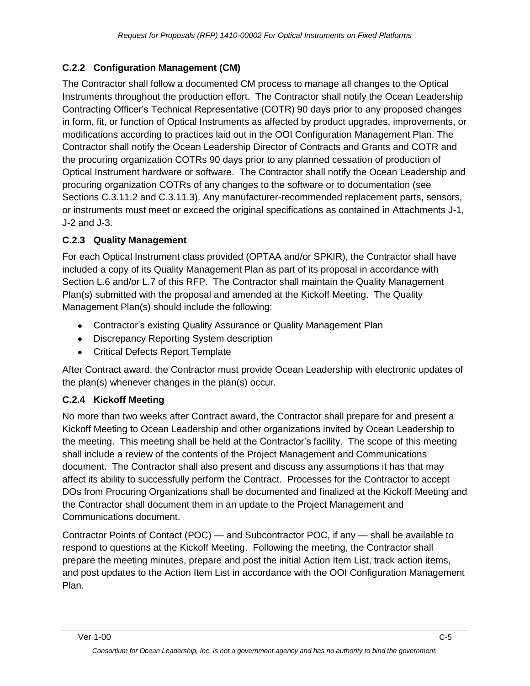### **C.2.2 Configuration Management (CM)**

The Contractor shall follow a documented CM process to manage all changes to the Optical Instruments throughout the production effort. The Contractor shall notify the Ocean Leadership Contracting Officer's Technical Representative (COTR) 90 days prior to any proposed changes in form, fit, or function of Optical Instruments as affected by product upgrades, improvements, or modifications according to practices laid out in the OOI Configuration Management Plan. The Contractor shall notify the Ocean Leadership Director of Contracts and Grants and COTR and the procuring organization COTRs 90 days prior to any planned cessation of production of Optical Instrument hardware or software. The Contractor shall notify the Ocean Leadership and procuring organization COTRs of any changes to the software or to documentation (see Sections C.3.11.2 and C.3.11.3). Any manufacturer-recommended replacement parts, sensors, or instruments must meet or exceed the original specifications as contained in Attachments J-1, J-2 and J-3.

#### **C.2.3 Quality Management**

For each Optical Instrument class provided (OPTAA and/or SPKIR), the Contractor shall have included a copy of its Quality Management Plan as part of its proposal in accordance with Section L.6 and/or L.7 of this RFP. The Contractor shall maintain the Quality Management Plan(s) submitted with the proposal and amended at the Kickoff Meeting. The Quality Management Plan(s) should include the following:

- Contractor's existing Quality Assurance or Quality Management Plan
- Discrepancy Reporting System description
- Critical Defects Report Template

After Contract award, the Contractor must provide Ocean Leadership with electronic updates of the plan(s) whenever changes in the plan(s) occur.

### **C.2.4 Kickoff Meeting**

No more than two weeks after Contract award, the Contractor shall prepare for and present a Kickoff Meeting to Ocean Leadership and other organizations invited by Ocean Leadership to the meeting. This meeting shall be held at the Contractor's facility. The scope of this meeting shall include a review of the contents of the Project Management and Communications document. The Contractor shall also present and discuss any assumptions it has that may affect its ability to successfully perform the Contract. Processes for the Contractor to accept DOs from Procuring Organizations shall be documented and finalized at the Kickoff Meeting and the Contractor shall document them in an update to the Project Management and Communications document.

Contractor Points of Contact (POC) — and Subcontractor POC, if any — shall be available to respond to questions at the Kickoff Meeting. Following the meeting, the Contractor shall prepare the meeting minutes, prepare and post the initial Action Item List, track action items, and post updates to the Action Item List in accordance with the OOI Configuration Management Plan.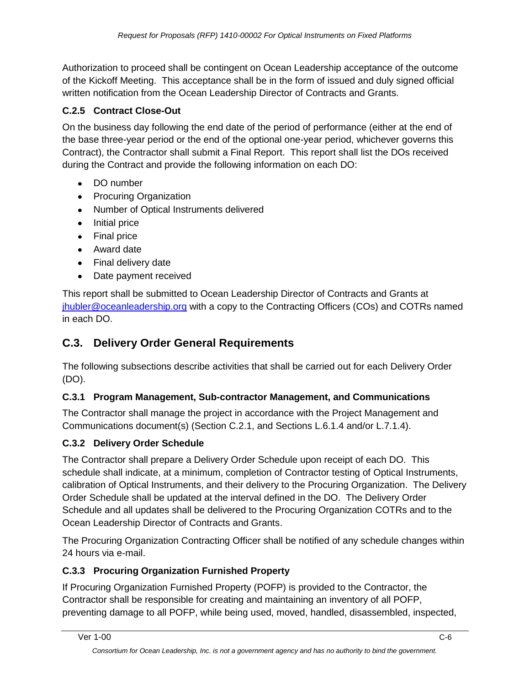Authorization to proceed shall be contingent on Ocean Leadership acceptance of the outcome of the Kickoff Meeting. This acceptance shall be in the form of issued and duly signed official written notification from the Ocean Leadership Director of Contracts and Grants.

### **C.2.5 Contract Close-Out**

On the business day following the end date of the period of performance (either at the end of the base three-year period or the end of the optional one-year period, whichever governs this Contract), the Contractor shall submit a Final Report. This report shall list the DOs received during the Contract and provide the following information on each DO:

- DO number
- Procuring Organization
- Number of Optical Instruments delivered
- Initial price
- Final price
- Award date
- Final delivery date
- Date payment received

This report shall be submitted to Ocean Leadership Director of Contracts and Grants at [jhubler@oceanleadership.org](mailto:jhubler@oceanleadership.org) with a copy to the Contracting Officers (COs) and COTRs named in each DO.

# **C.3. Delivery Order General Requirements**

The following subsections describe activities that shall be carried out for each Delivery Order (DO).

### **C.3.1 Program Management, Sub-contractor Management, and Communications**

The Contractor shall manage the project in accordance with the Project Management and Communications document(s) (Section C.2.1, and Sections L.6.1.4 and/or L.7.1.4).

### **C.3.2 Delivery Order Schedule**

The Contractor shall prepare a Delivery Order Schedule upon receipt of each DO. This schedule shall indicate, at a minimum, completion of Contractor testing of Optical Instruments, calibration of Optical Instruments, and their delivery to the Procuring Organization. The Delivery Order Schedule shall be updated at the interval defined in the DO. The Delivery Order Schedule and all updates shall be delivered to the Procuring Organization COTRs and to the Ocean Leadership Director of Contracts and Grants.

The Procuring Organization Contracting Officer shall be notified of any schedule changes within 24 hours via e-mail.

### **C.3.3 Procuring Organization Furnished Property**

If Procuring Organization Furnished Property (POFP) is provided to the Contractor, the Contractor shall be responsible for creating and maintaining an inventory of all POFP, preventing damage to all POFP, while being used, moved, handled, disassembled, inspected,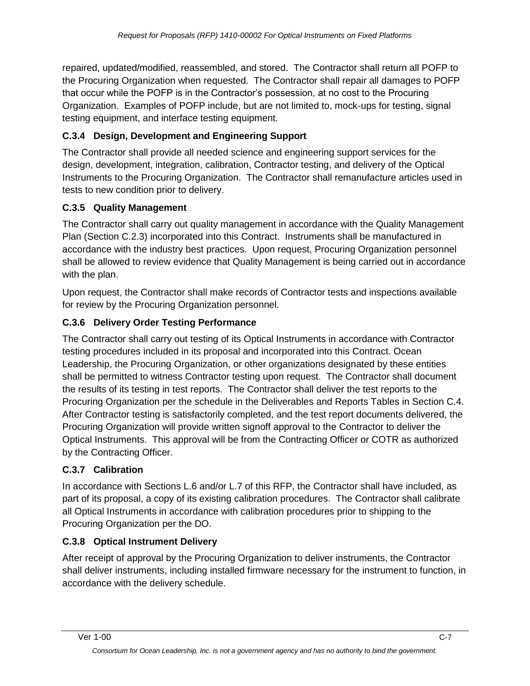repaired, updated/modified, reassembled, and stored. The Contractor shall return all POFP to the Procuring Organization when requested. The Contractor shall repair all damages to POFP that occur while the POFP is in the Contractor's possession, at no cost to the Procuring Organization. Examples of POFP include, but are not limited to, mock-ups for testing, signal testing equipment, and interface testing equipment.

### **C.3.4 Design, Development and Engineering Support**

The Contractor shall provide all needed science and engineering support services for the design, development, integration, calibration, Contractor testing, and delivery of the Optical Instruments to the Procuring Organization. The Contractor shall remanufacture articles used in tests to new condition prior to delivery.

### **C.3.5 Quality Management**

The Contractor shall carry out quality management in accordance with the Quality Management Plan (Section C.2.3) incorporated into this Contract. Instruments shall be manufactured in accordance with the industry best practices. Upon request, Procuring Organization personnel shall be allowed to review evidence that Quality Management is being carried out in accordance with the plan.

Upon request, the Contractor shall make records of Contractor tests and inspections available for review by the Procuring Organization personnel.

### **C.3.6 Delivery Order Testing Performance**

The Contractor shall carry out testing of its Optical Instruments in accordance with Contractor testing procedures included in its proposal and incorporated into this Contract. Ocean Leadership, the Procuring Organization, or other organizations designated by these entities shall be permitted to witness Contractor testing upon request. The Contractor shall document the results of its testing in test reports. The Contractor shall deliver the test reports to the Procuring Organization per the schedule in the Deliverables and Reports Tables in Section C.4. After Contractor testing is satisfactorily completed, and the test report documents delivered, the Procuring Organization will provide written signoff approval to the Contractor to deliver the Optical Instruments. This approval will be from the Contracting Officer or COTR as authorized by the Contracting Officer.

### **C.3.7 Calibration**

In accordance with Sections L.6 and/or L.7 of this RFP, the Contractor shall have included, as part of its proposal, a copy of its existing calibration procedures. The Contractor shall calibrate all Optical Instruments in accordance with calibration procedures prior to shipping to the Procuring Organization per the DO.

### **C.3.8 Optical Instrument Delivery**

After receipt of approval by the Procuring Organization to deliver instruments, the Contractor shall deliver instruments, including installed firmware necessary for the instrument to function, in accordance with the delivery schedule.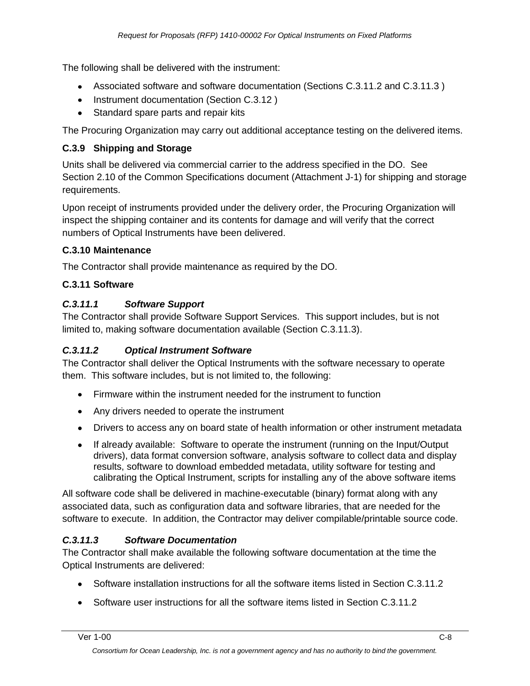The following shall be delivered with the instrument:

- Associated software and software documentation (Sections C.3.11.2 and C.3.11.3 )
- Instrument documentation (Section C.3.12)
- Standard spare parts and repair kits

The Procuring Organization may carry out additional acceptance testing on the delivered items.

#### **C.3.9 Shipping and Storage**

Units shall be delivered via commercial carrier to the address specified in the DO. See Section 2.10 of the Common Specifications document (Attachment J-1) for shipping and storage requirements.

Upon receipt of instruments provided under the delivery order, the Procuring Organization will inspect the shipping container and its contents for damage and will verify that the correct numbers of Optical Instruments have been delivered.

#### **C.3.10 Maintenance**

The Contractor shall provide maintenance as required by the DO.

#### **C.3.11 Software**

#### *C.3.11.1 Software Support*

The Contractor shall provide Software Support Services. This support includes, but is not limited to, making software documentation available (Section C.3.11.3).

#### *C.3.11.2 Optical Instrument Software*

The Contractor shall deliver the Optical Instruments with the software necessary to operate them. This software includes, but is not limited to, the following:

- Firmware within the instrument needed for the instrument to function
- Any drivers needed to operate the instrument
- Drivers to access any on board state of health information or other instrument metadata
- If already available: Software to operate the instrument (running on the Input/Output  $\bullet$ drivers), data format conversion software, analysis software to collect data and display results, software to download embedded metadata, utility software for testing and calibrating the Optical Instrument, scripts for installing any of the above software items

All software code shall be delivered in machine-executable (binary) format along with any associated data, such as configuration data and software libraries, that are needed for the software to execute. In addition, the Contractor may deliver compilable/printable source code.

#### *C.3.11.3 Software Documentation*

The Contractor shall make available the following software documentation at the time the Optical Instruments are delivered:

- Software installation instructions for all the software items listed in Section C.3.11.2
- Software user instructions for all the software items listed in Section C.3.11.2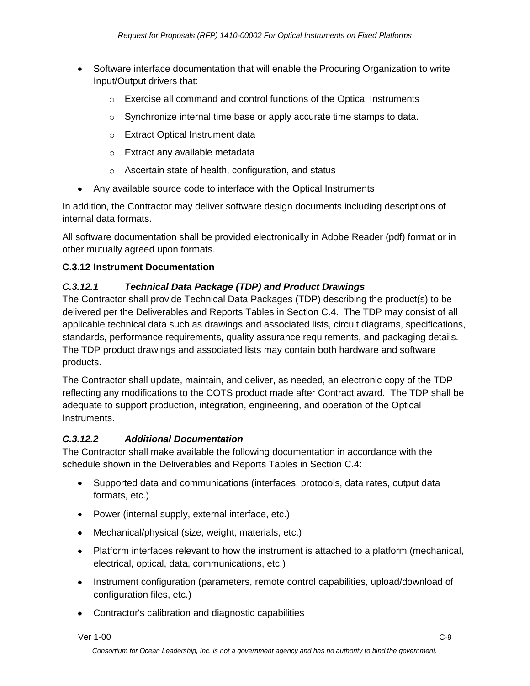- Software interface documentation that will enable the Procuring Organization to write Input/Output drivers that:
	- $\circ$  Exercise all command and control functions of the Optical Instruments
	- $\circ$  Synchronize internal time base or apply accurate time stamps to data.
	- o Extract Optical Instrument data
	- o Extract any available metadata
	- o Ascertain state of health, configuration, and status
- Any available source code to interface with the Optical Instruments

In addition, the Contractor may deliver software design documents including descriptions of internal data formats.

All software documentation shall be provided electronically in Adobe Reader (pdf) format or in other mutually agreed upon formats.

#### **C.3.12 Instrument Documentation**

#### *C.3.12.1 Technical Data Package (TDP) and Product Drawings*

The Contractor shall provide Technical Data Packages (TDP) describing the product(s) to be delivered per the Deliverables and Reports Tables in Section C.4. The TDP may consist of all applicable technical data such as drawings and associated lists, circuit diagrams, specifications, standards, performance requirements, quality assurance requirements, and packaging details. The TDP product drawings and associated lists may contain both hardware and software products.

The Contractor shall update, maintain, and deliver, as needed, an electronic copy of the TDP reflecting any modifications to the COTS product made after Contract award. The TDP shall be adequate to support production, integration, engineering, and operation of the Optical Instruments.

#### *C.3.12.2 Additional Documentation*

The Contractor shall make available the following documentation in accordance with the schedule shown in the Deliverables and Reports Tables in Section C.4:

- Supported data and communications (interfaces, protocols, data rates, output data formats, etc.)
- Power (internal supply, external interface, etc.)
- Mechanical/physical (size, weight, materials, etc.)
- Platform interfaces relevant to how the instrument is attached to a platform (mechanical, electrical, optical, data, communications, etc.)
- Instrument configuration (parameters, remote control capabilities, upload/download of configuration files, etc.)
- Contractor's calibration and diagnostic capabilities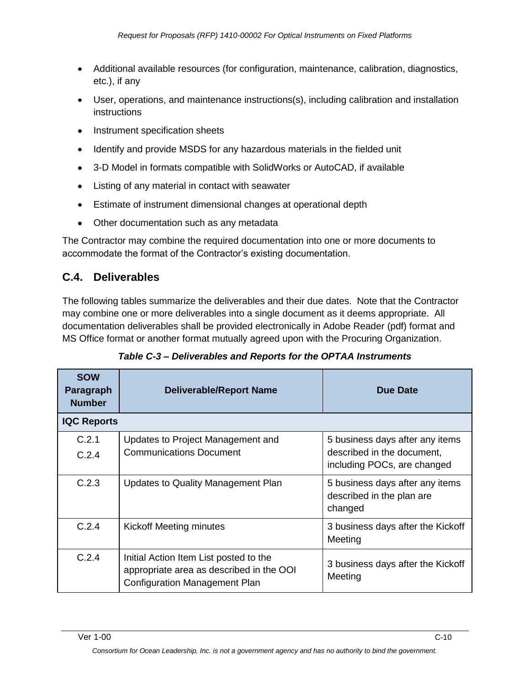- Additional available resources (for configuration, maintenance, calibration, diagnostics, etc.), if any
- User, operations, and maintenance instructions(s), including calibration and installation instructions
- Instrument specification sheets
- Identify and provide MSDS for any hazardous materials in the fielded unit
- 3-D Model in formats compatible with SolidWorks or AutoCAD, if available
- Listing of any material in contact with seawater
- Estimate of instrument dimensional changes at operational depth
- Other documentation such as any metadata

The Contractor may combine the required documentation into one or more documents to accommodate the format of the Contractor's existing documentation.

# **C.4. Deliverables**

The following tables summarize the deliverables and their due dates. Note that the Contractor may combine one or more deliverables into a single document as it deems appropriate. All documentation deliverables shall be provided electronically in Adobe Reader (pdf) format and MS Office format or another format mutually agreed upon with the Procuring Organization.

| <b>SOW</b><br>Paragraph<br><b>Number</b> | <b>Deliverable/Report Name</b>                                                                                             | Due Date                                                                                     |  |  |
|------------------------------------------|----------------------------------------------------------------------------------------------------------------------------|----------------------------------------------------------------------------------------------|--|--|
| <b>IQC Reports</b>                       |                                                                                                                            |                                                                                              |  |  |
| C.2.1<br>C.2.4                           | Updates to Project Management and<br><b>Communications Document</b>                                                        | 5 business days after any items<br>described in the document,<br>including POCs, are changed |  |  |
| C.2.3                                    | Updates to Quality Management Plan                                                                                         | 5 business days after any items<br>described in the plan are<br>changed                      |  |  |
| C.2.4                                    | Kickoff Meeting minutes                                                                                                    | 3 business days after the Kickoff<br>Meeting                                                 |  |  |
| C.2.4                                    | Initial Action Item List posted to the<br>appropriate area as described in the OOI<br><b>Configuration Management Plan</b> | 3 business days after the Kickoff<br>Meeting                                                 |  |  |

| Table C-3 – Deliverables and Reports for the OPTAA Instruments |
|----------------------------------------------------------------|
|----------------------------------------------------------------|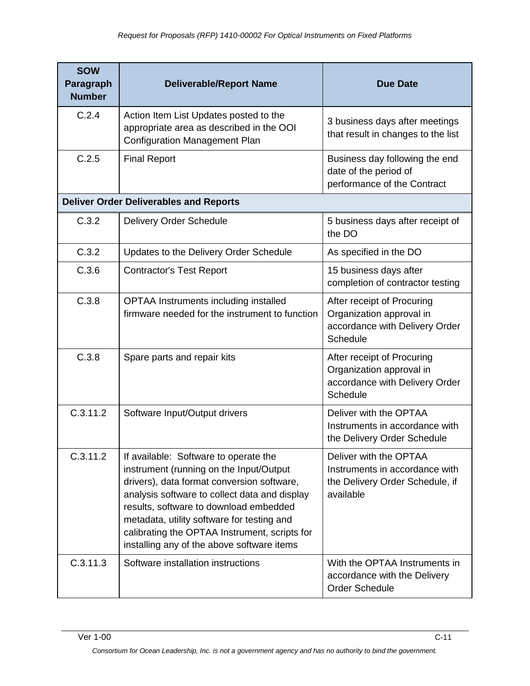| <b>SOW</b><br>Paragraph<br><b>Number</b> | <b>Deliverable/Report Name</b>                                                                                                                                                                                                                                                                                                                                         | <b>Due Date</b>                                                                                          |
|------------------------------------------|------------------------------------------------------------------------------------------------------------------------------------------------------------------------------------------------------------------------------------------------------------------------------------------------------------------------------------------------------------------------|----------------------------------------------------------------------------------------------------------|
| C.2.4                                    | Action Item List Updates posted to the<br>appropriate area as described in the OOI<br><b>Configuration Management Plan</b>                                                                                                                                                                                                                                             | 3 business days after meetings<br>that result in changes to the list                                     |
| C.2.5                                    | <b>Final Report</b>                                                                                                                                                                                                                                                                                                                                                    | Business day following the end<br>date of the period of<br>performance of the Contract                   |
|                                          | <b>Deliver Order Deliverables and Reports</b>                                                                                                                                                                                                                                                                                                                          |                                                                                                          |
| C.3.2                                    | <b>Delivery Order Schedule</b>                                                                                                                                                                                                                                                                                                                                         | 5 business days after receipt of<br>the DO                                                               |
| C.3.2                                    | Updates to the Delivery Order Schedule                                                                                                                                                                                                                                                                                                                                 | As specified in the DO                                                                                   |
| C.3.6                                    | <b>Contractor's Test Report</b>                                                                                                                                                                                                                                                                                                                                        | 15 business days after<br>completion of contractor testing                                               |
| C.3.8                                    | <b>OPTAA Instruments including installed</b><br>firmware needed for the instrument to function                                                                                                                                                                                                                                                                         | After receipt of Procuring<br>Organization approval in<br>accordance with Delivery Order<br>Schedule     |
| C.3.8                                    | Spare parts and repair kits                                                                                                                                                                                                                                                                                                                                            | After receipt of Procuring<br>Organization approval in<br>accordance with Delivery Order<br>Schedule     |
| C.3.11.2                                 | Software Input/Output drivers                                                                                                                                                                                                                                                                                                                                          | Deliver with the OPTAA<br>Instruments in accordance with<br>the Delivery Order Schedule                  |
| C.3.11.2                                 | If available: Software to operate the<br>instrument (running on the Input/Output<br>drivers), data format conversion software,<br>analysis software to collect data and display<br>results, software to download embedded<br>metadata, utility software for testing and<br>calibrating the OPTAA Instrument, scripts for<br>installing any of the above software items | Deliver with the OPTAA<br>Instruments in accordance with<br>the Delivery Order Schedule, if<br>available |
| C.3.11.3                                 | Software installation instructions                                                                                                                                                                                                                                                                                                                                     | With the OPTAA Instruments in<br>accordance with the Delivery<br><b>Order Schedule</b>                   |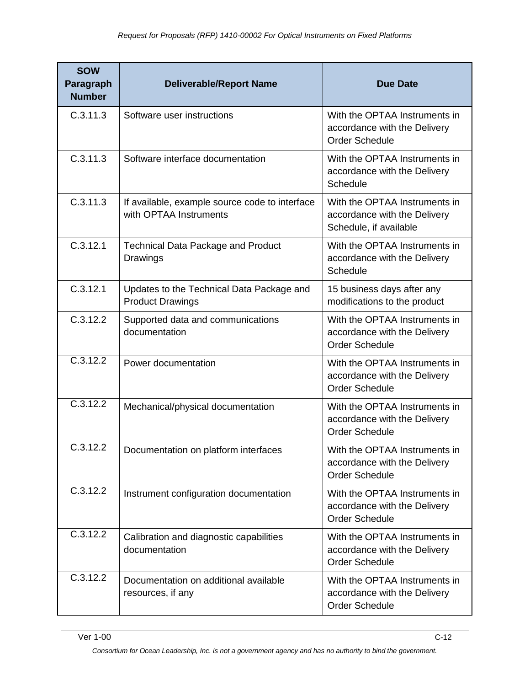| <b>SOW</b><br>Paragraph<br><b>Number</b> | <b>Deliverable/Report Name</b>                                           | <b>Due Date</b>                                                                         |
|------------------------------------------|--------------------------------------------------------------------------|-----------------------------------------------------------------------------------------|
| C.3.11.3                                 | Software user instructions                                               | With the OPTAA Instruments in<br>accordance with the Delivery<br><b>Order Schedule</b>  |
| C.3.11.3                                 | Software interface documentation                                         | With the OPTAA Instruments in<br>accordance with the Delivery<br>Schedule               |
| C.3.11.3                                 | If available, example source code to interface<br>with OPTAA Instruments | With the OPTAA Instruments in<br>accordance with the Delivery<br>Schedule, if available |
| C.3.12.1                                 | <b>Technical Data Package and Product</b><br>Drawings                    | With the OPTAA Instruments in<br>accordance with the Delivery<br><b>Schedule</b>        |
| C.3.12.1                                 | Updates to the Technical Data Package and<br><b>Product Drawings</b>     | 15 business days after any<br>modifications to the product                              |
| C.3.12.2                                 | Supported data and communications<br>documentation                       | With the OPTAA Instruments in<br>accordance with the Delivery<br><b>Order Schedule</b>  |
| C.3.12.2                                 | Power documentation                                                      | With the OPTAA Instruments in<br>accordance with the Delivery<br><b>Order Schedule</b>  |
| $\overline{C.3.12.2}$                    | Mechanical/physical documentation                                        | With the OPTAA Instruments in<br>accordance with the Delivery<br><b>Order Schedule</b>  |
| C.3.12.2                                 | Documentation on platform interfaces                                     | With the OPTAA Instruments in<br>accordance with the Delivery<br><b>Order Schedule</b>  |
| C.3.12.2                                 | Instrument configuration documentation                                   | With the OPTAA Instruments in<br>accordance with the Delivery<br><b>Order Schedule</b>  |
| C.3.12.2                                 | Calibration and diagnostic capabilities<br>documentation                 | With the OPTAA Instruments in<br>accordance with the Delivery<br><b>Order Schedule</b>  |
| C.3.12.2                                 | Documentation on additional available<br>resources, if any               | With the OPTAA Instruments in<br>accordance with the Delivery<br><b>Order Schedule</b>  |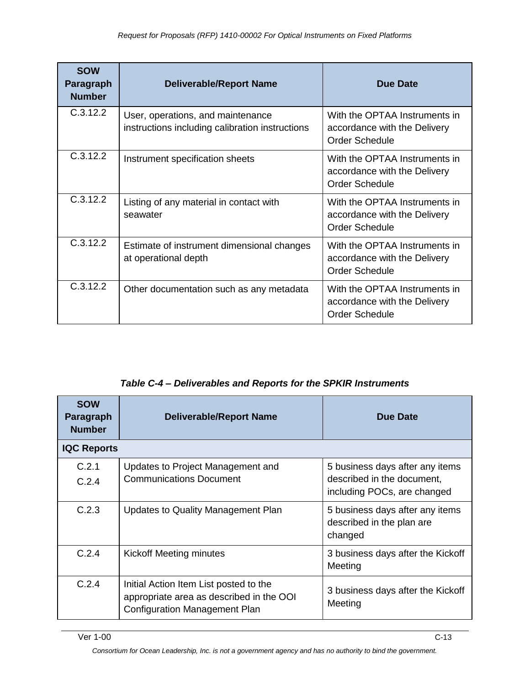| <b>SOW</b><br>Paragraph<br><b>Number</b> | <b>Deliverable/Report Name</b>                                                       | <b>Due Date</b>                                                                        |
|------------------------------------------|--------------------------------------------------------------------------------------|----------------------------------------------------------------------------------------|
| C.3.12.2                                 | User, operations, and maintenance<br>instructions including calibration instructions | With the OPTAA Instruments in<br>accordance with the Delivery<br><b>Order Schedule</b> |
| C.3.12.2                                 | Instrument specification sheets                                                      | With the OPTAA Instruments in<br>accordance with the Delivery<br><b>Order Schedule</b> |
| C.3.12.2                                 | Listing of any material in contact with<br>seawater                                  | With the OPTAA Instruments in<br>accordance with the Delivery<br><b>Order Schedule</b> |
| C.3.12.2                                 | Estimate of instrument dimensional changes<br>at operational depth                   | With the OPTAA Instruments in<br>accordance with the Delivery<br><b>Order Schedule</b> |
| C.3.12.2                                 | Other documentation such as any metadata                                             | With the OPTAA Instruments in<br>accordance with the Delivery<br><b>Order Schedule</b> |

#### *Table C-4 – Deliverables and Reports for the SPKIR Instruments*

| <b>SOW</b><br>Paragraph<br><b>Number</b> | <b>Deliverable/Report Name</b>                                                                                             | Due Date                                                                                     |
|------------------------------------------|----------------------------------------------------------------------------------------------------------------------------|----------------------------------------------------------------------------------------------|
| <b>IQC Reports</b>                       |                                                                                                                            |                                                                                              |
| C.2.1<br>C.2.4                           | Updates to Project Management and<br><b>Communications Document</b>                                                        | 5 business days after any items<br>described in the document.<br>including POCs, are changed |
| C.2.3                                    | Updates to Quality Management Plan                                                                                         | 5 business days after any items<br>described in the plan are<br>changed                      |
| C.2.4                                    | Kickoff Meeting minutes                                                                                                    | 3 business days after the Kickoff<br>Meeting                                                 |
| C.2.4                                    | Initial Action Item List posted to the<br>appropriate area as described in the OOI<br><b>Configuration Management Plan</b> | 3 business days after the Kickoff<br>Meeting                                                 |

*Consortium for Ocean Leadership, Inc. is not a government agency and has no authority to bind the government.*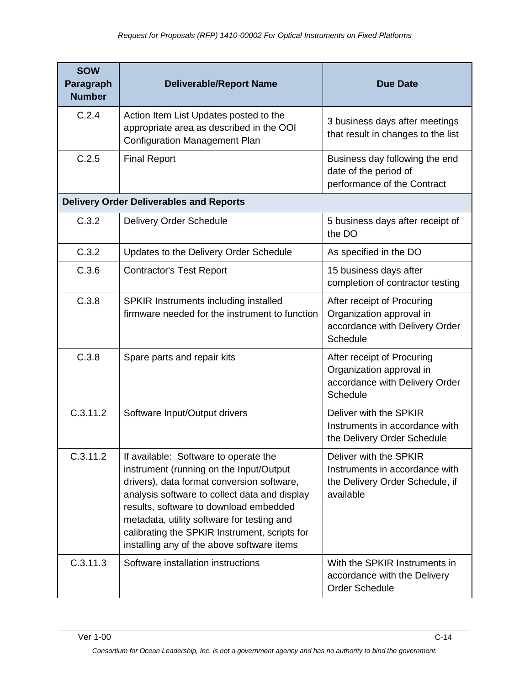| <b>SOW</b><br>Paragraph<br><b>Number</b> | <b>Deliverable/Report Name</b>                                                                                                                                                                                                                                                                                                                                         | <b>Due Date</b>                                                                                          |
|------------------------------------------|------------------------------------------------------------------------------------------------------------------------------------------------------------------------------------------------------------------------------------------------------------------------------------------------------------------------------------------------------------------------|----------------------------------------------------------------------------------------------------------|
| C.2.4                                    | Action Item List Updates posted to the<br>appropriate area as described in the OOI<br><b>Configuration Management Plan</b>                                                                                                                                                                                                                                             | 3 business days after meetings<br>that result in changes to the list                                     |
| C.2.5                                    | <b>Final Report</b>                                                                                                                                                                                                                                                                                                                                                    | Business day following the end<br>date of the period of<br>performance of the Contract                   |
|                                          | <b>Delivery Order Deliverables and Reports</b>                                                                                                                                                                                                                                                                                                                         |                                                                                                          |
| C.3.2                                    | Delivery Order Schedule                                                                                                                                                                                                                                                                                                                                                | 5 business days after receipt of<br>the DO                                                               |
| C.3.2                                    | Updates to the Delivery Order Schedule                                                                                                                                                                                                                                                                                                                                 | As specified in the DO                                                                                   |
| C.3.6                                    | <b>Contractor's Test Report</b>                                                                                                                                                                                                                                                                                                                                        | 15 business days after<br>completion of contractor testing                                               |
| C.3.8                                    | SPKIR Instruments including installed<br>firmware needed for the instrument to function                                                                                                                                                                                                                                                                                | After receipt of Procuring<br>Organization approval in<br>accordance with Delivery Order<br>Schedule     |
| C.3.8                                    | Spare parts and repair kits                                                                                                                                                                                                                                                                                                                                            | After receipt of Procuring<br>Organization approval in<br>accordance with Delivery Order<br>Schedule     |
| C.3.11.2                                 | Software Input/Output drivers                                                                                                                                                                                                                                                                                                                                          | Deliver with the SPKIR<br>Instruments in accordance with<br>the Delivery Order Schedule                  |
| C.3.11.2                                 | If available: Software to operate the<br>instrument (running on the Input/Output<br>drivers), data format conversion software,<br>analysis software to collect data and display<br>results, software to download embedded<br>metadata, utility software for testing and<br>calibrating the SPKIR Instrument, scripts for<br>installing any of the above software items | Deliver with the SPKIR<br>Instruments in accordance with<br>the Delivery Order Schedule, if<br>available |
| C.3.11.3                                 | Software installation instructions                                                                                                                                                                                                                                                                                                                                     | With the SPKIR Instruments in<br>accordance with the Delivery<br><b>Order Schedule</b>                   |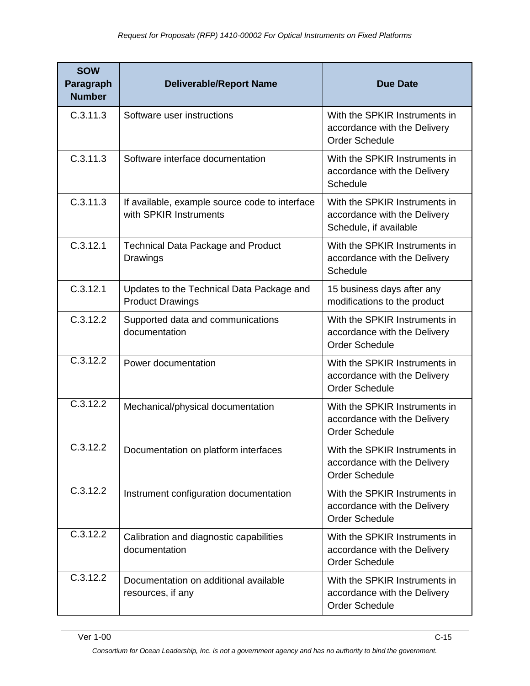| <b>SOW</b><br>Paragraph<br><b>Number</b> | <b>Deliverable/Report Name</b>                                           | <b>Due Date</b>                                                                         |
|------------------------------------------|--------------------------------------------------------------------------|-----------------------------------------------------------------------------------------|
| C.3.11.3                                 | Software user instructions                                               | With the SPKIR Instruments in<br>accordance with the Delivery<br><b>Order Schedule</b>  |
| C.3.11.3                                 | Software interface documentation                                         | With the SPKIR Instruments in<br>accordance with the Delivery<br>Schedule               |
| C.3.11.3                                 | If available, example source code to interface<br>with SPKIR Instruments | With the SPKIR Instruments in<br>accordance with the Delivery<br>Schedule, if available |
| C.3.12.1                                 | <b>Technical Data Package and Product</b><br>Drawings                    | With the SPKIR Instruments in<br>accordance with the Delivery<br><b>Schedule</b>        |
| C.3.12.1                                 | Updates to the Technical Data Package and<br><b>Product Drawings</b>     | 15 business days after any<br>modifications to the product                              |
| C.3.12.2                                 | Supported data and communications<br>documentation                       | With the SPKIR Instruments in<br>accordance with the Delivery<br><b>Order Schedule</b>  |
| C.3.12.2                                 | Power documentation                                                      | With the SPKIR Instruments in<br>accordance with the Delivery<br><b>Order Schedule</b>  |
| C.3.12.2                                 | Mechanical/physical documentation                                        | With the SPKIR Instruments in<br>accordance with the Delivery<br><b>Order Schedule</b>  |
| C.3.12.2                                 | Documentation on platform interfaces                                     | With the SPKIR Instruments in<br>accordance with the Delivery<br><b>Order Schedule</b>  |
| C.3.12.2                                 | Instrument configuration documentation                                   | With the SPKIR Instruments in<br>accordance with the Delivery<br><b>Order Schedule</b>  |
| C.3.12.2                                 | Calibration and diagnostic capabilities<br>documentation                 | With the SPKIR Instruments in<br>accordance with the Delivery<br><b>Order Schedule</b>  |
| C.3.12.2                                 | Documentation on additional available<br>resources, if any               | With the SPKIR Instruments in<br>accordance with the Delivery<br><b>Order Schedule</b>  |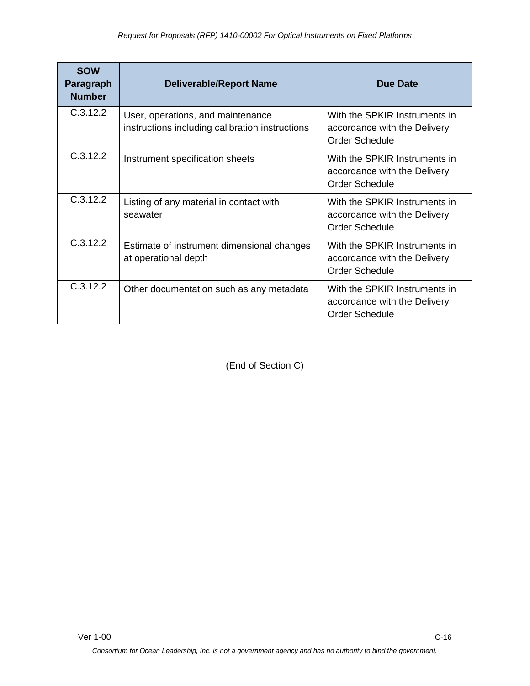| <b>SOW</b><br>Paragraph<br><b>Number</b> | <b>Deliverable/Report Name</b>                                                       | Due Date                                                                               |
|------------------------------------------|--------------------------------------------------------------------------------------|----------------------------------------------------------------------------------------|
| C.3.12.2                                 | User, operations, and maintenance<br>instructions including calibration instructions | With the SPKIR Instruments in<br>accordance with the Delivery<br><b>Order Schedule</b> |
| C.3.12.2                                 | Instrument specification sheets                                                      | With the SPKIR Instruments in<br>accordance with the Delivery<br><b>Order Schedule</b> |
| C.3.12.2                                 | Listing of any material in contact with<br>seawater                                  | With the SPKIR Instruments in<br>accordance with the Delivery<br><b>Order Schedule</b> |
| C.3.12.2                                 | Estimate of instrument dimensional changes<br>at operational depth                   | With the SPKIR Instruments in<br>accordance with the Delivery<br><b>Order Schedule</b> |
| C.3.12.2                                 | Other documentation such as any metadata                                             | With the SPKIR Instruments in<br>accordance with the Delivery<br><b>Order Schedule</b> |

(End of Section C)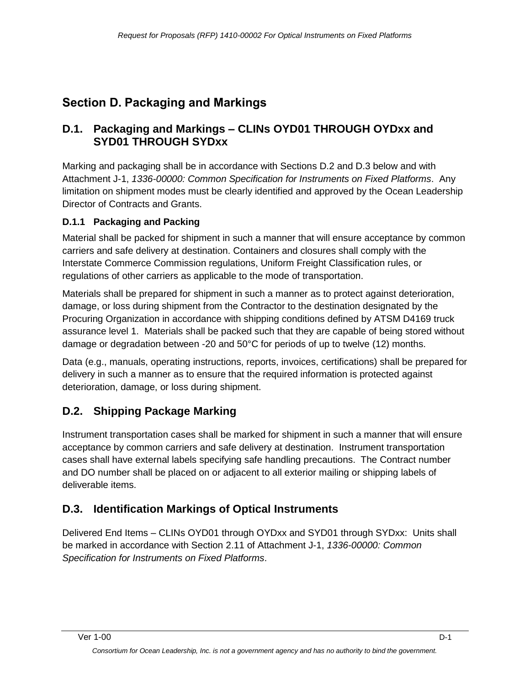# <span id="page-29-0"></span>**Section D. Packaging and Markings**

### **D.1. Packaging and Markings – CLINs OYD01 THROUGH OYDxx and SYD01 THROUGH SYDxx**

Marking and packaging shall be in accordance with Sections D.2 and D.3 below and with Attachment J-1, *1336-00000: Common Specification for Instruments on Fixed Platforms*. Any limitation on shipment modes must be clearly identified and approved by the Ocean Leadership Director of Contracts and Grants.

### **D.1.1 Packaging and Packing**

Material shall be packed for shipment in such a manner that will ensure acceptance by common carriers and safe delivery at destination. Containers and closures shall comply with the Interstate Commerce Commission regulations, Uniform Freight Classification rules, or regulations of other carriers as applicable to the mode of transportation.

Materials shall be prepared for shipment in such a manner as to protect against deterioration, damage, or loss during shipment from the Contractor to the destination designated by the Procuring Organization in accordance with shipping conditions defined by ATSM D4169 truck assurance level 1. Materials shall be packed such that they are capable of being stored without damage or degradation between -20 and 50°C for periods of up to twelve (12) months.

Data (e.g., manuals, operating instructions, reports, invoices, certifications) shall be prepared for delivery in such a manner as to ensure that the required information is protected against deterioration, damage, or loss during shipment.

# **D.2. Shipping Package Marking**

Instrument transportation cases shall be marked for shipment in such a manner that will ensure acceptance by common carriers and safe delivery at destination. Instrument transportation cases shall have external labels specifying safe handling precautions. The Contract number and DO number shall be placed on or adjacent to all exterior mailing or shipping labels of deliverable items.

# **D.3. Identification Markings of Optical Instruments**

Delivered End Items – CLINs OYD01 through OYDxx and SYD01 through SYDxx: Units shall be marked in accordance with Section 2.11 of Attachment J-1, *1336-00000: Common Specification for Instruments on Fixed Platforms*.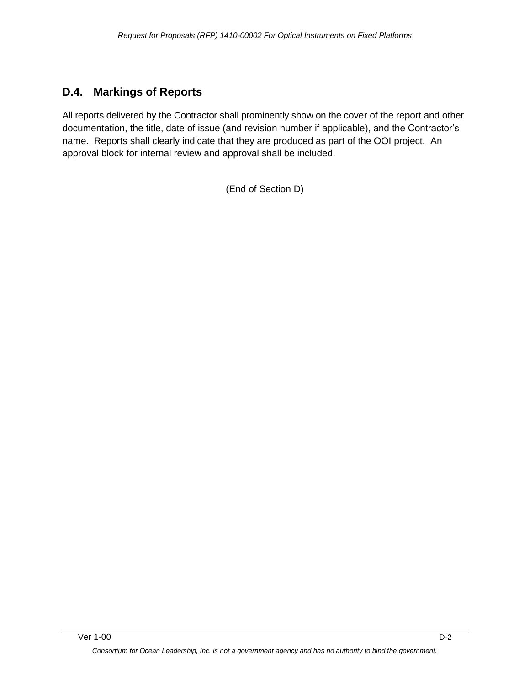### **D.4. Markings of Reports**

All reports delivered by the Contractor shall prominently show on the cover of the report and other documentation, the title, date of issue (and revision number if applicable), and the Contractor's name. Reports shall clearly indicate that they are produced as part of the OOI project. An approval block for internal review and approval shall be included.

(End of Section D)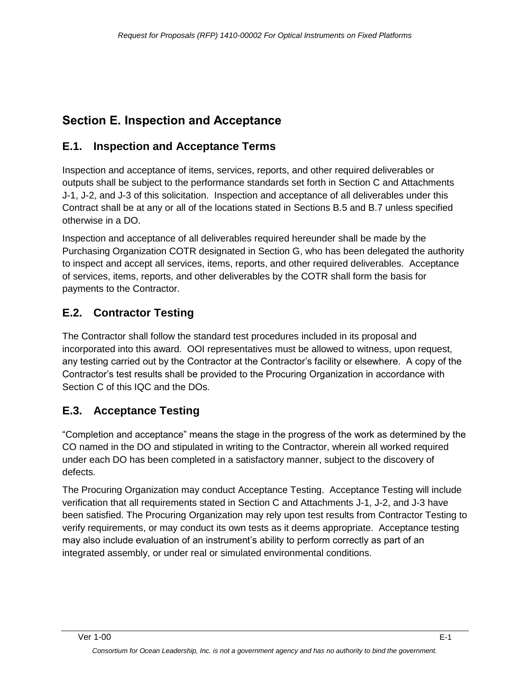# <span id="page-31-0"></span>**Section E. Inspection and Acceptance**

# **E.1. Inspection and Acceptance Terms**

Inspection and acceptance of items, services, reports, and other required deliverables or outputs shall be subject to the performance standards set forth in Section C and Attachments J-1, J-2, and J-3 of this solicitation. Inspection and acceptance of all deliverables under this Contract shall be at any or all of the locations stated in Sections B.5 and B.7 unless specified otherwise in a DO.

Inspection and acceptance of all deliverables required hereunder shall be made by the Purchasing Organization COTR designated in Section G, who has been delegated the authority to inspect and accept all services, items, reports, and other required deliverables. Acceptance of services, items, reports, and other deliverables by the COTR shall form the basis for payments to the Contractor.

# **E.2. Contractor Testing**

The Contractor shall follow the standard test procedures included in its proposal and incorporated into this award. OOI representatives must be allowed to witness, upon request, any testing carried out by the Contractor at the Contractor's facility or elsewhere. A copy of the Contractor's test results shall be provided to the Procuring Organization in accordance with Section C of this IQC and the DOs.

# **E.3. Acceptance Testing**

―Completion and acceptance‖ means the stage in the progress of the work as determined by the CO named in the DO and stipulated in writing to the Contractor, wherein all worked required under each DO has been completed in a satisfactory manner, subject to the discovery of defects.

The Procuring Organization may conduct Acceptance Testing. Acceptance Testing will include verification that all requirements stated in Section C and Attachments J-1, J-2, and J-3 have been satisfied. The Procuring Organization may rely upon test results from Contractor Testing to verify requirements, or may conduct its own tests as it deems appropriate. Acceptance testing may also include evaluation of an instrument's ability to perform correctly as part of an integrated assembly, or under real or simulated environmental conditions.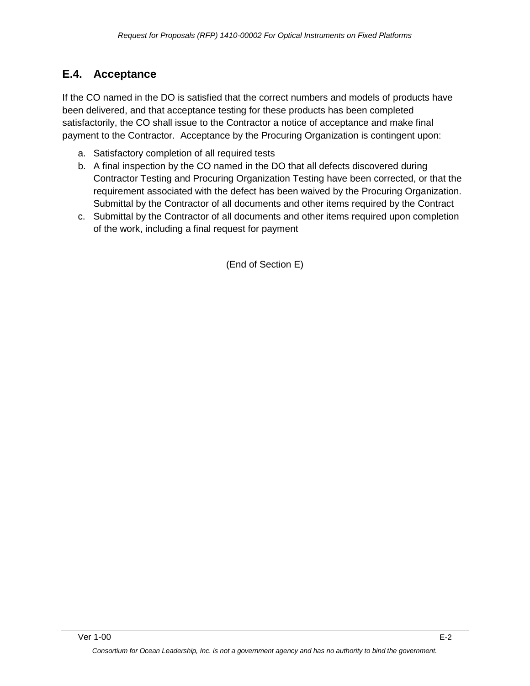### **E.4. Acceptance**

If the CO named in the DO is satisfied that the correct numbers and models of products have been delivered, and that acceptance testing for these products has been completed satisfactorily, the CO shall issue to the Contractor a notice of acceptance and make final payment to the Contractor. Acceptance by the Procuring Organization is contingent upon:

- a. Satisfactory completion of all required tests
- b. A final inspection by the CO named in the DO that all defects discovered during Contractor Testing and Procuring Organization Testing have been corrected, or that the requirement associated with the defect has been waived by the Procuring Organization. Submittal by the Contractor of all documents and other items required by the Contract
- c. Submittal by the Contractor of all documents and other items required upon completion of the work, including a final request for payment

(End of Section E)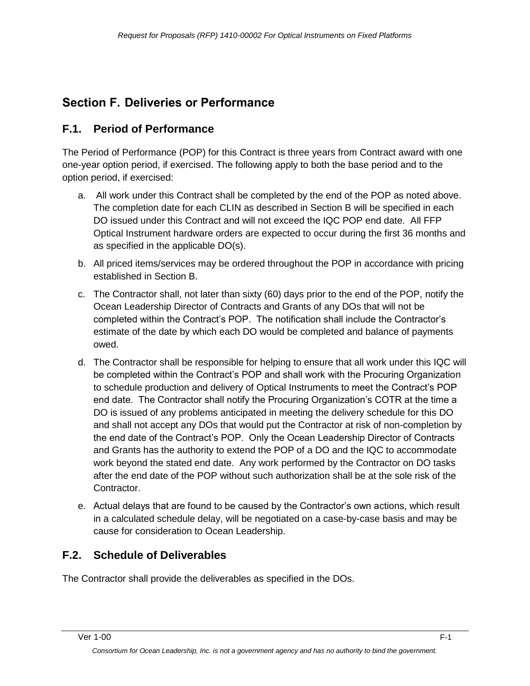# <span id="page-33-0"></span>**Section F. Deliveries or Performance**

### **F.1. Period of Performance**

The Period of Performance (POP) for this Contract is three years from Contract award with one one-year option period, if exercised. The following apply to both the base period and to the option period, if exercised:

- a. All work under this Contract shall be completed by the end of the POP as noted above. The completion date for each CLIN as described in Section B will be specified in each DO issued under this Contract and will not exceed the IQC POP end date. All FFP Optical Instrument hardware orders are expected to occur during the first 36 months and as specified in the applicable DO(s).
- b. All priced items/services may be ordered throughout the POP in accordance with pricing established in Section B.
- c. The Contractor shall, not later than sixty (60) days prior to the end of the POP, notify the Ocean Leadership Director of Contracts and Grants of any DOs that will not be completed within the Contract's POP. The notification shall include the Contractor's estimate of the date by which each DO would be completed and balance of payments owed.
- d. The Contractor shall be responsible for helping to ensure that all work under this IQC will be completed within the Contract's POP and shall work with the Procuring Organization to schedule production and delivery of Optical Instruments to meet the Contract's POP end date. The Contractor shall notify the Procuring Organization's COTR at the time a DO is issued of any problems anticipated in meeting the delivery schedule for this DO and shall not accept any DOs that would put the Contractor at risk of non-completion by the end date of the Contract's POP. Only the Ocean Leadership Director of Contracts and Grants has the authority to extend the POP of a DO and the IQC to accommodate work beyond the stated end date. Any work performed by the Contractor on DO tasks after the end date of the POP without such authorization shall be at the sole risk of the Contractor.
- e. Actual delays that are found to be caused by the Contractor's own actions, which result in a calculated schedule delay, will be negotiated on a case-by-case basis and may be cause for consideration to Ocean Leadership.

# **F.2. Schedule of Deliverables**

The Contractor shall provide the deliverables as specified in the DOs.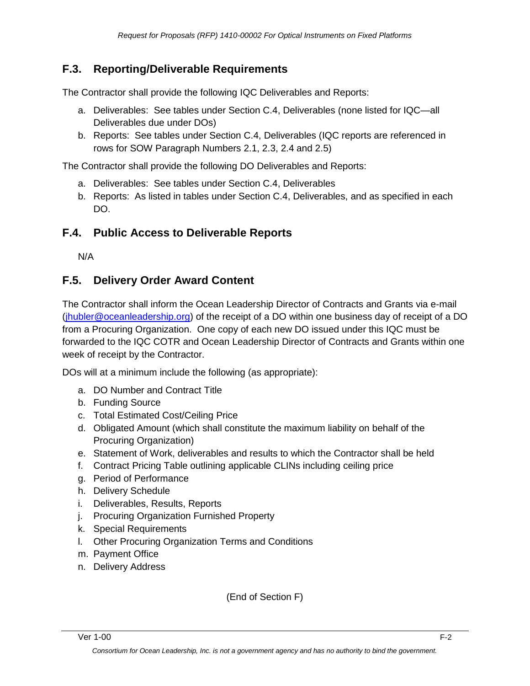### **F.3. Reporting/Deliverable Requirements**

The Contractor shall provide the following IQC Deliverables and Reports:

- a. Deliverables: See tables under Section C.4, Deliverables (none listed for IQC—all Deliverables due under DOs)
- b. Reports: See tables under Section C.4, Deliverables (IQC reports are referenced in rows for SOW Paragraph Numbers 2.1, 2.3, 2.4 and 2.5)

The Contractor shall provide the following DO Deliverables and Reports:

- a. Deliverables: See tables under Section C.4, Deliverables
- b. Reports: As listed in tables under Section C.4, Deliverables, and as specified in each DO.

### **F.4. Public Access to Deliverable Reports**

N/A

### **F.5. Delivery Order Award Content**

The Contractor shall inform the Ocean Leadership Director of Contracts and Grants via e-mail [\(jhubler@oceanleadership.org\)](mailto:jhubler@oceanleadership.org) of the receipt of a DO within one business day of receipt of a DO from a Procuring Organization. One copy of each new DO issued under this IQC must be forwarded to the IQC COTR and Ocean Leadership Director of Contracts and Grants within one week of receipt by the Contractor.

DOs will at a minimum include the following (as appropriate):

- a. DO Number and Contract Title
- b. Funding Source
- c. Total Estimated Cost/Ceiling Price
- d. Obligated Amount (which shall constitute the maximum liability on behalf of the Procuring Organization)
- e. Statement of Work, deliverables and results to which the Contractor shall be held
- f. Contract Pricing Table outlining applicable CLINs including ceiling price
- g. Period of Performance
- h. Delivery Schedule
- i. Deliverables, Results, Reports
- j. Procuring Organization Furnished Property
- k. Special Requirements
- l. Other Procuring Organization Terms and Conditions
- m. Payment Office
- n. Delivery Address

(End of Section F)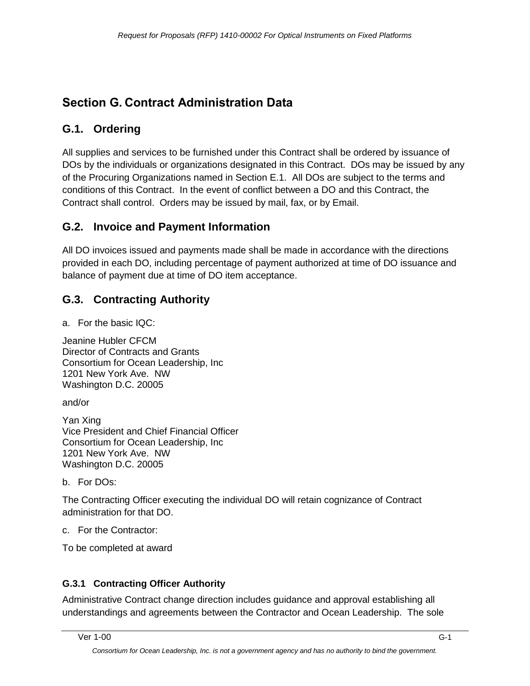# <span id="page-35-0"></span>**Section G. Contract Administration Data**

# **G.1. Ordering**

All supplies and services to be furnished under this Contract shall be ordered by issuance of DOs by the individuals or organizations designated in this Contract. DOs may be issued by any of the Procuring Organizations named in Section E.1. All DOs are subject to the terms and conditions of this Contract. In the event of conflict between a DO and this Contract, the Contract shall control. Orders may be issued by mail, fax, or by Email.

# **G.2. Invoice and Payment Information**

All DO invoices issued and payments made shall be made in accordance with the directions provided in each DO, including percentage of payment authorized at time of DO issuance and balance of payment due at time of DO item acceptance.

# **G.3. Contracting Authority**

a. For the basic IQC:

Jeanine Hubler CFCM Director of Contracts and Grants Consortium for Ocean Leadership, Inc 1201 New York Ave. NW Washington D.C. 20005

and/or

Yan Xing Vice President and Chief Financial Officer Consortium for Ocean Leadership, Inc 1201 New York Ave. NW Washington D.C. 20005

b. For DOs:

The Contracting Officer executing the individual DO will retain cognizance of Contract administration for that DO.

c. For the Contractor:

To be completed at award

### **G.3.1 Contracting Officer Authority**

Administrative Contract change direction includes guidance and approval establishing all understandings and agreements between the Contractor and Ocean Leadership. The sole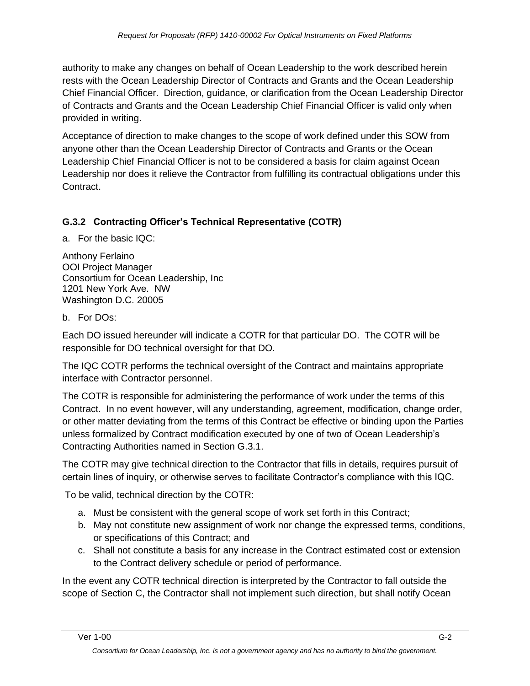authority to make any changes on behalf of Ocean Leadership to the work described herein rests with the Ocean Leadership Director of Contracts and Grants and the Ocean Leadership Chief Financial Officer. Direction, guidance, or clarification from the Ocean Leadership Director of Contracts and Grants and the Ocean Leadership Chief Financial Officer is valid only when provided in writing.

Acceptance of direction to make changes to the scope of work defined under this SOW from anyone other than the Ocean Leadership Director of Contracts and Grants or the Ocean Leadership Chief Financial Officer is not to be considered a basis for claim against Ocean Leadership nor does it relieve the Contractor from fulfilling its contractual obligations under this Contract.

## **G.3.2 Contracting Officer's Technical Representative (COTR)**

a. For the basic IQC:

Anthony Ferlaino OOI Project Manager Consortium for Ocean Leadership, Inc 1201 New York Ave. NW Washington D.C. 20005

#### b. For DOs:

Each DO issued hereunder will indicate a COTR for that particular DO. The COTR will be responsible for DO technical oversight for that DO.

The IQC COTR performs the technical oversight of the Contract and maintains appropriate interface with Contractor personnel.

The COTR is responsible for administering the performance of work under the terms of this Contract. In no event however, will any understanding, agreement, modification, change order, or other matter deviating from the terms of this Contract be effective or binding upon the Parties unless formalized by Contract modification executed by one of two of Ocean Leadership's Contracting Authorities named in Section G.3.1.

The COTR may give technical direction to the Contractor that fills in details, requires pursuit of certain lines of inquiry, or otherwise serves to facilitate Contractor's compliance with this IQC.

To be valid, technical direction by the COTR:

- a. Must be consistent with the general scope of work set forth in this Contract;
- b. May not constitute new assignment of work nor change the expressed terms, conditions, or specifications of this Contract; and
- c. Shall not constitute a basis for any increase in the Contract estimated cost or extension to the Contract delivery schedule or period of performance.

In the event any COTR technical direction is interpreted by the Contractor to fall outside the scope of Section C, the Contractor shall not implement such direction, but shall notify Ocean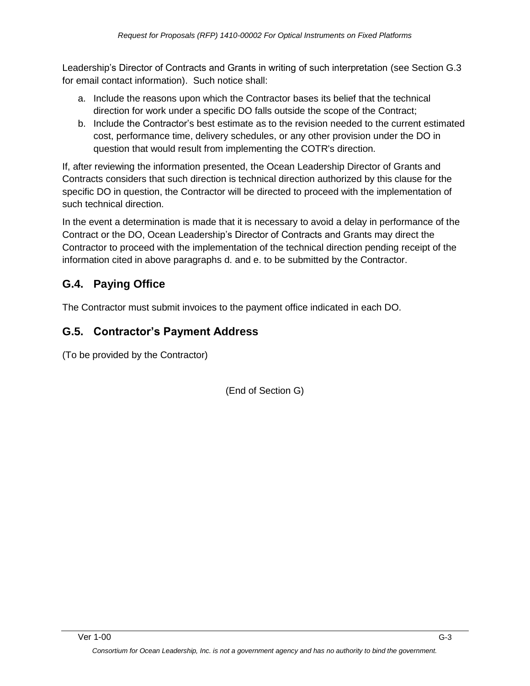Leadership's Director of Contracts and Grants in writing of such interpretation (see Section G.3 for email contact information). Such notice shall:

- a. Include the reasons upon which the Contractor bases its belief that the technical direction for work under a specific DO falls outside the scope of the Contract;
- b. Include the Contractor's best estimate as to the revision needed to the current estimated cost, performance time, delivery schedules, or any other provision under the DO in question that would result from implementing the COTR's direction.

If, after reviewing the information presented, the Ocean Leadership Director of Grants and Contracts considers that such direction is technical direction authorized by this clause for the specific DO in question, the Contractor will be directed to proceed with the implementation of such technical direction.

In the event a determination is made that it is necessary to avoid a delay in performance of the Contract or the DO, Ocean Leadership's Director of Contracts and Grants may direct the Contractor to proceed with the implementation of the technical direction pending receipt of the information cited in above paragraphs d. and e. to be submitted by the Contractor.

# **G.4. Paying Office**

The Contractor must submit invoices to the payment office indicated in each DO.

# **G.5. Contractor's Payment Address**

(To be provided by the Contractor)

(End of Section G)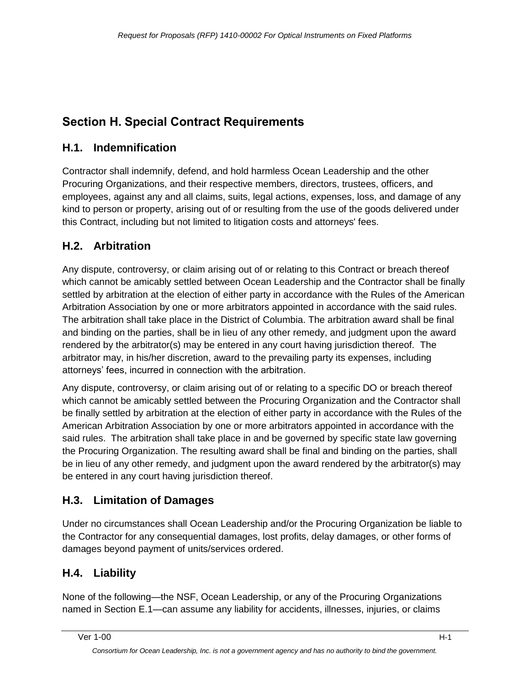# **Section H. Special Contract Requirements**

# **H.1. Indemnification**

Contractor shall indemnify, defend, and hold harmless Ocean Leadership and the other Procuring Organizations, and their respective members, directors, trustees, officers, and employees, against any and all claims, suits, legal actions, expenses, loss, and damage of any kind to person or property, arising out of or resulting from the use of the goods delivered under this Contract, including but not limited to litigation costs and attorneys' fees.

# **H.2. Arbitration**

Any dispute, controversy, or claim arising out of or relating to this Contract or breach thereof which cannot be amicably settled between Ocean Leadership and the Contractor shall be finally settled by arbitration at the election of either party in accordance with the Rules of the American Arbitration Association by one or more arbitrators appointed in accordance with the said rules. The arbitration shall take place in the District of Columbia. The arbitration award shall be final and binding on the parties, shall be in lieu of any other remedy, and judgment upon the award rendered by the arbitrator(s) may be entered in any court having jurisdiction thereof. The arbitrator may, in his/her discretion, award to the prevailing party its expenses, including attorneys' fees, incurred in connection with the arbitration.

Any dispute, controversy, or claim arising out of or relating to a specific DO or breach thereof which cannot be amicably settled between the Procuring Organization and the Contractor shall be finally settled by arbitration at the election of either party in accordance with the Rules of the American Arbitration Association by one or more arbitrators appointed in accordance with the said rules. The arbitration shall take place in and be governed by specific state law governing the Procuring Organization. The resulting award shall be final and binding on the parties, shall be in lieu of any other remedy, and judgment upon the award rendered by the arbitrator(s) may be entered in any court having jurisdiction thereof.

# **H.3. Limitation of Damages**

Under no circumstances shall Ocean Leadership and/or the Procuring Organization be liable to the Contractor for any consequential damages, lost profits, delay damages, or other forms of damages beyond payment of units/services ordered.

# **H.4. Liability**

None of the following—the NSF, Ocean Leadership, or any of the Procuring Organizations named in Section E.1—can assume any liability for accidents, illnesses, injuries, or claims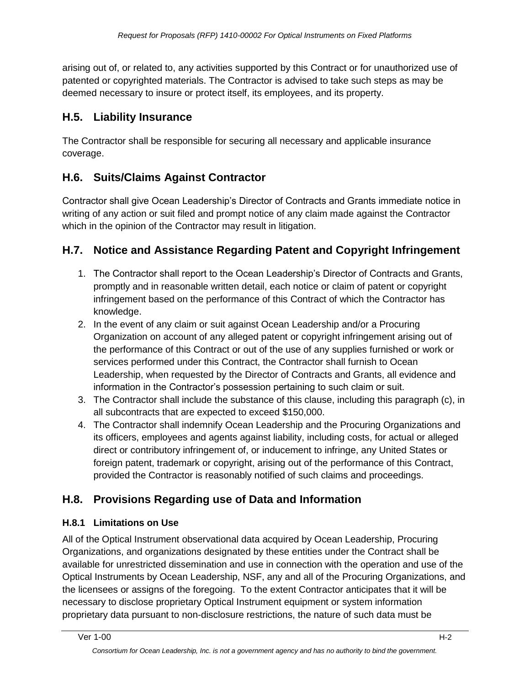arising out of, or related to, any activities supported by this Contract or for unauthorized use of patented or copyrighted materials. The Contractor is advised to take such steps as may be deemed necessary to insure or protect itself, its employees, and its property.

# **H.5. Liability Insurance**

The Contractor shall be responsible for securing all necessary and applicable insurance coverage.

# **H.6. Suits/Claims Against Contractor**

Contractor shall give Ocean Leadership's Director of Contracts and Grants immediate notice in writing of any action or suit filed and prompt notice of any claim made against the Contractor which in the opinion of the Contractor may result in litigation.

# **H.7. Notice and Assistance Regarding Patent and Copyright Infringement**

- 1. The Contractor shall report to the Ocean Leadership's Director of Contracts and Grants, promptly and in reasonable written detail, each notice or claim of patent or copyright infringement based on the performance of this Contract of which the Contractor has knowledge.
- 2. In the event of any claim or suit against Ocean Leadership and/or a Procuring Organization on account of any alleged patent or copyright infringement arising out of the performance of this Contract or out of the use of any supplies furnished or work or services performed under this Contract, the Contractor shall furnish to Ocean Leadership, when requested by the Director of Contracts and Grants, all evidence and information in the Contractor's possession pertaining to such claim or suit.
- 3. The Contractor shall include the substance of this clause, including this paragraph (c), in all subcontracts that are expected to exceed \$150,000.
- 4. The Contractor shall indemnify Ocean Leadership and the Procuring Organizations and its officers, employees and agents against liability, including costs, for actual or alleged direct or contributory infringement of, or inducement to infringe, any United States or foreign patent, trademark or copyright, arising out of the performance of this Contract, provided the Contractor is reasonably notified of such claims and proceedings.

# **H.8. Provisions Regarding use of Data and Information**

### **H.8.1 Limitations on Use**

All of the Optical Instrument observational data acquired by Ocean Leadership, Procuring Organizations, and organizations designated by these entities under the Contract shall be available for unrestricted dissemination and use in connection with the operation and use of the Optical Instruments by Ocean Leadership, NSF, any and all of the Procuring Organizations, and the licensees or assigns of the foregoing. To the extent Contractor anticipates that it will be necessary to disclose proprietary Optical Instrument equipment or system information proprietary data pursuant to non-disclosure restrictions, the nature of such data must be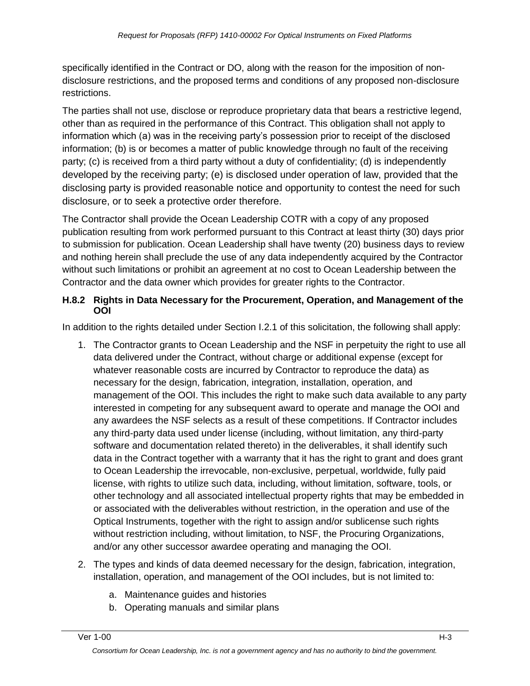specifically identified in the Contract or DO, along with the reason for the imposition of nondisclosure restrictions, and the proposed terms and conditions of any proposed non-disclosure restrictions.

The parties shall not use, disclose or reproduce proprietary data that bears a restrictive legend, other than as required in the performance of this Contract. This obligation shall not apply to information which (a) was in the receiving party's possession prior to receipt of the disclosed information; (b) is or becomes a matter of public knowledge through no fault of the receiving party; (c) is received from a third party without a duty of confidentiality; (d) is independently developed by the receiving party; (e) is disclosed under operation of law, provided that the disclosing party is provided reasonable notice and opportunity to contest the need for such disclosure, or to seek a protective order therefore.

The Contractor shall provide the Ocean Leadership COTR with a copy of any proposed publication resulting from work performed pursuant to this Contract at least thirty (30) days prior to submission for publication. Ocean Leadership shall have twenty (20) business days to review and nothing herein shall preclude the use of any data independently acquired by the Contractor without such limitations or prohibit an agreement at no cost to Ocean Leadership between the Contractor and the data owner which provides for greater rights to the Contractor.

#### **H.8.2 Rights in Data Necessary for the Procurement, Operation, and Management of the OOI**

In addition to the rights detailed under Section I.2.1 of this solicitation, the following shall apply:

- 1. The Contractor grants to Ocean Leadership and the NSF in perpetuity the right to use all data delivered under the Contract, without charge or additional expense (except for whatever reasonable costs are incurred by Contractor to reproduce the data) as necessary for the design, fabrication, integration, installation, operation, and management of the OOI. This includes the right to make such data available to any party interested in competing for any subsequent award to operate and manage the OOI and any awardees the NSF selects as a result of these competitions. If Contractor includes any third-party data used under license (including, without limitation, any third-party software and documentation related thereto) in the deliverables, it shall identify such data in the Contract together with a warranty that it has the right to grant and does grant to Ocean Leadership the irrevocable, non-exclusive, perpetual, worldwide, fully paid license, with rights to utilize such data, including, without limitation, software, tools, or other technology and all associated intellectual property rights that may be embedded in or associated with the deliverables without restriction, in the operation and use of the Optical Instruments, together with the right to assign and/or sublicense such rights without restriction including, without limitation, to NSF, the Procuring Organizations, and/or any other successor awardee operating and managing the OOI.
- 2. The types and kinds of data deemed necessary for the design, fabrication, integration, installation, operation, and management of the OOI includes, but is not limited to:
	- a. Maintenance guides and histories
	- b. Operating manuals and similar plans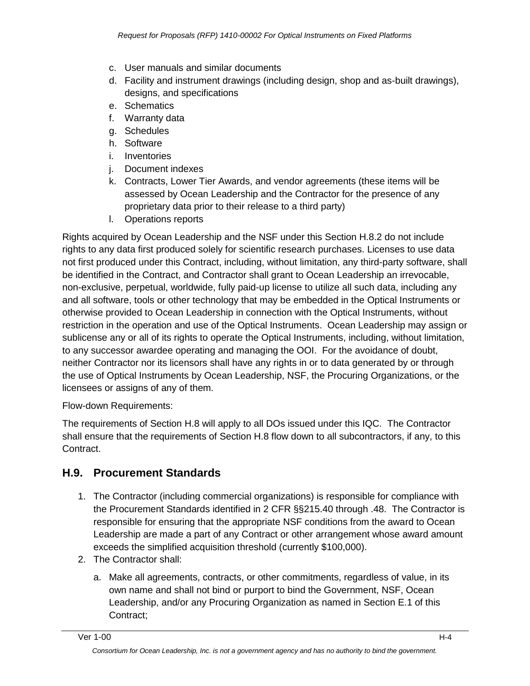- c. User manuals and similar documents
- d. Facility and instrument drawings (including design, shop and as-built drawings), designs, and specifications
- e. Schematics
- f. Warranty data
- g. Schedules
- h. Software
- i. Inventories
- j. Document indexes
- k. Contracts, Lower Tier Awards, and vendor agreements (these items will be assessed by Ocean Leadership and the Contractor for the presence of any proprietary data prior to their release to a third party)
- l. Operations reports

Rights acquired by Ocean Leadership and the NSF under this Section H.8.2 do not include rights to any data first produced solely for scientific research purchases. Licenses to use data not first produced under this Contract, including, without limitation, any third-party software, shall be identified in the Contract, and Contractor shall grant to Ocean Leadership an irrevocable, non-exclusive, perpetual, worldwide, fully paid-up license to utilize all such data, including any and all software, tools or other technology that may be embedded in the Optical Instruments or otherwise provided to Ocean Leadership in connection with the Optical Instruments, without restriction in the operation and use of the Optical Instruments. Ocean Leadership may assign or sublicense any or all of its rights to operate the Optical Instruments, including, without limitation, to any successor awardee operating and managing the OOI. For the avoidance of doubt, neither Contractor nor its licensors shall have any rights in or to data generated by or through the use of Optical Instruments by Ocean Leadership, NSF, the Procuring Organizations, or the licensees or assigns of any of them.

#### Flow-down Requirements:

The requirements of Section H.8 will apply to all DOs issued under this IQC. The Contractor shall ensure that the requirements of Section H.8 flow down to all subcontractors, if any, to this Contract.

## **H.9. Procurement Standards**

- 1. The Contractor (including commercial organizations) is responsible for compliance with the Procurement Standards identified in 2 CFR §§215.40 through .48. The Contractor is responsible for ensuring that the appropriate NSF conditions from the award to Ocean Leadership are made a part of any Contract or other arrangement whose award amount exceeds the simplified acquisition threshold (currently \$100,000).
- 2. The Contractor shall:
	- a. Make all agreements, contracts, or other commitments, regardless of value, in its own name and shall not bind or purport to bind the Government, NSF, Ocean Leadership, and/or any Procuring Organization as named in Section E.1 of this Contract;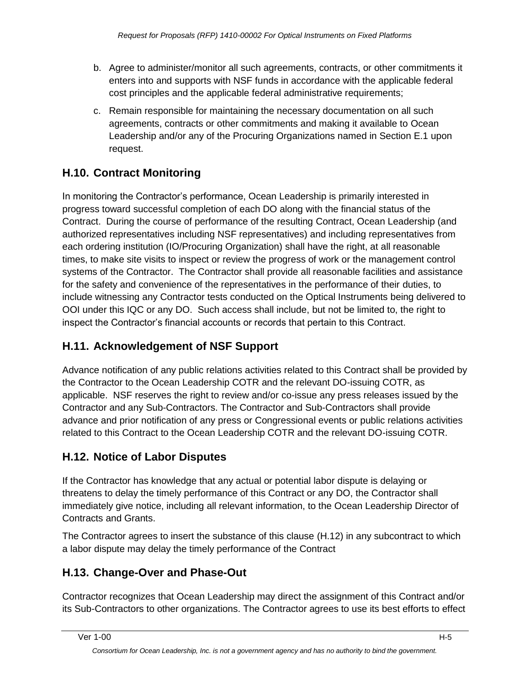- b. Agree to administer/monitor all such agreements, contracts, or other commitments it enters into and supports with NSF funds in accordance with the applicable federal cost principles and the applicable federal administrative requirements;
- c. Remain responsible for maintaining the necessary documentation on all such agreements, contracts or other commitments and making it available to Ocean Leadership and/or any of the Procuring Organizations named in Section E.1 upon request.

# **H.10. Contract Monitoring**

In monitoring the Contractor's performance, Ocean Leadership is primarily interested in progress toward successful completion of each DO along with the financial status of the Contract. During the course of performance of the resulting Contract, Ocean Leadership (and authorized representatives including NSF representatives) and including representatives from each ordering institution (IO/Procuring Organization) shall have the right, at all reasonable times, to make site visits to inspect or review the progress of work or the management control systems of the Contractor. The Contractor shall provide all reasonable facilities and assistance for the safety and convenience of the representatives in the performance of their duties, to include witnessing any Contractor tests conducted on the Optical Instruments being delivered to OOI under this IQC or any DO. Such access shall include, but not be limited to, the right to inspect the Contractor's financial accounts or records that pertain to this Contract.

# **H.11. Acknowledgement of NSF Support**

Advance notification of any public relations activities related to this Contract shall be provided by the Contractor to the Ocean Leadership COTR and the relevant DO-issuing COTR, as applicable. NSF reserves the right to review and/or co-issue any press releases issued by the Contractor and any Sub-Contractors. The Contractor and Sub-Contractors shall provide advance and prior notification of any press or Congressional events or public relations activities related to this Contract to the Ocean Leadership COTR and the relevant DO-issuing COTR.

# **H.12. Notice of Labor Disputes**

If the Contractor has knowledge that any actual or potential labor dispute is delaying or threatens to delay the timely performance of this Contract or any DO, the Contractor shall immediately give notice, including all relevant information, to the Ocean Leadership Director of Contracts and Grants.

The Contractor agrees to insert the substance of this clause (H.12) in any subcontract to which a labor dispute may delay the timely performance of the Contract

# **H.13. Change-Over and Phase-Out**

Contractor recognizes that Ocean Leadership may direct the assignment of this Contract and/or its Sub-Contractors to other organizations. The Contractor agrees to use its best efforts to effect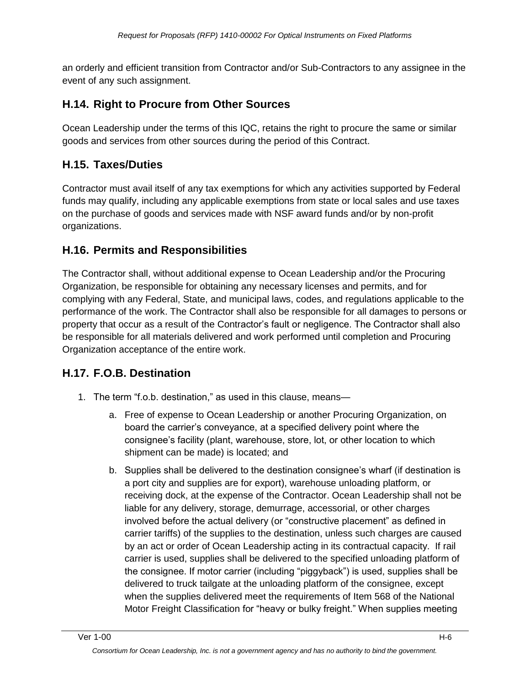an orderly and efficient transition from Contractor and/or Sub-Contractors to any assignee in the event of any such assignment.

# **H.14. Right to Procure from Other Sources**

Ocean Leadership under the terms of this IQC, retains the right to procure the same or similar goods and services from other sources during the period of this Contract.

# **H.15. Taxes/Duties**

Contractor must avail itself of any tax exemptions for which any activities supported by Federal funds may qualify, including any applicable exemptions from state or local sales and use taxes on the purchase of goods and services made with NSF award funds and/or by non-profit organizations.

## **H.16. Permits and Responsibilities**

The Contractor shall, without additional expense to Ocean Leadership and/or the Procuring Organization, be responsible for obtaining any necessary licenses and permits, and for complying with any Federal, State, and municipal laws, codes, and regulations applicable to the performance of the work. The Contractor shall also be responsible for all damages to persons or property that occur as a result of the Contractor's fault or negligence. The Contractor shall also be responsible for all materials delivered and work performed until completion and Procuring Organization acceptance of the entire work.

# **H.17. F.O.B. Destination**

- 1. The term "f.o.b. destination," as used in this clause, means
	- a. Free of expense to Ocean Leadership or another Procuring Organization, on board the carrier's conveyance, at a specified delivery point where the consignee's facility (plant, warehouse, store, lot, or other location to which shipment can be made) is located; and
	- b. Supplies shall be delivered to the destination consignee's wharf (if destination is a port city and supplies are for export), warehouse unloading platform, or receiving dock, at the expense of the Contractor. Ocean Leadership shall not be liable for any delivery, storage, demurrage, accessorial, or other charges involved before the actual delivery (or "constructive placement" as defined in carrier tariffs) of the supplies to the destination, unless such charges are caused by an act or order of Ocean Leadership acting in its contractual capacity. If rail carrier is used, supplies shall be delivered to the specified unloading platform of the consignee. If motor carrier (including "piggyback") is used, supplies shall be delivered to truck tailgate at the unloading platform of the consignee, except when the supplies delivered meet the requirements of Item 568 of the National Motor Freight Classification for "heavy or bulky freight." When supplies meeting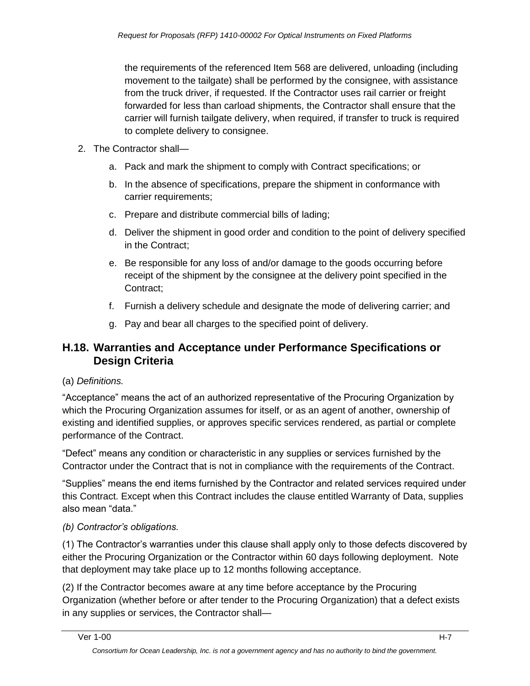the requirements of the referenced Item 568 are delivered, unloading (including movement to the tailgate) shall be performed by the consignee, with assistance from the truck driver, if requested. If the Contractor uses rail carrier or freight forwarded for less than carload shipments, the Contractor shall ensure that the carrier will furnish tailgate delivery, when required, if transfer to truck is required to complete delivery to consignee.

- 2. The Contractor shall
	- a. Pack and mark the shipment to comply with Contract specifications; or
	- b. In the absence of specifications, prepare the shipment in conformance with carrier requirements;
	- c. Prepare and distribute commercial bills of lading;
	- d. Deliver the shipment in good order and condition to the point of delivery specified in the Contract;
	- e. Be responsible for any loss of and/or damage to the goods occurring before receipt of the shipment by the consignee at the delivery point specified in the Contract;
	- f. Furnish a delivery schedule and designate the mode of delivering carrier; and
	- g. Pay and bear all charges to the specified point of delivery.

## **H.18. Warranties and Acceptance under Performance Specifications or Design Criteria**

### (a) *Definitions.*

―Acceptance‖ means the act of an authorized representative of the Procuring Organization by which the Procuring Organization assumes for itself, or as an agent of another, ownership of existing and identified supplies, or approves specific services rendered, as partial or complete performance of the Contract.

―Defect‖ means any condition or characteristic in any supplies or services furnished by the Contractor under the Contract that is not in compliance with the requirements of the Contract.

―Supplies‖ means the end items furnished by the Contractor and related services required under this Contract. Except when this Contract includes the clause entitled Warranty of Data, supplies also mean "data."

### *(b) Contractor's obligations.*

(1) The Contractor's warranties under this clause shall apply only to those defects discovered by either the Procuring Organization or the Contractor within 60 days following deployment. Note that deployment may take place up to 12 months following acceptance.

(2) If the Contractor becomes aware at any time before acceptance by the Procuring Organization (whether before or after tender to the Procuring Organization) that a defect exists in any supplies or services, the Contractor shall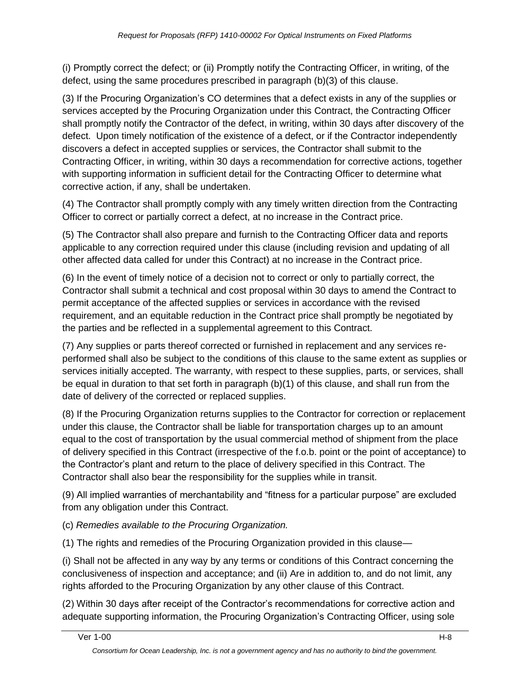(i) Promptly correct the defect; or (ii) Promptly notify the Contracting Officer, in writing, of the defect, using the same procedures prescribed in paragraph (b)(3) of this clause.

(3) If the Procuring Organization's CO determines that a defect exists in any of the supplies or services accepted by the Procuring Organization under this Contract, the Contracting Officer shall promptly notify the Contractor of the defect, in writing, within 30 days after discovery of the defect. Upon timely notification of the existence of a defect, or if the Contractor independently discovers a defect in accepted supplies or services, the Contractor shall submit to the Contracting Officer, in writing, within 30 days a recommendation for corrective actions, together with supporting information in sufficient detail for the Contracting Officer to determine what corrective action, if any, shall be undertaken.

(4) The Contractor shall promptly comply with any timely written direction from the Contracting Officer to correct or partially correct a defect, at no increase in the Contract price.

(5) The Contractor shall also prepare and furnish to the Contracting Officer data and reports applicable to any correction required under this clause (including revision and updating of all other affected data called for under this Contract) at no increase in the Contract price.

(6) In the event of timely notice of a decision not to correct or only to partially correct, the Contractor shall submit a technical and cost proposal within 30 days to amend the Contract to permit acceptance of the affected supplies or services in accordance with the revised requirement, and an equitable reduction in the Contract price shall promptly be negotiated by the parties and be reflected in a supplemental agreement to this Contract.

(7) Any supplies or parts thereof corrected or furnished in replacement and any services reperformed shall also be subject to the conditions of this clause to the same extent as supplies or services initially accepted. The warranty, with respect to these supplies, parts, or services, shall be equal in duration to that set forth in paragraph (b)(1) of this clause, and shall run from the date of delivery of the corrected or replaced supplies.

(8) If the Procuring Organization returns supplies to the Contractor for correction or replacement under this clause, the Contractor shall be liable for transportation charges up to an amount equal to the cost of transportation by the usual commercial method of shipment from the place of delivery specified in this Contract (irrespective of the f.o.b. point or the point of acceptance) to the Contractor's plant and return to the place of delivery specified in this Contract. The Contractor shall also bear the responsibility for the supplies while in transit.

(9) All implied warranties of merchantability and "fitness for a particular purpose" are excluded from any obligation under this Contract.

(c) *Remedies available to the Procuring Organization.* 

(1) The rights and remedies of the Procuring Organization provided in this clause—

(i) Shall not be affected in any way by any terms or conditions of this Contract concerning the conclusiveness of inspection and acceptance; and (ii) Are in addition to, and do not limit, any rights afforded to the Procuring Organization by any other clause of this Contract.

(2) Within 30 days after receipt of the Contractor's recommendations for corrective action and adequate supporting information, the Procuring Organization's Contracting Officer, using sole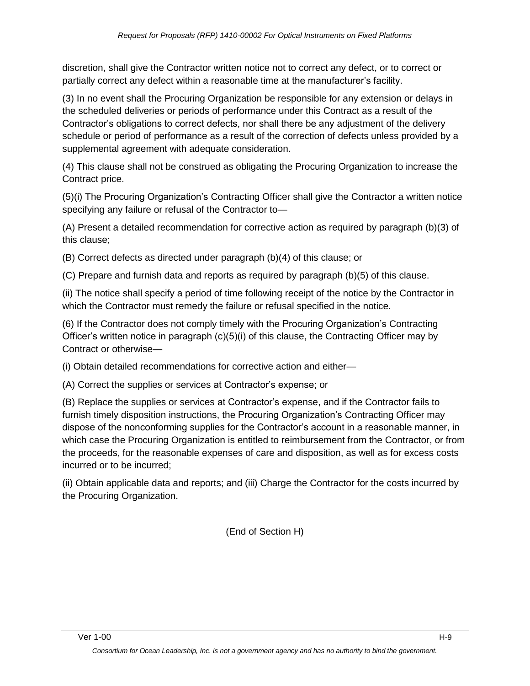discretion, shall give the Contractor written notice not to correct any defect, or to correct or partially correct any defect within a reasonable time at the manufacturer's facility.

(3) In no event shall the Procuring Organization be responsible for any extension or delays in the scheduled deliveries or periods of performance under this Contract as a result of the Contractor's obligations to correct defects, nor shall there be any adjustment of the delivery schedule or period of performance as a result of the correction of defects unless provided by a supplemental agreement with adequate consideration.

(4) This clause shall not be construed as obligating the Procuring Organization to increase the Contract price.

(5)(i) The Procuring Organization's Contracting Officer shall give the Contractor a written notice specifying any failure or refusal of the Contractor to—

(A) Present a detailed recommendation for corrective action as required by paragraph (b)(3) of this clause;

(B) Correct defects as directed under paragraph (b)(4) of this clause; or

(C) Prepare and furnish data and reports as required by paragraph (b)(5) of this clause.

(ii) The notice shall specify a period of time following receipt of the notice by the Contractor in which the Contractor must remedy the failure or refusal specified in the notice.

(6) If the Contractor does not comply timely with the Procuring Organization's Contracting Officer's written notice in paragraph (c)(5)(i) of this clause, the Contracting Officer may by Contract or otherwise—

(i) Obtain detailed recommendations for corrective action and either—

(A) Correct the supplies or services at Contractor's expense; or

(B) Replace the supplies or services at Contractor's expense, and if the Contractor fails to furnish timely disposition instructions, the Procuring Organization's Contracting Officer may dispose of the nonconforming supplies for the Contractor's account in a reasonable manner, in which case the Procuring Organization is entitled to reimbursement from the Contractor, or from the proceeds, for the reasonable expenses of care and disposition, as well as for excess costs incurred or to be incurred;

(ii) Obtain applicable data and reports; and (iii) Charge the Contractor for the costs incurred by the Procuring Organization.

(End of Section H)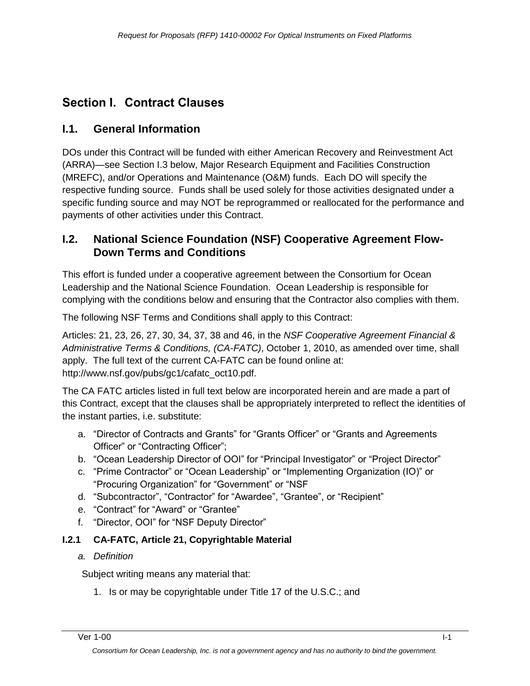# **Section I. Contract Clauses**

# **I.1. General Information**

DOs under this Contract will be funded with either American Recovery and Reinvestment Act (ARRA)—see Section I.3 below, Major Research Equipment and Facilities Construction (MREFC), and/or Operations and Maintenance (O&M) funds. Each DO will specify the respective funding source. Funds shall be used solely for those activities designated under a specific funding source and may NOT be reprogrammed or reallocated for the performance and payments of other activities under this Contract.

## **I.2. National Science Foundation (NSF) Cooperative Agreement Flow-Down Terms and Conditions**

This effort is funded under a cooperative agreement between the Consortium for Ocean Leadership and the National Science Foundation. Ocean Leadership is responsible for complying with the conditions below and ensuring that the Contractor also complies with them.

The following NSF Terms and Conditions shall apply to this Contract:

Articles: 21, 23, 26, 27, 30, 34, 37, 38 and 46, in the *NSF Cooperative Agreement Financial & Administrative Terms & Conditions, (CA-FATC)*, October 1, 2010, as amended over time, shall apply. The full text of the current CA-FATC can be found online at: http://www.nsf.gov/pubs/gc1/cafatc\_oct10.pdf.

The CA FATC articles listed in full text below are incorporated herein and are made a part of this Contract, except that the clauses shall be appropriately interpreted to reflect the identities of the instant parties, i.e. substitute:

- a. "Director of Contracts and Grants" for "Grants Officer" or "Grants and Agreements Officer" or "Contracting Officer";
- b. "Ocean Leadership Director of OOI" for "Principal Investigator" or "Project Director"
- c. "Prime Contractor" or "Ocean Leadership" or "Implementing Organization (IO)" or "Procuring Organization" for "Government" or "NSF
- d. "Subcontractor", "Contractor" for "Awardee", "Grantee", or "Recipient"
- e. "Contract" for "Award" or "Grantee"
- f. "Director, OOI" for "NSF Deputy Director"

### **I.2.1 CA-FATC, Article 21, Copyrightable Material**

*a. Definition*

Subject writing means any material that:

1. Is or may be copyrightable under Title 17 of the U.S.C.; and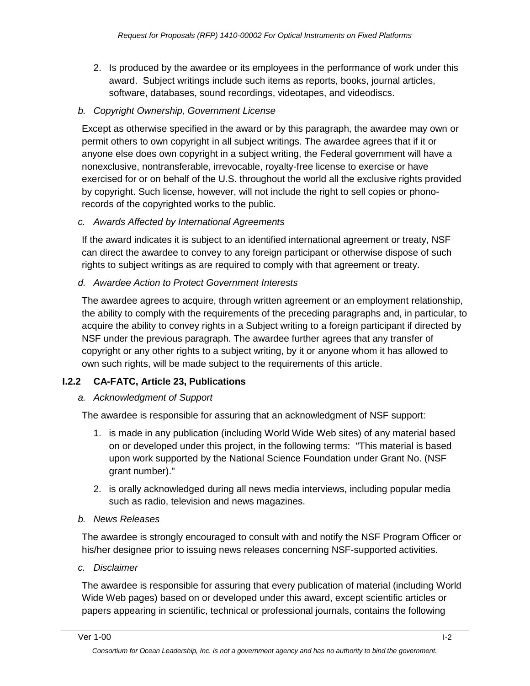2. Is produced by the awardee or its employees in the performance of work under this award. Subject writings include such items as reports, books, journal articles, software, databases, sound recordings, videotapes, and videodiscs.

#### *b. Copyright Ownership, Government License*

Except as otherwise specified in the award or by this paragraph, the awardee may own or permit others to own copyright in all subject writings. The awardee agrees that if it or anyone else does own copyright in a subject writing, the Federal government will have a nonexclusive, nontransferable, irrevocable, royalty-free license to exercise or have exercised for or on behalf of the U.S. throughout the world all the exclusive rights provided by copyright. Such license, however, will not include the right to sell copies or phonorecords of the copyrighted works to the public.

#### *c. Awards Affected by International Agreements*

If the award indicates it is subject to an identified international agreement or treaty, NSF can direct the awardee to convey to any foreign participant or otherwise dispose of such rights to subject writings as are required to comply with that agreement or treaty.

#### *d. Awardee Action to Protect Government Interests*

The awardee agrees to acquire, through written agreement or an employment relationship, the ability to comply with the requirements of the preceding paragraphs and, in particular, to acquire the ability to convey rights in a Subject writing to a foreign participant if directed by NSF under the previous paragraph. The awardee further agrees that any transfer of copyright or any other rights to a subject writing, by it or anyone whom it has allowed to own such rights, will be made subject to the requirements of this article.

### **I.2.2 CA-FATC, Article 23, Publications**

#### *a. Acknowledgment of Support*

The awardee is responsible for assuring that an acknowledgment of NSF support:

- 1. is made in any publication (including World Wide Web sites) of any material based on or developed under this project, in the following terms: "This material is based upon work supported by the National Science Foundation under Grant No. (NSF grant number)."
- 2. is orally acknowledged during all news media interviews, including popular media such as radio, television and news magazines.

#### *b. News Releases*

The awardee is strongly encouraged to consult with and notify the NSF Program Officer or his/her designee prior to issuing news releases concerning NSF-supported activities.

#### *c. Disclaimer*

The awardee is responsible for assuring that every publication of material (including World Wide Web pages) based on or developed under this award, except scientific articles or papers appearing in scientific, technical or professional journals, contains the following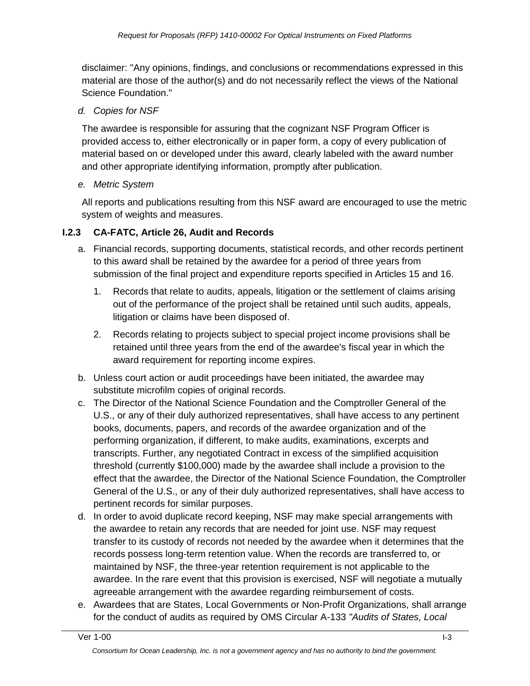disclaimer: "Any opinions, findings, and conclusions or recommendations expressed in this material are those of the author(s) and do not necessarily reflect the views of the National Science Foundation."

#### *d. Copies for NSF*

The awardee is responsible for assuring that the cognizant NSF Program Officer is provided access to, either electronically or in paper form, a copy of every publication of material based on or developed under this award, clearly labeled with the award number and other appropriate identifying information, promptly after publication.

#### *e. Metric System*

All reports and publications resulting from this NSF award are encouraged to use the metric system of weights and measures.

#### **I.2.3 CA-FATC, Article 26, Audit and Records**

- a. Financial records, supporting documents, statistical records, and other records pertinent to this award shall be retained by the awardee for a period of three years from submission of the final project and expenditure reports specified in Articles 15 and 16.
	- 1. Records that relate to audits, appeals, litigation or the settlement of claims arising out of the performance of the project shall be retained until such audits, appeals, litigation or claims have been disposed of.
	- 2. Records relating to projects subject to special project income provisions shall be retained until three years from the end of the awardee's fiscal year in which the award requirement for reporting income expires.
- b. Unless court action or audit proceedings have been initiated, the awardee may substitute microfilm copies of original records.
- c. The Director of the National Science Foundation and the Comptroller General of the U.S., or any of their duly authorized representatives, shall have access to any pertinent books, documents, papers, and records of the awardee organization and of the performing organization, if different, to make audits, examinations, excerpts and transcripts. Further, any negotiated Contract in excess of the simplified acquisition threshold (currently \$100,000) made by the awardee shall include a provision to the effect that the awardee, the Director of the National Science Foundation, the Comptroller General of the U.S., or any of their duly authorized representatives, shall have access to pertinent records for similar purposes.
- d. In order to avoid duplicate record keeping, NSF may make special arrangements with the awardee to retain any records that are needed for joint use. NSF may request transfer to its custody of records not needed by the awardee when it determines that the records possess long-term retention value. When the records are transferred to, or maintained by NSF, the three-year retention requirement is not applicable to the awardee. In the rare event that this provision is exercised, NSF will negotiate a mutually agreeable arrangement with the awardee regarding reimbursement of costs.
- e. Awardees that are States, Local Governments or Non-Profit Organizations, shall arrange for the conduct of audits as required by OMS Circular A-133 *"Audits of States, Local*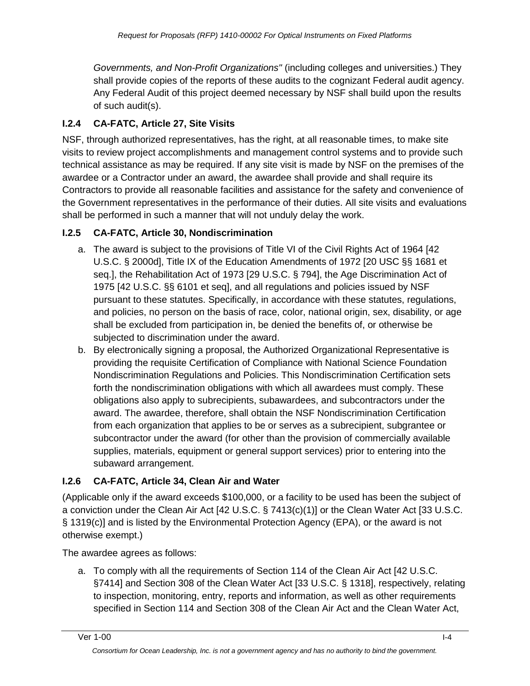*Governments, and Non-Profit Organizations"* (including colleges and universities.) They shall provide copies of the reports of these audits to the cognizant Federal audit agency. Any Federal Audit of this project deemed necessary by NSF shall build upon the results of such audit(s).

## **I.2.4 CA-FATC, Article 27, Site Visits**

NSF, through authorized representatives, has the right, at all reasonable times, to make site visits to review project accomplishments and management control systems and to provide such technical assistance as may be required. If any site visit is made by NSF on the premises of the awardee or a Contractor under an award, the awardee shall provide and shall require its Contractors to provide all reasonable facilities and assistance for the safety and convenience of the Government representatives in the performance of their duties. All site visits and evaluations shall be performed in such a manner that will not unduly delay the work.

## **I.2.5 CA-FATC, Article 30, Nondiscrimination**

- a. The award is subject to the provisions of Title VI of the Civil Rights Act of 1964 [42 U.S.C. § 2000d], Title IX of the Education Amendments of 1972 [20 USC §§ 1681 et seq.], the Rehabilitation Act of 1973 [29 U.S.C. § 794], the Age Discrimination Act of 1975 [42 U.S.C. §§ 6101 et seq], and all regulations and policies issued by NSF pursuant to these statutes. Specifically, in accordance with these statutes, regulations, and policies, no person on the basis of race, color, national origin, sex, disability, or age shall be excluded from participation in, be denied the benefits of, or otherwise be subjected to discrimination under the award.
- b. By electronically signing a proposal, the Authorized Organizational Representative is providing the requisite Certification of Compliance with National Science Foundation Nondiscrimination Regulations and Policies. This Nondiscrimination Certification sets forth the nondiscrimination obligations with which all awardees must comply. These obligations also apply to subrecipients, subawardees, and subcontractors under the award. The awardee, therefore, shall obtain the NSF Nondiscrimination Certification from each organization that applies to be or serves as a subrecipient, subgrantee or subcontractor under the award (for other than the provision of commercially available supplies, materials, equipment or general support services) prior to entering into the subaward arrangement.

## **I.2.6 CA-FATC, Article 34, Clean Air and Water**

(Applicable only if the award exceeds \$100,000, or a facility to be used has been the subject of a conviction under the Clean Air Act [42 U.S.C. § 7413(c)(1)] or the Clean Water Act [33 U.S.C. § 1319(c)] and is listed by the Environmental Protection Agency (EPA), or the award is not otherwise exempt.)

The awardee agrees as follows:

a. To comply with all the requirements of Section 114 of the Clean Air Act [42 U.S.C. §7414] and Section 308 of the Clean Water Act [33 U.S.C. § 1318], respectively, relating to inspection, monitoring, entry, reports and information, as well as other requirements specified in Section 114 and Section 308 of the Clean Air Act and the Clean Water Act,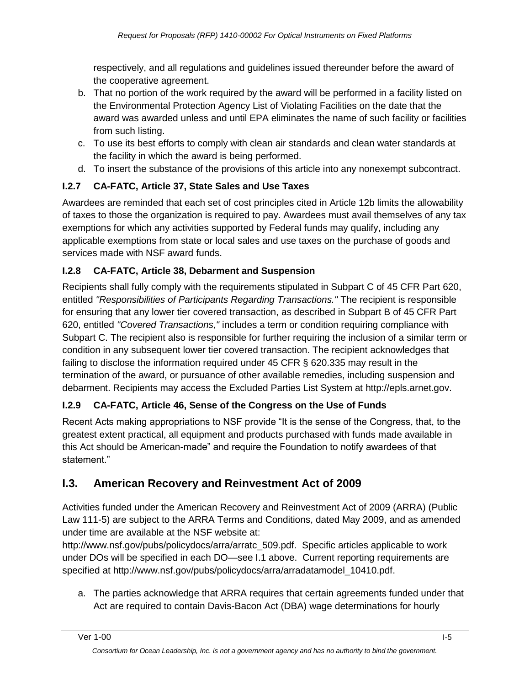respectively, and all regulations and guidelines issued thereunder before the award of the cooperative agreement.

- b. That no portion of the work required by the award will be performed in a facility listed on the Environmental Protection Agency List of Violating Facilities on the date that the award was awarded unless and until EPA eliminates the name of such facility or facilities from such listing.
- c. To use its best efforts to comply with clean air standards and clean water standards at the facility in which the award is being performed.
- d. To insert the substance of the provisions of this article into any nonexempt subcontract.

# **I.2.7 CA-FATC, Article 37, State Sales and Use Taxes**

Awardees are reminded that each set of cost principles cited in Article 12b limits the allowability of taxes to those the organization is required to pay. Awardees must avail themselves of any tax exemptions for which any activities supported by Federal funds may qualify, including any applicable exemptions from state or local sales and use taxes on the purchase of goods and services made with NSF award funds.

## **I.2.8 CA-FATC, Article 38, Debarment and Suspension**

Recipients shall fully comply with the requirements stipulated in Subpart C of 45 CFR Part 620, entitled *"Responsibilities of Participants Regarding Transactions."* The recipient is responsible for ensuring that any lower tier covered transaction, as described in Subpart B of 45 CFR Part 620, entitled *"Covered Transactions,"* includes a term or condition requiring compliance with Subpart C. The recipient also is responsible for further requiring the inclusion of a similar term or condition in any subsequent lower tier covered transaction. The recipient acknowledges that failing to disclose the information required under 45 CFR § 620.335 may result in the termination of the award, or pursuance of other available remedies, including suspension and debarment. Recipients may access the Excluded Parties List System at http://epls.arnet.gov.

# **I.2.9 CA-FATC, Article 46, Sense of the Congress on the Use of Funds**

Recent Acts making appropriations to NSF provide "It is the sense of the Congress, that, to the greatest extent practical, all equipment and products purchased with funds made available in this Act should be American-made" and require the Foundation to notify awardees of that statement."

# **I.3. American Recovery and Reinvestment Act of 2009**

Activities funded under the American Recovery and Reinvestment Act of 2009 (ARRA) (Public Law 111-5) are subject to the ARRA Terms and Conditions, dated May 2009, and as amended under time are available at the NSF website at:

http://www.nsf.gov/pubs/policydocs/arra/arratc\_509.pdf. Specific articles applicable to work under DOs will be specified in each DO—see I.1 above. Current reporting requirements are specified at http://www.nsf.gov/pubs/policydocs/arra/arradatamodel\_10410.pdf.

a. The parties acknowledge that ARRA requires that certain agreements funded under that Act are required to contain Davis-Bacon Act (DBA) wage determinations for hourly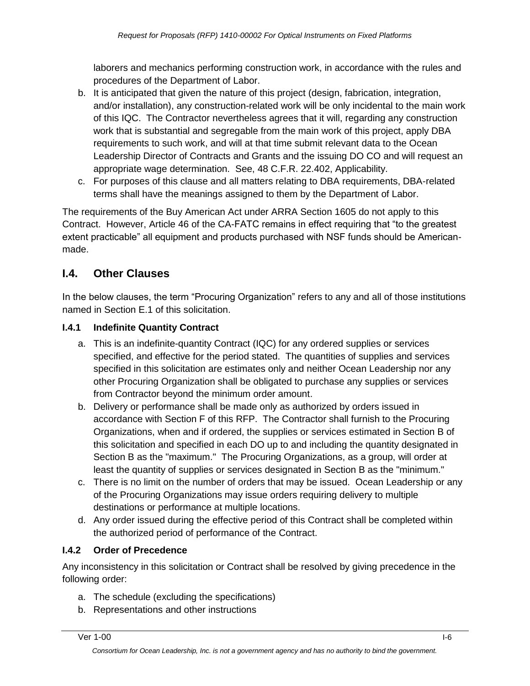laborers and mechanics performing construction work, in accordance with the rules and procedures of the Department of Labor.

- b. It is anticipated that given the nature of this project (design, fabrication, integration, and/or installation), any construction-related work will be only incidental to the main work of this IQC. The Contractor nevertheless agrees that it will, regarding any construction work that is substantial and segregable from the main work of this project, apply DBA requirements to such work, and will at that time submit relevant data to the Ocean Leadership Director of Contracts and Grants and the issuing DO CO and will request an appropriate wage determination. See, 48 C.F.R. 22.402, Applicability.
- c. For purposes of this clause and all matters relating to DBA requirements, DBA-related terms shall have the meanings assigned to them by the Department of Labor.

The requirements of the Buy American Act under ARRA Section 1605 do not apply to this Contract. However, Article 46 of the CA-FATC remains in effect requiring that "to the greatest extent practicable" all equipment and products purchased with NSF funds should be Americanmade.

# **I.4. Other Clauses**

In the below clauses, the term "Procuring Organization" refers to any and all of those institutions named in Section E.1 of this solicitation.

### **I.4.1 Indefinite Quantity Contract**

- a. This is an indefinite-quantity Contract (IQC) for any ordered supplies or services specified, and effective for the period stated. The quantities of supplies and services specified in this solicitation are estimates only and neither Ocean Leadership nor any other Procuring Organization shall be obligated to purchase any supplies or services from Contractor beyond the minimum order amount.
- b. Delivery or performance shall be made only as authorized by orders issued in accordance with Section F of this RFP. The Contractor shall furnish to the Procuring Organizations, when and if ordered, the supplies or services estimated in Section B of this solicitation and specified in each DO up to and including the quantity designated in Section B as the "maximum." The Procuring Organizations, as a group, will order at least the quantity of supplies or services designated in Section B as the "minimum."
- c. There is no limit on the number of orders that may be issued. Ocean Leadership or any of the Procuring Organizations may issue orders requiring delivery to multiple destinations or performance at multiple locations.
- d. Any order issued during the effective period of this Contract shall be completed within the authorized period of performance of the Contract.

## **I.4.2 Order of Precedence**

Any inconsistency in this solicitation or Contract shall be resolved by giving precedence in the following order:

- a. The schedule (excluding the specifications)
- b. Representations and other instructions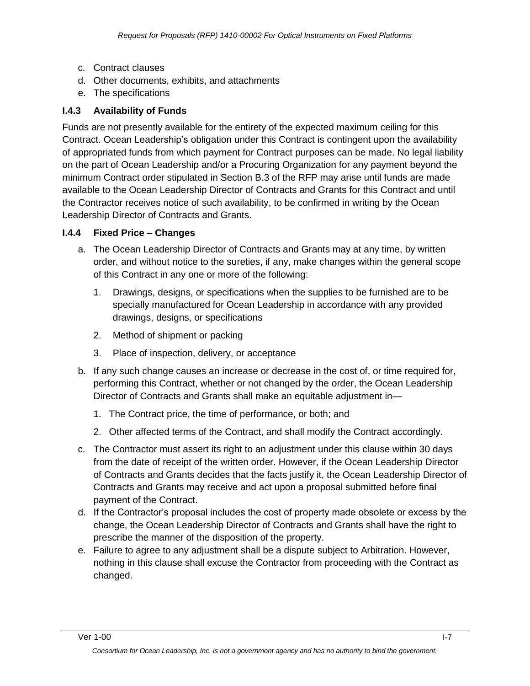- c. Contract clauses
- d. Other documents, exhibits, and attachments
- e. The specifications

#### **I.4.3 Availability of Funds**

Funds are not presently available for the entirety of the expected maximum ceiling for this Contract. Ocean Leadership's obligation under this Contract is contingent upon the availability of appropriated funds from which payment for Contract purposes can be made. No legal liability on the part of Ocean Leadership and/or a Procuring Organization for any payment beyond the minimum Contract order stipulated in Section B.3 of the RFP may arise until funds are made available to the Ocean Leadership Director of Contracts and Grants for this Contract and until the Contractor receives notice of such availability, to be confirmed in writing by the Ocean Leadership Director of Contracts and Grants.

#### **I.4.4 Fixed Price – Changes**

- a. The Ocean Leadership Director of Contracts and Grants may at any time, by written order, and without notice to the sureties, if any, make changes within the general scope of this Contract in any one or more of the following:
	- 1. Drawings, designs, or specifications when the supplies to be furnished are to be specially manufactured for Ocean Leadership in accordance with any provided drawings, designs, or specifications
	- 2. Method of shipment or packing
	- 3. Place of inspection, delivery, or acceptance
- b. If any such change causes an increase or decrease in the cost of, or time required for, performing this Contract, whether or not changed by the order, the Ocean Leadership Director of Contracts and Grants shall make an equitable adjustment in—
	- 1. The Contract price, the time of performance, or both; and
	- 2. Other affected terms of the Contract, and shall modify the Contract accordingly.
- c. The Contractor must assert its right to an adjustment under this clause within 30 days from the date of receipt of the written order. However, if the Ocean Leadership Director of Contracts and Grants decides that the facts justify it, the Ocean Leadership Director of Contracts and Grants may receive and act upon a proposal submitted before final payment of the Contract.
- d. If the Contractor's proposal includes the cost of property made obsolete or excess by the change, the Ocean Leadership Director of Contracts and Grants shall have the right to prescribe the manner of the disposition of the property.
- e. Failure to agree to any adjustment shall be a dispute subject to Arbitration. However, nothing in this clause shall excuse the Contractor from proceeding with the Contract as changed.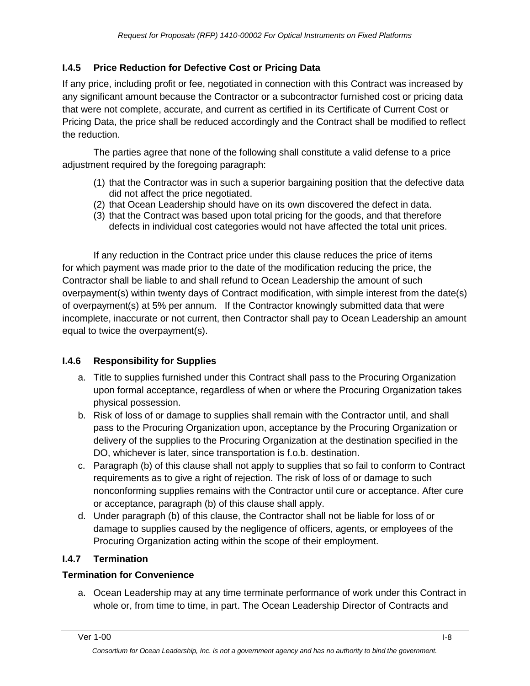### **I.4.5 Price Reduction for Defective Cost or Pricing Data**

If any price, including profit or fee, negotiated in connection with this Contract was increased by any significant amount because the Contractor or a subcontractor furnished cost or pricing data that were not complete, accurate, and current as certified in its Certificate of Current Cost or Pricing Data, the price shall be reduced accordingly and the Contract shall be modified to reflect the reduction.

The parties agree that none of the following shall constitute a valid defense to a price adjustment required by the foregoing paragraph:

- (1) that the Contractor was in such a superior bargaining position that the defective data did not affect the price negotiated.
- (2) that Ocean Leadership should have on its own discovered the defect in data.
- (3) that the Contract was based upon total pricing for the goods, and that therefore defects in individual cost categories would not have affected the total unit prices.

If any reduction in the Contract price under this clause reduces the price of items for which payment was made prior to the date of the modification reducing the price, the Contractor shall be liable to and shall refund to Ocean Leadership the amount of such overpayment(s) within twenty days of Contract modification, with simple interest from the date(s) of overpayment(s) at 5% per annum. If the Contractor knowingly submitted data that were incomplete, inaccurate or not current, then Contractor shall pay to Ocean Leadership an amount equal to twice the overpayment(s).

### **I.4.6 Responsibility for Supplies**

- a. Title to supplies furnished under this Contract shall pass to the Procuring Organization upon formal acceptance, regardless of when or where the Procuring Organization takes physical possession.
- b. Risk of loss of or damage to supplies shall remain with the Contractor until, and shall pass to the Procuring Organization upon, acceptance by the Procuring Organization or delivery of the supplies to the Procuring Organization at the destination specified in the DO, whichever is later, since transportation is f.o.b. destination.
- c. Paragraph (b) of this clause shall not apply to supplies that so fail to conform to Contract requirements as to give a right of rejection. The risk of loss of or damage to such nonconforming supplies remains with the Contractor until cure or acceptance. After cure or acceptance, paragraph (b) of this clause shall apply.
- d. Under paragraph (b) of this clause, the Contractor shall not be liable for loss of or damage to supplies caused by the negligence of officers, agents, or employees of the Procuring Organization acting within the scope of their employment.

### **I.4.7 Termination**

### **Termination for Convenience**

a. Ocean Leadership may at any time terminate performance of work under this Contract in whole or, from time to time, in part. The Ocean Leadership Director of Contracts and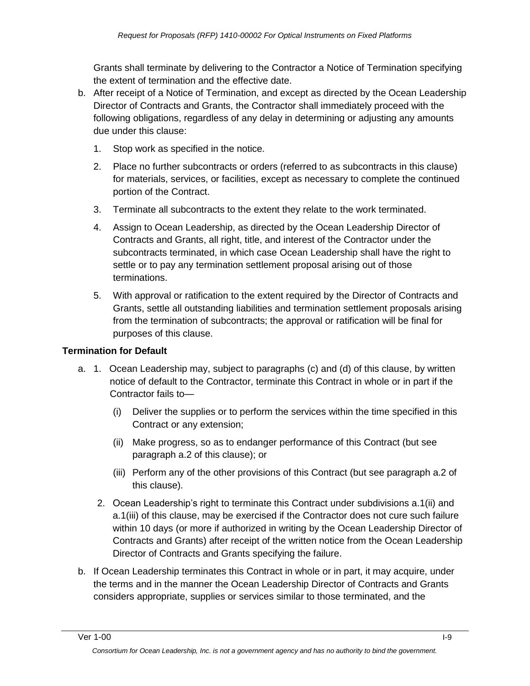Grants shall terminate by delivering to the Contractor a Notice of Termination specifying the extent of termination and the effective date.

- b. After receipt of a Notice of Termination, and except as directed by the Ocean Leadership Director of Contracts and Grants, the Contractor shall immediately proceed with the following obligations, regardless of any delay in determining or adjusting any amounts due under this clause:
	- 1. Stop work as specified in the notice.
	- 2. Place no further subcontracts or orders (referred to as subcontracts in this clause) for materials, services, or facilities, except as necessary to complete the continued portion of the Contract.
	- 3. Terminate all subcontracts to the extent they relate to the work terminated.
	- 4. Assign to Ocean Leadership, as directed by the Ocean Leadership Director of Contracts and Grants, all right, title, and interest of the Contractor under the subcontracts terminated, in which case Ocean Leadership shall have the right to settle or to pay any termination settlement proposal arising out of those terminations.
	- 5. With approval or ratification to the extent required by the Director of Contracts and Grants, settle all outstanding liabilities and termination settlement proposals arising from the termination of subcontracts; the approval or ratification will be final for purposes of this clause.

## **Termination for Default**

- a. 1. Ocean Leadership may, subject to paragraphs (c) and (d) of this clause, by written notice of default to the Contractor, terminate this Contract in whole or in part if the Contractor fails to—
	- (i) Deliver the supplies or to perform the services within the time specified in this Contract or any extension;
	- (ii) Make progress, so as to endanger performance of this Contract (but see paragraph a.2 of this clause); or
	- (iii) Perform any of the other provisions of this Contract (but see paragraph a.2 of this clause).
	- 2. Ocean Leadership's right to terminate this Contract under subdivisions a.1(ii) and a.1(iii) of this clause, may be exercised if the Contractor does not cure such failure within 10 days (or more if authorized in writing by the Ocean Leadership Director of Contracts and Grants) after receipt of the written notice from the Ocean Leadership Director of Contracts and Grants specifying the failure.
- b. If Ocean Leadership terminates this Contract in whole or in part, it may acquire, under the terms and in the manner the Ocean Leadership Director of Contracts and Grants considers appropriate, supplies or services similar to those terminated, and the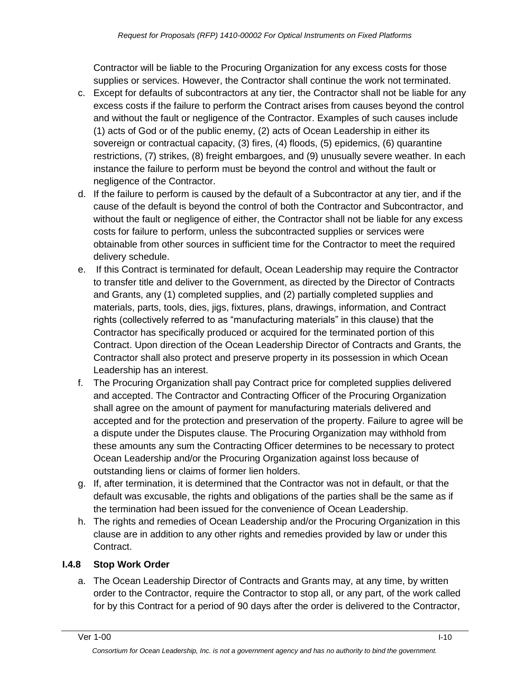Contractor will be liable to the Procuring Organization for any excess costs for those supplies or services. However, the Contractor shall continue the work not terminated.

- c. Except for defaults of subcontractors at any tier, the Contractor shall not be liable for any excess costs if the failure to perform the Contract arises from causes beyond the control and without the fault or negligence of the Contractor. Examples of such causes include (1) acts of God or of the public enemy, (2) acts of Ocean Leadership in either its sovereign or contractual capacity, (3) fires, (4) floods, (5) epidemics, (6) quarantine restrictions, (7) strikes, (8) freight embargoes, and (9) unusually severe weather. In each instance the failure to perform must be beyond the control and without the fault or negligence of the Contractor.
- d. If the failure to perform is caused by the default of a Subcontractor at any tier, and if the cause of the default is beyond the control of both the Contractor and Subcontractor, and without the fault or negligence of either, the Contractor shall not be liable for any excess costs for failure to perform, unless the subcontracted supplies or services were obtainable from other sources in sufficient time for the Contractor to meet the required delivery schedule.
- e. If this Contract is terminated for default, Ocean Leadership may require the Contractor to transfer title and deliver to the Government, as directed by the Director of Contracts and Grants, any (1) completed supplies, and (2) partially completed supplies and materials, parts, tools, dies, jigs, fixtures, plans, drawings, information, and Contract rights (collectively referred to as "manufacturing materials" in this clause) that the Contractor has specifically produced or acquired for the terminated portion of this Contract. Upon direction of the Ocean Leadership Director of Contracts and Grants, the Contractor shall also protect and preserve property in its possession in which Ocean Leadership has an interest.
- f. The Procuring Organization shall pay Contract price for completed supplies delivered and accepted. The Contractor and Contracting Officer of the Procuring Organization shall agree on the amount of payment for manufacturing materials delivered and accepted and for the protection and preservation of the property. Failure to agree will be a dispute under the Disputes clause. The Procuring Organization may withhold from these amounts any sum the Contracting Officer determines to be necessary to protect Ocean Leadership and/or the Procuring Organization against loss because of outstanding liens or claims of former lien holders.
- g. If, after termination, it is determined that the Contractor was not in default, or that the default was excusable, the rights and obligations of the parties shall be the same as if the termination had been issued for the convenience of Ocean Leadership.
- h. The rights and remedies of Ocean Leadership and/or the Procuring Organization in this clause are in addition to any other rights and remedies provided by law or under this Contract.

## **I.4.8 Stop Work Order**

a. The Ocean Leadership Director of Contracts and Grants may, at any time, by written order to the Contractor, require the Contractor to stop all, or any part, of the work called for by this Contract for a period of 90 days after the order is delivered to the Contractor,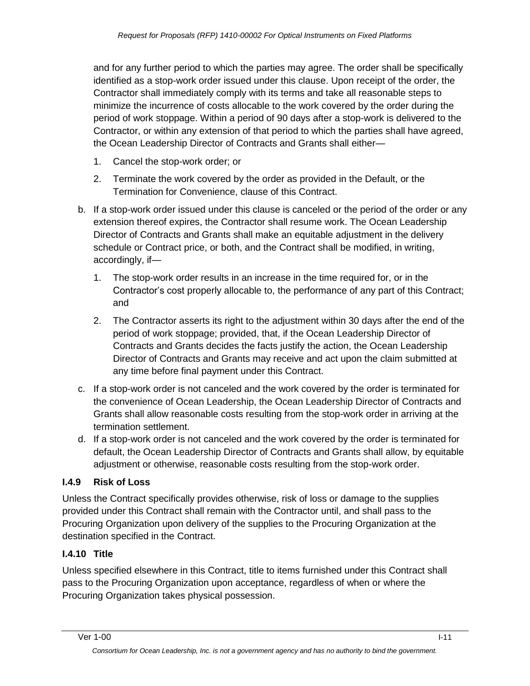and for any further period to which the parties may agree. The order shall be specifically identified as a stop-work order issued under this clause. Upon receipt of the order, the Contractor shall immediately comply with its terms and take all reasonable steps to minimize the incurrence of costs allocable to the work covered by the order during the period of work stoppage. Within a period of 90 days after a stop-work is delivered to the Contractor, or within any extension of that period to which the parties shall have agreed, the Ocean Leadership Director of Contracts and Grants shall either—

- 1. Cancel the stop-work order; or
- 2. Terminate the work covered by the order as provided in the Default, or the Termination for Convenience, clause of this Contract.
- b. If a stop-work order issued under this clause is canceled or the period of the order or any extension thereof expires, the Contractor shall resume work. The Ocean Leadership Director of Contracts and Grants shall make an equitable adjustment in the delivery schedule or Contract price, or both, and the Contract shall be modified, in writing, accordingly, if—
	- 1. The stop-work order results in an increase in the time required for, or in the Contractor's cost properly allocable to, the performance of any part of this Contract; and
	- 2. The Contractor asserts its right to the adjustment within 30 days after the end of the period of work stoppage; provided, that, if the Ocean Leadership Director of Contracts and Grants decides the facts justify the action, the Ocean Leadership Director of Contracts and Grants may receive and act upon the claim submitted at any time before final payment under this Contract.
- c. If a stop-work order is not canceled and the work covered by the order is terminated for the convenience of Ocean Leadership, the Ocean Leadership Director of Contracts and Grants shall allow reasonable costs resulting from the stop-work order in arriving at the termination settlement.
- d. If a stop-work order is not canceled and the work covered by the order is terminated for default, the Ocean Leadership Director of Contracts and Grants shall allow, by equitable adjustment or otherwise, reasonable costs resulting from the stop-work order.

### **I.4.9 Risk of Loss**

Unless the Contract specifically provides otherwise, risk of loss or damage to the supplies provided under this Contract shall remain with the Contractor until, and shall pass to the Procuring Organization upon delivery of the supplies to the Procuring Organization at the destination specified in the Contract.

### **I.4.10 Title**

Unless specified elsewhere in this Contract, title to items furnished under this Contract shall pass to the Procuring Organization upon acceptance, regardless of when or where the Procuring Organization takes physical possession.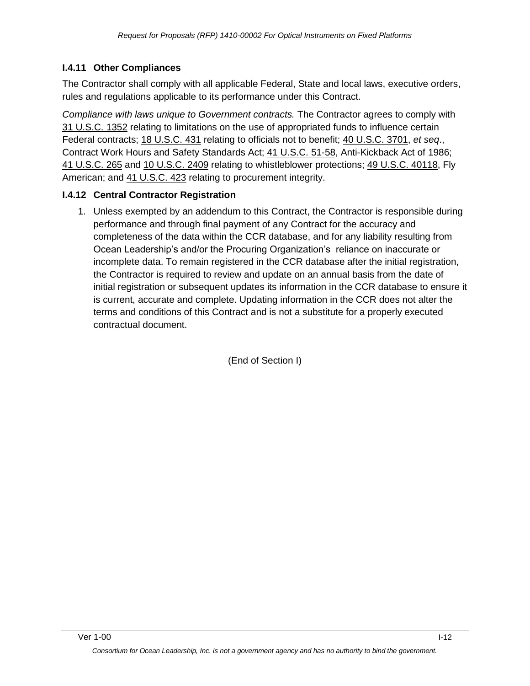### **I.4.11 Other Compliances**

The Contractor shall comply with all applicable Federal, State and local laws, executive orders, rules and regulations applicable to its performance under this Contract.

*Compliance with laws unique to Government contracts.* The Contractor agrees to comply with 31 [U.S.C.](http://uscode.house.gov/uscode-cgi/fastweb.exe?getdoc+uscview+t29t32+1665+30++%2831%29%20%20AND%20%28%2831%29%20ADJ%20USC%29%3ACITE%20%20%20%20%20%20%20%20%20) 1352 relating to limitations on the use of appropriated funds to influence certain Federal contracts; 18 [U.S.C.](http://uscode.house.gov/uscode-cgi/fastweb.exe?getdoc+uscview+t17t20+160+141++%2818%29%20%25) 431 relating to officials not to benefit; 40 [U.S.C.](http://uscode.house.gov/uscode-cgi/fastweb.exe?getdoc+uscview+t37t40+1574+51++%2840%29%20%20AND%20%28%2840%29%20ADJ%20USC%29%3ACITE%20%20%20%20%20%20%20%20%20) 3701, *et seq*., Contract Work Hours and Safety Standards Act; 41 [U.S.C.](http://uscode.house.gov/uscode-cgi/fastweb.exe?getdoc+uscview+t41t42+2+13++%2841%29%20%20AND%20%28%2841%29%20ADJ%20USC%29%3ACITE%20%20%20%20%20%20%20%20%20) 51-58, Anti-Kickback Act of 1986; 41 [U.S.C.](http://uscode.house.gov/uscode-cgi/fastweb.exe?getdoc+uscview+t41t42+2+13++%2841%29%20%20AND%20%28%2841%29%20ADJ%20USC%29%3ACITE%20%20%20%20%20%20%20%20%20) 265 and 10 [U.S.C.](http://uscode.house.gov/uscode-cgi/fastweb.exe?getdoc+uscview+t09t12+37+408++%2810%29%20%252) 2409 relating to whistleblower protections; 49 U.S.C. [40118,](http://uscode.house.gov/uscode-cgi/fastweb.exe?getdoc+uscview+t49t50+2+224++%2849%29%20%20AND%20%28%2849%29%20ADJ%20USC%29%3ACITE%20%20%20%20%20%20%20%20%20) Fly American; and 41 [U.S.C.](http://uscode.house.gov/uscode-cgi/fastweb.exe?getdoc+uscview+t41t42+2+13++%2841%29%20%20AND%20%28%2841%29%20ADJ%20USC%29%3ACITE%20%20%20%20%20%20%20%20%20) 423 relating to procurement integrity.

### **I.4.12 Central Contractor Registration**

1. Unless exempted by an addendum to this Contract, the Contractor is responsible during performance and through final payment of any Contract for the accuracy and completeness of the data within the CCR database, and for any liability resulting from Ocean Leadership's and/or the Procuring Organization's reliance on inaccurate or incomplete data. To remain registered in the CCR database after the initial registration, the Contractor is required to review and update on an annual basis from the date of initial registration or subsequent updates its information in the CCR database to ensure it is current, accurate and complete. Updating information in the CCR does not alter the terms and conditions of this Contract and is not a substitute for a properly executed contractual document.

(End of Section I)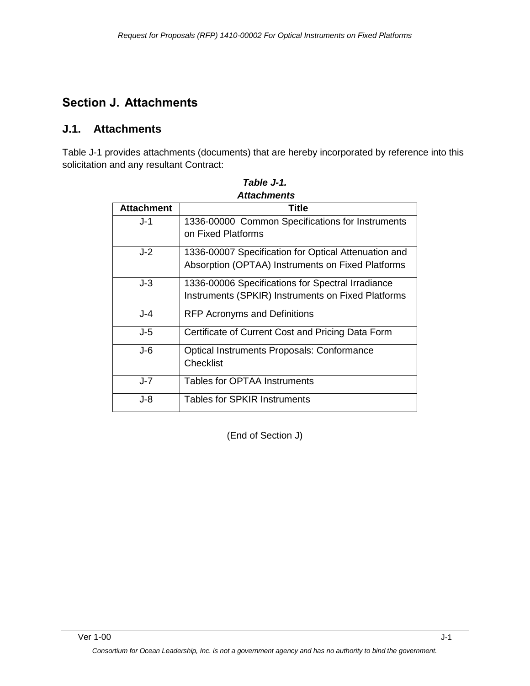# **Section J. Attachments**

### **J.1. Attachments**

Table J-1 provides attachments (documents) that are hereby incorporated by reference into this solicitation and any resultant Contract:

| <b>Attachment</b> | Title                                                |
|-------------------|------------------------------------------------------|
|                   |                                                      |
| $J-1$             | 1336-00000 Common Specifications for Instruments     |
|                   | on Fixed Platforms                                   |
| J-2               | 1336-00007 Specification for Optical Attenuation and |
|                   | Absorption (OPTAA) Instruments on Fixed Platforms    |
| J-3               | 1336-00006 Specifications for Spectral Irradiance    |
|                   | Instruments (SPKIR) Instruments on Fixed Platforms   |
| J-4               | <b>RFP Acronyms and Definitions</b>                  |
| J-5               | Certificate of Current Cost and Pricing Data Form    |
| $J - 6$           | <b>Optical Instruments Proposals: Conformance</b>    |
|                   | Checklist                                            |
| J-7               | <b>Tables for OPTAA Instruments</b>                  |
| J-8               | Tables for SPKIR Instruments                         |

*Table J-1. Attachments*

(End of Section J)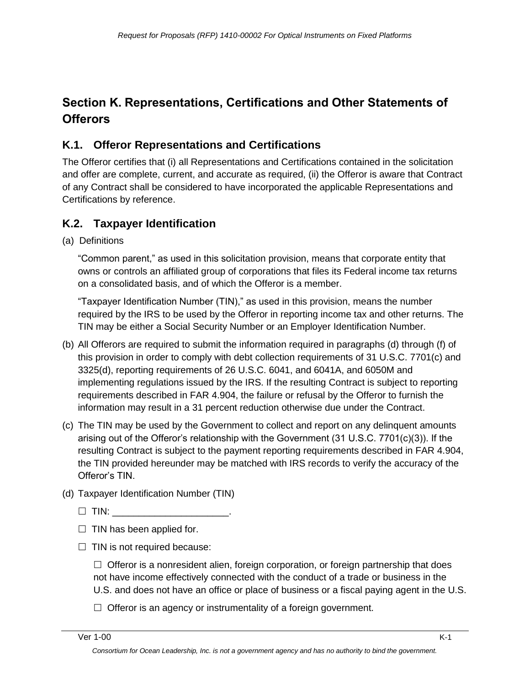# **Section K. Representations, Certifications and Other Statements of Offerors**

# **K.1. Offeror Representations and Certifications**

The Offeror certifies that (i) all Representations and Certifications contained in the solicitation and offer are complete, current, and accurate as required, (ii) the Offeror is aware that Contract of any Contract shall be considered to have incorporated the applicable Representations and Certifications by reference.

# **K.2. Taxpayer Identification**

(a) Definitions

―Common parent,‖ as used in this solicitation provision, means that corporate entity that owns or controls an affiliated group of corporations that files its Federal income tax returns on a consolidated basis, and of which the Offeror is a member.

―Taxpayer Identification Number (TIN),‖ as used in this provision, means the number required by the IRS to be used by the Offeror in reporting income tax and other returns. The TIN may be either a Social Security Number or an Employer Identification Number.

- (b) All Offerors are required to submit the information required in paragraphs (d) through (f) of this provision in order to comply with debt collection requirements of 31 U.S.C. 7701(c) and 3325(d), reporting requirements of 26 U.S.C. 6041, and 6041A, and 6050M and implementing regulations issued by the IRS. If the resulting Contract is subject to reporting requirements described in FAR 4.904, the failure or refusal by the Offeror to furnish the information may result in a 31 percent reduction otherwise due under the Contract.
- (c) The TIN may be used by the Government to collect and report on any delinquent amounts arising out of the Offeror's relationship with the Government (31 U.S.C. 7701(c)(3)). If the resulting Contract is subject to the payment reporting requirements described in FAR 4.904, the TIN provided hereunder may be matched with IRS records to verify the accuracy of the Offeror's TIN.
- (d) Taxpayer Identification Number (TIN)
	- $\Box$  TIN:
	- $\Box$  TIN has been applied for.
	- $\Box$  TIN is not required because:

 $\Box$  Offeror is a nonresident alien, foreign corporation, or foreign partnership that does not have income effectively connected with the conduct of a trade or business in the U.S. and does not have an office or place of business or a fiscal paying agent in the U.S.

 $\Box$  Offeror is an agency or instrumentality of a foreign government.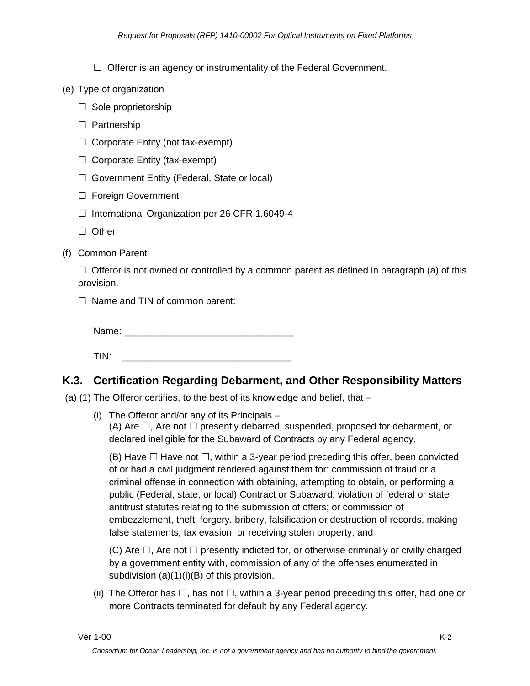$\Box$  Offeror is an agency or instrumentality of the Federal Government.

- (e) Type of organization
	- $\Box$  Sole proprietorship
	- $\Box$  Partnership
	- $\Box$  Corporate Entity (not tax-exempt)
	- $\Box$  Corporate Entity (tax-exempt)
	- $\Box$  Government Entity (Federal, State or local)
	- $\Box$  Foreign Government
	- $\Box$  International Organization per 26 CFR 1.6049-4
	- $\Box$  Other
- (f) Common Parent

 $\Box$  Offeror is not owned or controlled by a common parent as defined in paragraph (a) of this provision.

 $\Box$  Name and TIN of common parent:

Name: \_\_\_\_\_\_\_\_\_\_\_\_\_\_\_\_\_\_\_\_\_\_\_\_\_\_\_\_\_\_\_\_

 $TIN:$ 

## **K.3. Certification Regarding Debarment, and Other Responsibility Matters**

(a) (1) The Offeror certifies, to the best of its knowledge and belief, that –

(i) The Offeror and/or any of its Principals – (A) Are  $\Box$ , Are not  $\Box$  presently debarred, suspended, proposed for debarment, or declared ineligible for the Subaward of Contracts by any Federal agency.

(B) Have  $\Box$  Have not  $\Box$ , within a 3-year period preceding this offer, been convicted of or had a civil judgment rendered against them for: commission of fraud or a criminal offense in connection with obtaining, attempting to obtain, or performing a public (Federal, state, or local) Contract or Subaward; violation of federal or state antitrust statutes relating to the submission of offers; or commission of embezzlement, theft, forgery, bribery, falsification or destruction of records, making false statements, tax evasion, or receiving stolen property; and

(C) Are  $\Box$ , Are not  $\Box$  presently indicted for, or otherwise criminally or civilly charged by a government entity with, commission of any of the offenses enumerated in subdivision (a)(1)(i)(B) of this provision.

(ii) The Offeror has  $\Box$ , has not  $\Box$ , within a 3-year period preceding this offer, had one or more Contracts terminated for default by any Federal agency.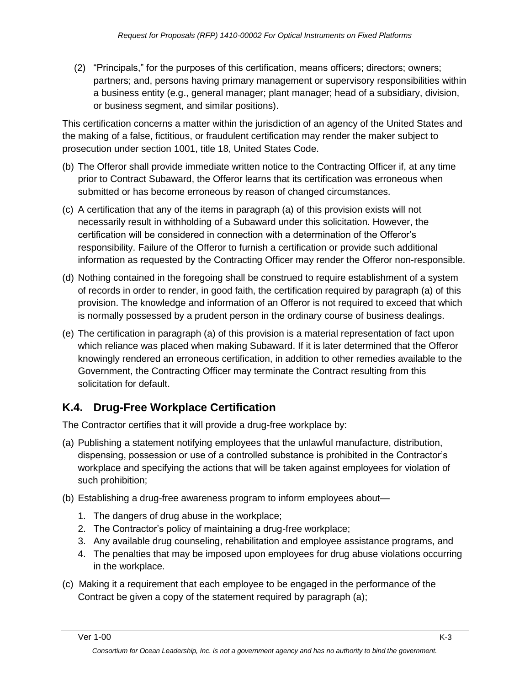(2) "Principals," for the purposes of this certification, means officers; directors; owners; partners; and, persons having primary management or supervisory responsibilities within a business entity (e.g., general manager; plant manager; head of a subsidiary, division, or business segment, and similar positions).

This certification concerns a matter within the jurisdiction of an agency of the United States and the making of a false, fictitious, or fraudulent certification may render the maker subject to prosecution under section 1001, title 18, United States Code.

- (b) The Offeror shall provide immediate written notice to the Contracting Officer if, at any time prior to Contract Subaward, the Offeror learns that its certification was erroneous when submitted or has become erroneous by reason of changed circumstances.
- (c) A certification that any of the items in paragraph (a) of this provision exists will not necessarily result in withholding of a Subaward under this solicitation. However, the certification will be considered in connection with a determination of the Offeror's responsibility. Failure of the Offeror to furnish a certification or provide such additional information as requested by the Contracting Officer may render the Offeror non-responsible.
- (d) Nothing contained in the foregoing shall be construed to require establishment of a system of records in order to render, in good faith, the certification required by paragraph (a) of this provision. The knowledge and information of an Offeror is not required to exceed that which is normally possessed by a prudent person in the ordinary course of business dealings.
- (e) The certification in paragraph (a) of this provision is a material representation of fact upon which reliance was placed when making Subaward. If it is later determined that the Offeror knowingly rendered an erroneous certification, in addition to other remedies available to the Government, the Contracting Officer may terminate the Contract resulting from this solicitation for default.

# **K.4. Drug-Free Workplace Certification**

The Contractor certifies that it will provide a drug-free workplace by:

- (a) Publishing a statement notifying employees that the unlawful manufacture, distribution, dispensing, possession or use of a controlled substance is prohibited in the Contractor's workplace and specifying the actions that will be taken against employees for violation of such prohibition;
- (b) Establishing a drug-free awareness program to inform employees about—
	- 1. The dangers of drug abuse in the workplace;
	- 2. The Contractor's policy of maintaining a drug-free workplace;
	- 3. Any available drug counseling, rehabilitation and employee assistance programs, and
	- 4. The penalties that may be imposed upon employees for drug abuse violations occurring in the workplace.
- (c) Making it a requirement that each employee to be engaged in the performance of the Contract be given a copy of the statement required by paragraph (a);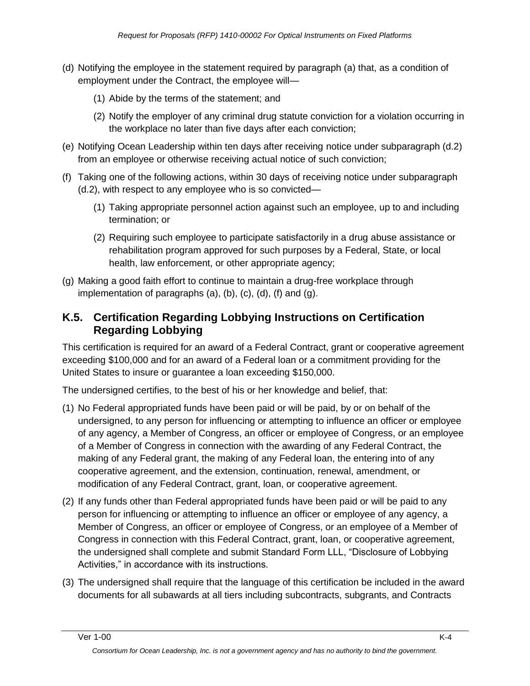- (d) Notifying the employee in the statement required by paragraph (a) that, as a condition of employment under the Contract, the employee will—
	- (1) Abide by the terms of the statement; and
	- (2) Notify the employer of any criminal drug statute conviction for a violation occurring in the workplace no later than five days after each conviction;
- (e) Notifying Ocean Leadership within ten days after receiving notice under subparagraph (d.2) from an employee or otherwise receiving actual notice of such conviction;
- (f) Taking one of the following actions, within 30 days of receiving notice under subparagraph (d.2), with respect to any employee who is so convicted—
	- (1) Taking appropriate personnel action against such an employee, up to and including termination; or
	- (2) Requiring such employee to participate satisfactorily in a drug abuse assistance or rehabilitation program approved for such purposes by a Federal, State, or local health, law enforcement, or other appropriate agency;
- (g) Making a good faith effort to continue to maintain a drug-free workplace through implementation of paragraphs (a), (b), (c), (d), (f) and (g).

## **K.5. Certification Regarding Lobbying Instructions on Certification Regarding Lobbying**

This certification is required for an award of a Federal Contract, grant or cooperative agreement exceeding \$100,000 and for an award of a Federal loan or a commitment providing for the United States to insure or guarantee a loan exceeding \$150,000.

The undersigned certifies, to the best of his or her knowledge and belief, that:

- (1) No Federal appropriated funds have been paid or will be paid, by or on behalf of the undersigned, to any person for influencing or attempting to influence an officer or employee of any agency, a Member of Congress, an officer or employee of Congress, or an employee of a Member of Congress in connection with the awarding of any Federal Contract, the making of any Federal grant, the making of any Federal loan, the entering into of any cooperative agreement, and the extension, continuation, renewal, amendment, or modification of any Federal Contract, grant, loan, or cooperative agreement.
- (2) If any funds other than Federal appropriated funds have been paid or will be paid to any person for influencing or attempting to influence an officer or employee of any agency, a Member of Congress, an officer or employee of Congress, or an employee of a Member of Congress in connection with this Federal Contract, grant, loan, or cooperative agreement, the undersigned shall complete and submit Standard Form LLL, "Disclosure of Lobbying Activities," in accordance with its instructions.
- (3) The undersigned shall require that the language of this certification be included in the award documents for all subawards at all tiers including subcontracts, subgrants, and Contracts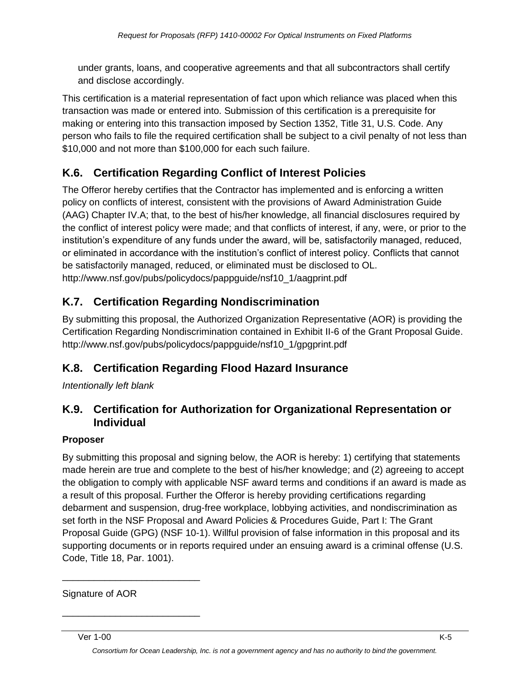under grants, loans, and cooperative agreements and that all subcontractors shall certify and disclose accordingly.

This certification is a material representation of fact upon which reliance was placed when this transaction was made or entered into. Submission of this certification is a prerequisite for making or entering into this transaction imposed by Section 1352, Title 31, U.S. Code. Any person who fails to file the required certification shall be subject to a civil penalty of not less than \$10,000 and not more than \$100,000 for each such failure.

# **K.6. Certification Regarding Conflict of Interest Policies**

The Offeror hereby certifies that the Contractor has implemented and is enforcing a written policy on conflicts of interest, consistent with the provisions of Award Administration Guide (AAG) Chapter IV.A; that, to the best of his/her knowledge, all financial disclosures required by the conflict of interest policy were made; and that conflicts of interest, if any, were, or prior to the institution's expenditure of any funds under the award, will be, satisfactorily managed, reduced, or eliminated in accordance with the institution's conflict of interest policy. Conflicts that cannot be satisfactorily managed, reduced, or eliminated must be disclosed to OL. http://www.nsf.gov/pubs/policydocs/pappguide/nsf10\_1/aagprint.pdf

# **K.7. Certification Regarding Nondiscrimination**

By submitting this proposal, the Authorized Organization Representative (AOR) is providing the Certification Regarding Nondiscrimination contained in Exhibit II-6 of the Grant Proposal Guide. http://www.nsf.gov/pubs/policydocs/pappguide/nsf10\_1/gpgprint.pdf

# **K.8. Certification Regarding Flood Hazard Insurance**

*Intentionally left blank*

## **K.9. Certification for Authorization for Organizational Representation or Individual**

#### **Proposer**

By submitting this proposal and signing below, the AOR is hereby: 1) certifying that statements made herein are true and complete to the best of his/her knowledge; and (2) agreeing to accept the obligation to comply with applicable NSF award terms and conditions if an award is made as a result of this proposal. Further the Offeror is hereby providing certifications regarding debarment and suspension, drug-free workplace, lobbying activities, and nondiscrimination as set forth in the NSF Proposal and Award Policies & Procedures Guide, Part I: The Grant Proposal Guide (GPG) (NSF 10-1). Willful provision of false information in this proposal and its supporting documents or in reports required under an ensuing award is a criminal offense (U.S. Code, Title 18, Par. 1001).

Signature of AOR

\_\_\_\_\_\_\_\_\_\_\_\_\_\_\_\_\_\_\_\_\_\_\_\_\_\_

\_\_\_\_\_\_\_\_\_\_\_\_\_\_\_\_\_\_\_\_\_\_\_\_\_\_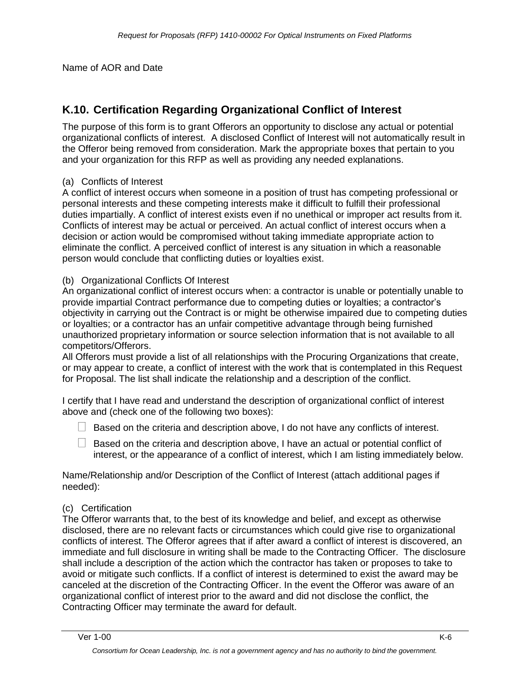Name of AOR and Date

# **K.10. Certification Regarding Organizational Conflict of Interest**

The purpose of this form is to grant Offerors an opportunity to disclose any actual or potential organizational conflicts of interest. A disclosed Conflict of Interest will not automatically result in the Offeror being removed from consideration. Mark the appropriate boxes that pertain to you and your organization for this RFP as well as providing any needed explanations.

#### (a) Conflicts of Interest

A conflict of interest occurs when someone in a position of trust has competing professional or personal interests and these competing interests make it difficult to fulfill their professional duties impartially. A conflict of interest exists even if no unethical or improper act results from it. Conflicts of interest may be actual or perceived. An actual conflict of interest occurs when a decision or action would be compromised without taking immediate appropriate action to eliminate the conflict. A perceived conflict of interest is any situation in which a reasonable person would conclude that conflicting duties or loyalties exist.

#### (b) Organizational Conflicts Of Interest

An organizational conflict of interest occurs when: a contractor is unable or potentially unable to provide impartial Contract performance due to competing duties or loyalties; a contractor's objectivity in carrying out the Contract is or might be otherwise impaired due to competing duties or loyalties; or a contractor has an unfair competitive advantage through being furnished unauthorized proprietary information or source selection information that is not available to all competitors/Offerors.

All Offerors must provide a list of all relationships with the Procuring Organizations that create, or may appear to create, a conflict of interest with the work that is contemplated in this Request for Proposal. The list shall indicate the relationship and a description of the conflict.

I certify that I have read and understand the description of organizational conflict of interest above and (check one of the following two boxes):

- $\Box$  Based on the criteria and description above, I do not have any conflicts of interest.
- $\Box$  Based on the criteria and description above, I have an actual or potential conflict of interest, or the appearance of a conflict of interest, which I am listing immediately below.

Name/Relationship and/or Description of the Conflict of Interest (attach additional pages if needed):

#### (c) Certification

The Offeror warrants that, to the best of its knowledge and belief, and except as otherwise disclosed, there are no relevant facts or circumstances which could give rise to organizational conflicts of interest. The Offeror agrees that if after award a conflict of interest is discovered, an immediate and full disclosure in writing shall be made to the Contracting Officer. The disclosure shall include a description of the action which the contractor has taken or proposes to take to avoid or mitigate such conflicts. If a conflict of interest is determined to exist the award may be canceled at the discretion of the Contracting Officer. In the event the Offeror was aware of an organizational conflict of interest prior to the award and did not disclose the conflict, the Contracting Officer may terminate the award for default.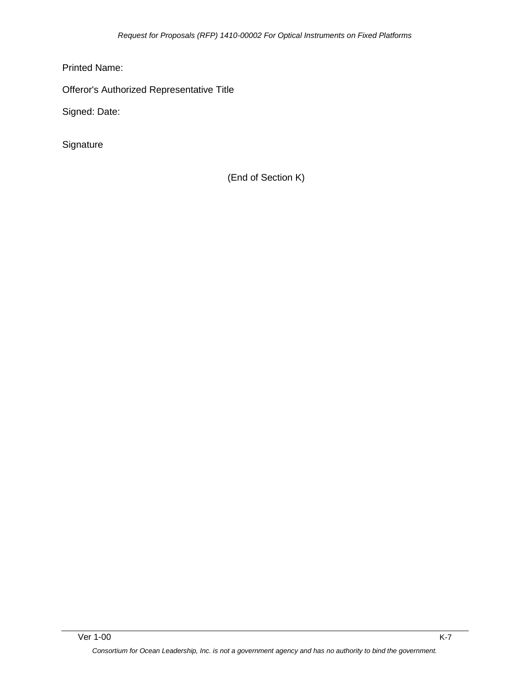Printed Name:

Offeror's Authorized Representative Title

Signed: Date:

**Signature** 

(End of Section K)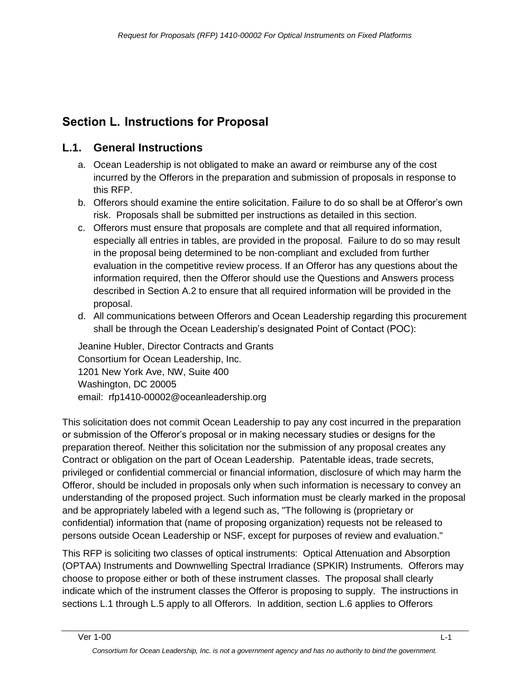# **Section L. Instructions for Proposal**

## **L.1. General Instructions**

- a. Ocean Leadership is not obligated to make an award or reimburse any of the cost incurred by the Offerors in the preparation and submission of proposals in response to this RFP.
- b. Offerors should examine the entire solicitation. Failure to do so shall be at Offeror's own risk. Proposals shall be submitted per instructions as detailed in this section.
- c. Offerors must ensure that proposals are complete and that all required information, especially all entries in tables, are provided in the proposal. Failure to do so may result in the proposal being determined to be non-compliant and excluded from further evaluation in the competitive review process. If an Offeror has any questions about the information required, then the Offeror should use the Questions and Answers process described in Section A.2 to ensure that all required information will be provided in the proposal.
- d. All communications between Offerors and Ocean Leadership regarding this procurement shall be through the Ocean Leadership's designated Point of Contact (POC):

Jeanine Hubler, Director Contracts and Grants Consortium for Ocean Leadership, Inc. 1201 New York Ave, NW, Suite 400 Washington, DC 20005 email: rfp1410-00002@oceanleadership.org

This solicitation does not commit Ocean Leadership to pay any cost incurred in the preparation or submission of the Offeror's proposal or in making necessary studies or designs for the preparation thereof. Neither this solicitation nor the submission of any proposal creates any Contract or obligation on the part of Ocean Leadership. Patentable ideas, trade secrets, privileged or confidential commercial or financial information, disclosure of which may harm the Offeror, should be included in proposals only when such information is necessary to convey an understanding of the proposed project. Such information must be clearly marked in the proposal and be appropriately labeled with a legend such as, "The following is (proprietary or confidential) information that (name of proposing organization) requests not be released to persons outside Ocean Leadership or NSF, except for purposes of review and evaluation."

This RFP is soliciting two classes of optical instruments: Optical Attenuation and Absorption (OPTAA) Instruments and Downwelling Spectral Irradiance (SPKIR) Instruments. Offerors may choose to propose either or both of these instrument classes. The proposal shall clearly indicate which of the instrument classes the Offeror is proposing to supply. The instructions in sections L.1 through L.5 apply to all Offerors. In addition, section L.6 applies to Offerors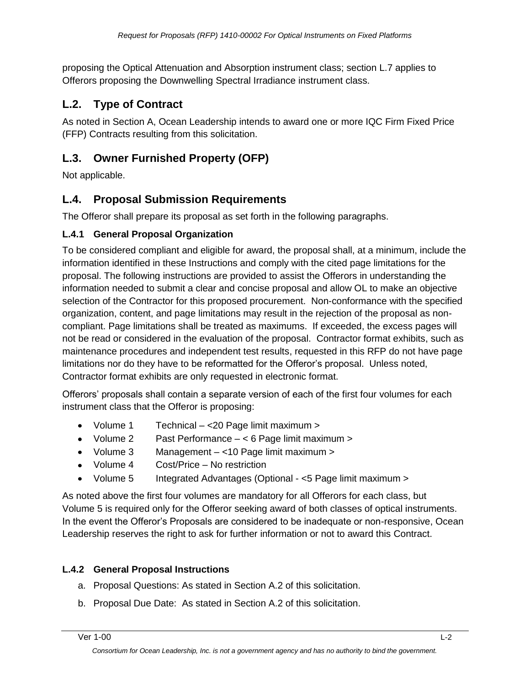proposing the Optical Attenuation and Absorption instrument class; section L.7 applies to Offerors proposing the Downwelling Spectral Irradiance instrument class.

## **L.2. Type of Contract**

As noted in Section A, Ocean Leadership intends to award one or more IQC Firm Fixed Price (FFP) Contracts resulting from this solicitation.

## **L.3. Owner Furnished Property (OFP)**

Not applicable.

## **L.4. Proposal Submission Requirements**

The Offeror shall prepare its proposal as set forth in the following paragraphs.

#### **L.4.1 General Proposal Organization**

To be considered compliant and eligible for award, the proposal shall, at a minimum, include the information identified in these Instructions and comply with the cited page limitations for the proposal. The following instructions are provided to assist the Offerors in understanding the information needed to submit a clear and concise proposal and allow OL to make an objective selection of the Contractor for this proposed procurement. Non-conformance with the specified organization, content, and page limitations may result in the rejection of the proposal as noncompliant. Page limitations shall be treated as maximums. If exceeded, the excess pages will not be read or considered in the evaluation of the proposal. Contractor format exhibits, such as maintenance procedures and independent test results, requested in this RFP do not have page limitations nor do they have to be reformatted for the Offeror's proposal. Unless noted, Contractor format exhibits are only requested in electronic format.

Offerors' proposals shall contain a separate version of each of the first four volumes for each instrument class that the Offeror is proposing:

- Volume 1 Technical <20 Page limit maximum >
- Volume 2 Past Performance < 6 Page limit maximum >
- Volume 3 Management <10 Page limit maximum >
- Volume 4 Cost/Price No restriction
- Volume 5 Integrated Advantages (Optional <5 Page limit maximum >

As noted above the first four volumes are mandatory for all Offerors for each class, but Volume 5 is required only for the Offeror seeking award of both classes of optical instruments. In the event the Offeror's Proposals are considered to be inadequate or non-responsive, Ocean Leadership reserves the right to ask for further information or not to award this Contract.

### **L.4.2 General Proposal Instructions**

- a. Proposal Questions: As stated in Section A.2 of this solicitation.
- b. Proposal Due Date: As stated in Section A.2 of this solicitation.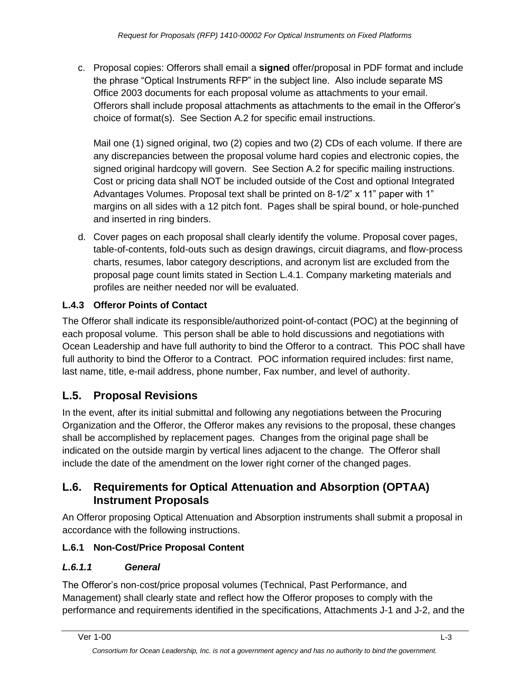c. Proposal copies: Offerors shall email a **signed** offer/proposal in PDF format and include the phrase "Optical Instruments RFP" in the subject line. Also include separate MS Office 2003 documents for each proposal volume as attachments to your email. Offerors shall include proposal attachments as attachments to the email in the Offeror's choice of format(s). See Section A.2 for specific email instructions.

Mail one (1) signed original, two (2) copies and two (2) CDs of each volume. If there are any discrepancies between the proposal volume hard copies and electronic copies, the signed original hardcopy will govern. See Section A.2 for specific mailing instructions. Cost or pricing data shall NOT be included outside of the Cost and optional Integrated Advantages Volumes. Proposal text shall be printed on 8-1/2" x 11" paper with 1" margins on all sides with a 12 pitch font. Pages shall be spiral bound, or hole-punched and inserted in ring binders.

d. Cover pages on each proposal shall clearly identify the volume. Proposal cover pages, table-of-contents, fold-outs such as design drawings, circuit diagrams, and flow-process charts, resumes, labor category descriptions, and acronym list are excluded from the proposal page count limits stated in Section L.4.1. Company marketing materials and profiles are neither needed nor will be evaluated.

## **L.4.3 Offeror Points of Contact**

The Offeror shall indicate its responsible/authorized point-of-contact (POC) at the beginning of each proposal volume. This person shall be able to hold discussions and negotiations with Ocean Leadership and have full authority to bind the Offeror to a contract. This POC shall have full authority to bind the Offeror to a Contract. POC information required includes: first name, last name, title, e-mail address, phone number, Fax number, and level of authority.

# **L.5. Proposal Revisions**

In the event, after its initial submittal and following any negotiations between the Procuring Organization and the Offeror, the Offeror makes any revisions to the proposal, these changes shall be accomplished by replacement pages. Changes from the original page shall be indicated on the outside margin by vertical lines adjacent to the change. The Offeror shall include the date of the amendment on the lower right corner of the changed pages.

## **L.6. Requirements for Optical Attenuation and Absorption (OPTAA) Instrument Proposals**

An Offeror proposing Optical Attenuation and Absorption instruments shall submit a proposal in accordance with the following instructions.

## **L.6.1 Non-Cost/Price Proposal Content**

## *L.6.1.1 General*

The Offeror's non-cost/price proposal volumes (Technical, Past Performance, and Management) shall clearly state and reflect how the Offeror proposes to comply with the performance and requirements identified in the specifications, Attachments J-1 and J-2, and the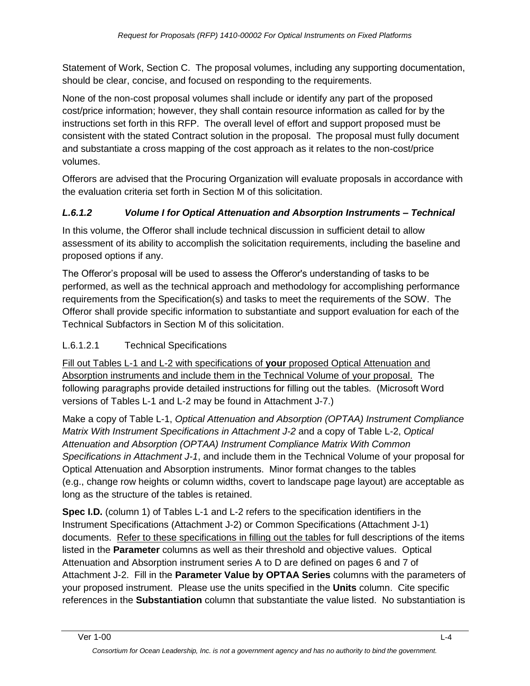Statement of Work, Section C. The proposal volumes, including any supporting documentation, should be clear, concise, and focused on responding to the requirements.

None of the non-cost proposal volumes shall include or identify any part of the proposed cost/price information; however, they shall contain resource information as called for by the instructions set forth in this RFP. The overall level of effort and support proposed must be consistent with the stated Contract solution in the proposal. The proposal must fully document and substantiate a cross mapping of the cost approach as it relates to the non-cost/price volumes.

Offerors are advised that the Procuring Organization will evaluate proposals in accordance with the evaluation criteria set forth in Section M of this solicitation.

## *L.6.1.2 Volume I for Optical Attenuation and Absorption Instruments – Technical*

In this volume, the Offeror shall include technical discussion in sufficient detail to allow assessment of its ability to accomplish the solicitation requirements, including the baseline and proposed options if any.

The Offeror's proposal will be used to assess the Offeror's understanding of tasks to be performed, as well as the technical approach and methodology for accomplishing performance requirements from the Specification(s) and tasks to meet the requirements of the SOW. The Offeror shall provide specific information to substantiate and support evaluation for each of the Technical Subfactors in Section M of this solicitation.

### L.6.1.2.1 Technical Specifications

Fill out Tables L-1 and L-2 with specifications of **your** proposed Optical Attenuation and Absorption instruments and include them in the Technical Volume of your proposal. The following paragraphs provide detailed instructions for filling out the tables. (Microsoft Word versions of Tables L-1 and L-2 may be found in Attachment J-7.)

Make a copy of Table L-1, *Optical Attenuation and Absorption (OPTAA) Instrument Compliance Matrix With Instrument Specifications in Attachment J-2* and a copy of Table L-2, *Optical Attenuation and Absorption (OPTAA) Instrument Compliance Matrix With Common Specifications in Attachment J-1*, and include them in the Technical Volume of your proposal for Optical Attenuation and Absorption instruments. Minor format changes to the tables (e.g., change row heights or column widths, covert to landscape page layout) are acceptable as long as the structure of the tables is retained.

**Spec I.D.** (column 1) of Tables L-1 and L-2 refers to the specification identifiers in the Instrument Specifications (Attachment J-2) or Common Specifications (Attachment J-1) documents. Refer to these specifications in filling out the tables for full descriptions of the items listed in the **Parameter** columns as well as their threshold and objective values. Optical Attenuation and Absorption instrument series A to D are defined on pages 6 and 7 of Attachment J-2. Fill in the **Parameter Value by OPTAA Series** columns with the parameters of your proposed instrument. Please use the units specified in the **Units** column. Cite specific references in the **Substantiation** column that substantiate the value listed. No substantiation is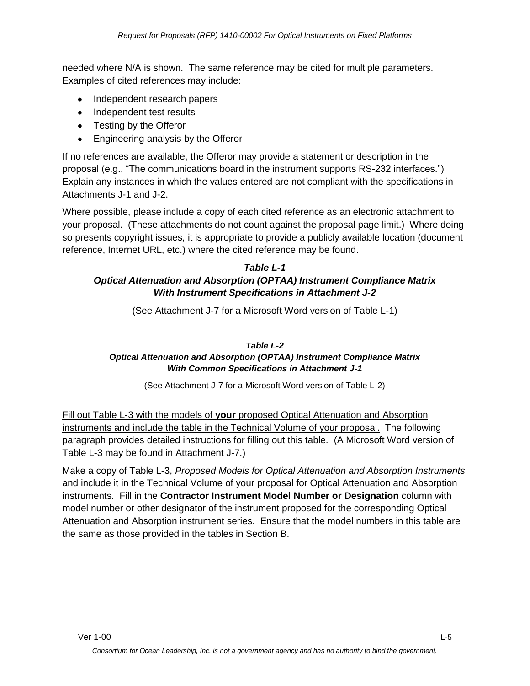needed where N/A is shown. The same reference may be cited for multiple parameters. Examples of cited references may include:

- Independent research papers
- Independent test results
- Testing by the Offeror
- Engineering analysis by the Offeror

If no references are available, the Offeror may provide a statement or description in the proposal (e.g., "The communications board in the instrument supports RS-232 interfaces.") Explain any instances in which the values entered are not compliant with the specifications in Attachments J-1 and J-2.

Where possible, please include a copy of each cited reference as an electronic attachment to your proposal. (These attachments do not count against the proposal page limit.) Where doing so presents copyright issues, it is appropriate to provide a publicly available location (document reference, Internet URL, etc.) where the cited reference may be found.

#### *Table L-1 Optical Attenuation and Absorption (OPTAA) Instrument Compliance Matrix*

# *With Instrument Specifications in Attachment J-2*

(See Attachment J-7 for a Microsoft Word version of Table L-1)

#### *Table L-2*

#### *Optical Attenuation and Absorption (OPTAA) Instrument Compliance Matrix With Common Specifications in Attachment J-1*

(See Attachment J-7 for a Microsoft Word version of Table L-2)

Fill out Table L-3 with the models of **your** proposed Optical Attenuation and Absorption instruments and include the table in the Technical Volume of your proposal. The following paragraph provides detailed instructions for filling out this table. (A Microsoft Word version of Table L-3 may be found in Attachment J-7.)

Make a copy of Table L-3, *Proposed Models for Optical Attenuation and Absorption Instruments*  and include it in the Technical Volume of your proposal for Optical Attenuation and Absorption instruments. Fill in the **Contractor Instrument Model Number or Designation** column with model number or other designator of the instrument proposed for the corresponding Optical Attenuation and Absorption instrument series. Ensure that the model numbers in this table are the same as those provided in the tables in Section B.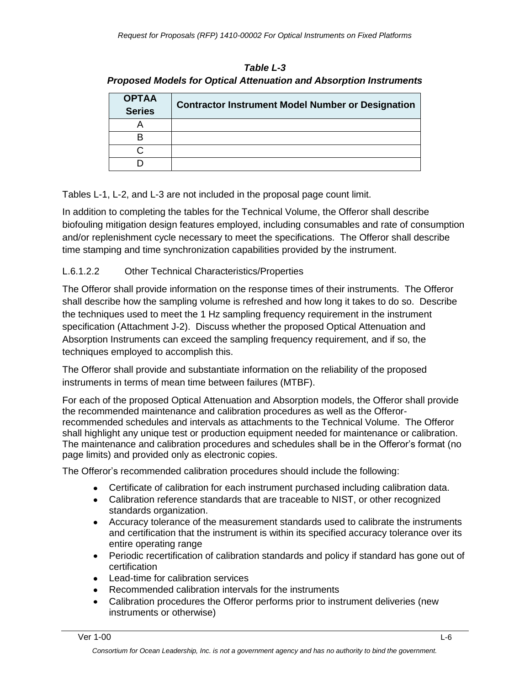| <b>Table L-3</b>                                                          |
|---------------------------------------------------------------------------|
| <b>Proposed Models for Optical Attenuation and Absorption Instruments</b> |

| <b>OPTAA</b><br><b>Series</b> | <b>Contractor Instrument Model Number or Designation</b> |
|-------------------------------|----------------------------------------------------------|
|                               |                                                          |
|                               |                                                          |
|                               |                                                          |
|                               |                                                          |

Tables L-1, L-2, and L-3 are not included in the proposal page count limit.

In addition to completing the tables for the Technical Volume, the Offeror shall describe biofouling mitigation design features employed, including consumables and rate of consumption and/or replenishment cycle necessary to meet the specifications. The Offeror shall describe time stamping and time synchronization capabilities provided by the instrument.

#### L.6.1.2.2 Other Technical Characteristics/Properties

The Offeror shall provide information on the response times of their instruments. The Offeror shall describe how the sampling volume is refreshed and how long it takes to do so. Describe the techniques used to meet the 1 Hz sampling frequency requirement in the instrument specification (Attachment J-2). Discuss whether the proposed Optical Attenuation and Absorption Instruments can exceed the sampling frequency requirement, and if so, the techniques employed to accomplish this.

The Offeror shall provide and substantiate information on the reliability of the proposed instruments in terms of mean time between failures (MTBF).

For each of the proposed Optical Attenuation and Absorption models, the Offeror shall provide the recommended maintenance and calibration procedures as well as the Offerorrecommended schedules and intervals as attachments to the Technical Volume. The Offeror shall highlight any unique test or production equipment needed for maintenance or calibration. The maintenance and calibration procedures and schedules shall be in the Offeror's format (no page limits) and provided only as electronic copies.

The Offeror's recommended calibration procedures should include the following:

- Certificate of calibration for each instrument purchased including calibration data.
- Calibration reference standards that are traceable to NIST, or other recognized standards organization.
- Accuracy tolerance of the measurement standards used to calibrate the instruments and certification that the instrument is within its specified accuracy tolerance over its entire operating range
- Periodic recertification of calibration standards and policy if standard has gone out of certification
- Lead-time for calibration services
- Recommended calibration intervals for the instruments
- Calibration procedures the Offeror performs prior to instrument deliveries (new instruments or otherwise)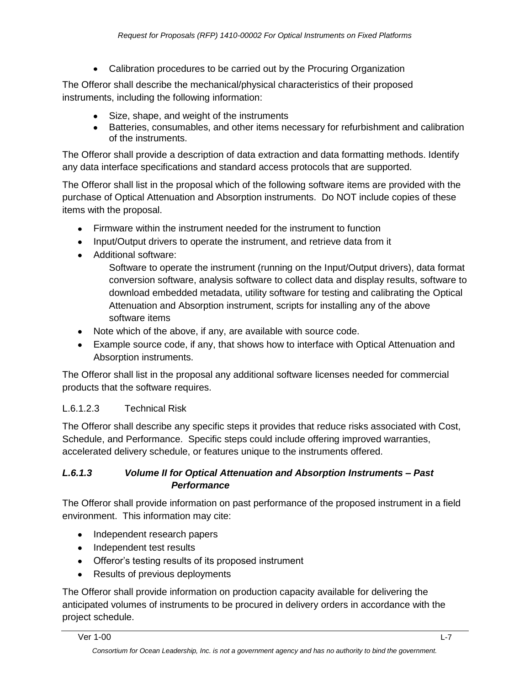Calibration procedures to be carried out by the Procuring Organization

The Offeror shall describe the mechanical/physical characteristics of their proposed instruments, including the following information:

- Size, shape, and weight of the instruments
- Batteries, consumables, and other items necessary for refurbishment and calibration of the instruments.

The Offeror shall provide a description of data extraction and data formatting methods. Identify any data interface specifications and standard access protocols that are supported.

The Offeror shall list in the proposal which of the following software items are provided with the purchase of Optical Attenuation and Absorption instruments. Do NOT include copies of these items with the proposal.

- Firmware within the instrument needed for the instrument to function
- Input/Output drivers to operate the instrument, and retrieve data from it
- Additional software:

Software to operate the instrument (running on the Input/Output drivers), data format conversion software, analysis software to collect data and display results, software to download embedded metadata, utility software for testing and calibrating the Optical Attenuation and Absorption instrument, scripts for installing any of the above software items

- Note which of the above, if any, are available with source code.
- Example source code, if any, that shows how to interface with Optical Attenuation and Absorption instruments.

The Offeror shall list in the proposal any additional software licenses needed for commercial products that the software requires.

### L.6.1.2.3 Technical Risk

The Offeror shall describe any specific steps it provides that reduce risks associated with Cost, Schedule, and Performance. Specific steps could include offering improved warranties, accelerated delivery schedule, or features unique to the instruments offered.

#### *L.6.1.3 Volume II for Optical Attenuation and Absorption Instruments – Past Performance*

The Offeror shall provide information on past performance of the proposed instrument in a field environment. This information may cite:

- Independent research papers
- Independent test results
- Offeror's testing results of its proposed instrument
- Results of previous deployments

The Offeror shall provide information on production capacity available for delivering the anticipated volumes of instruments to be procured in delivery orders in accordance with the project schedule.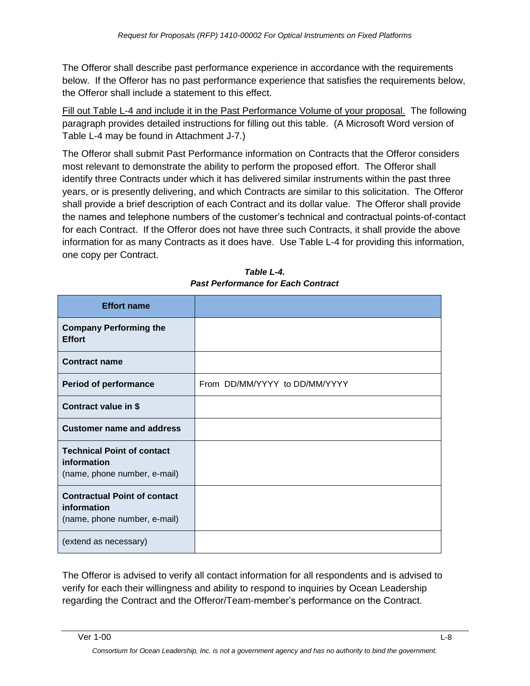The Offeror shall describe past performance experience in accordance with the requirements below. If the Offeror has no past performance experience that satisfies the requirements below, the Offeror shall include a statement to this effect.

Fill out Table L-4 and include it in the Past Performance Volume of your proposal. The following paragraph provides detailed instructions for filling out this table. (A Microsoft Word version of Table L-4 may be found in Attachment J-7.)

The Offeror shall submit Past Performance information on Contracts that the Offeror considers most relevant to demonstrate the ability to perform the proposed effort. The Offeror shall identify three Contracts under which it has delivered similar instruments within the past three years, or is presently delivering, and which Contracts are similar to this solicitation. The Offeror shall provide a brief description of each Contract and its dollar value. The Offeror shall provide the names and telephone numbers of the customer's technical and contractual points-of-contact for each Contract. If the Offeror does not have three such Contracts, it shall provide the above information for as many Contracts as it does have. Use Table L-4 for providing this information, one copy per Contract.

| <b>Effort name</b>                                                                 |                               |
|------------------------------------------------------------------------------------|-------------------------------|
| <b>Company Performing the</b><br><b>Effort</b>                                     |                               |
| <b>Contract name</b>                                                               |                               |
| <b>Period of performance</b>                                                       | From DD/MM/YYYY to DD/MM/YYYY |
| Contract value in \$                                                               |                               |
| <b>Customer name and address</b>                                                   |                               |
| <b>Technical Point of contact</b><br>information<br>(name, phone number, e-mail)   |                               |
| <b>Contractual Point of contact</b><br>information<br>(name, phone number, e-mail) |                               |
| (extend as necessary)                                                              |                               |

*Table L-4. Past Performance for Each Contract*

The Offeror is advised to verify all contact information for all respondents and is advised to verify for each their willingness and ability to respond to inquiries by Ocean Leadership regarding the Contract and the Offeror/Team-member's performance on the Contract.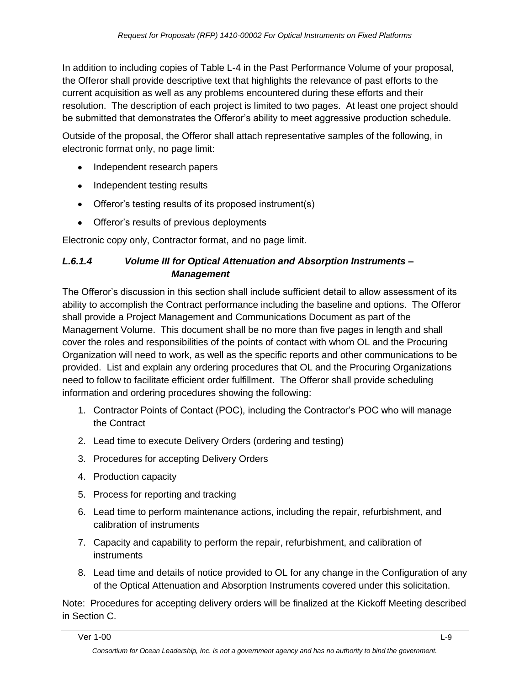In addition to including copies of Table L-4 in the Past Performance Volume of your proposal, the Offeror shall provide descriptive text that highlights the relevance of past efforts to the current acquisition as well as any problems encountered during these efforts and their resolution. The description of each project is limited to two pages. At least one project should be submitted that demonstrates the Offeror's ability to meet aggressive production schedule.

Outside of the proposal, the Offeror shall attach representative samples of the following, in electronic format only, no page limit:

- Independent research papers
- Independent testing results
- Offeror's testing results of its proposed instrument(s)
- Offeror's results of previous deployments

Electronic copy only, Contractor format, and no page limit.

#### *L.6.1.4 Volume III for Optical Attenuation and Absorption Instruments – Management*

The Offeror's discussion in this section shall include sufficient detail to allow assessment of its ability to accomplish the Contract performance including the baseline and options. The Offeror shall provide a Project Management and Communications Document as part of the Management Volume. This document shall be no more than five pages in length and shall cover the roles and responsibilities of the points of contact with whom OL and the Procuring Organization will need to work, as well as the specific reports and other communications to be provided. List and explain any ordering procedures that OL and the Procuring Organizations need to follow to facilitate efficient order fulfillment. The Offeror shall provide scheduling information and ordering procedures showing the following:

- 1. Contractor Points of Contact (POC), including the Contractor's POC who will manage the Contract
- 2. Lead time to execute Delivery Orders (ordering and testing)
- 3. Procedures for accepting Delivery Orders
- 4. Production capacity
- 5. Process for reporting and tracking
- 6. Lead time to perform maintenance actions, including the repair, refurbishment, and calibration of instruments
- 7. Capacity and capability to perform the repair, refurbishment, and calibration of instruments
- 8. Lead time and details of notice provided to OL for any change in the Configuration of any of the Optical Attenuation and Absorption Instruments covered under this solicitation.

Note: Procedures for accepting delivery orders will be finalized at the Kickoff Meeting described in Section C.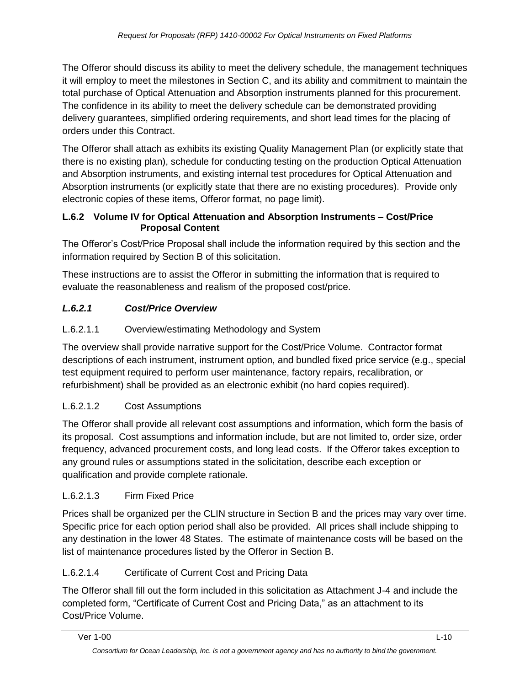The Offeror should discuss its ability to meet the delivery schedule, the management techniques it will employ to meet the milestones in Section C, and its ability and commitment to maintain the total purchase of Optical Attenuation and Absorption instruments planned for this procurement. The confidence in its ability to meet the delivery schedule can be demonstrated providing delivery guarantees, simplified ordering requirements, and short lead times for the placing of orders under this Contract.

The Offeror shall attach as exhibits its existing Quality Management Plan (or explicitly state that there is no existing plan), schedule for conducting testing on the production Optical Attenuation and Absorption instruments, and existing internal test procedures for Optical Attenuation and Absorption instruments (or explicitly state that there are no existing procedures). Provide only electronic copies of these items, Offeror format, no page limit).

#### **L.6.2 Volume IV for Optical Attenuation and Absorption Instruments – Cost/Price Proposal Content**

The Offeror's Cost/Price Proposal shall include the information required by this section and the information required by Section B of this solicitation.

These instructions are to assist the Offeror in submitting the information that is required to evaluate the reasonableness and realism of the proposed cost/price.

# *L.6.2.1 Cost/Price Overview*

### L.6.2.1.1 Overview/estimating Methodology and System

The overview shall provide narrative support for the Cost/Price Volume. Contractor format descriptions of each instrument, instrument option, and bundled fixed price service (e.g., special test equipment required to perform user maintenance, factory repairs, recalibration, or refurbishment) shall be provided as an electronic exhibit (no hard copies required).

# L.6.2.1.2 Cost Assumptions

The Offeror shall provide all relevant cost assumptions and information, which form the basis of its proposal. Cost assumptions and information include, but are not limited to, order size, order frequency, advanced procurement costs, and long lead costs. If the Offeror takes exception to any ground rules or assumptions stated in the solicitation, describe each exception or qualification and provide complete rationale.

### L.6.2.1.3 Firm Fixed Price

Prices shall be organized per the CLIN structure in Section B and the prices may vary over time. Specific price for each option period shall also be provided. All prices shall include shipping to any destination in the lower 48 States. The estimate of maintenance costs will be based on the list of maintenance procedures listed by the Offeror in Section B.

### L.6.2.1.4 Certificate of Current Cost and Pricing Data

The Offeror shall fill out the form included in this solicitation as Attachment J-4 and include the completed form, "Certificate of Current Cost and Pricing Data," as an attachment to its Cost/Price Volume.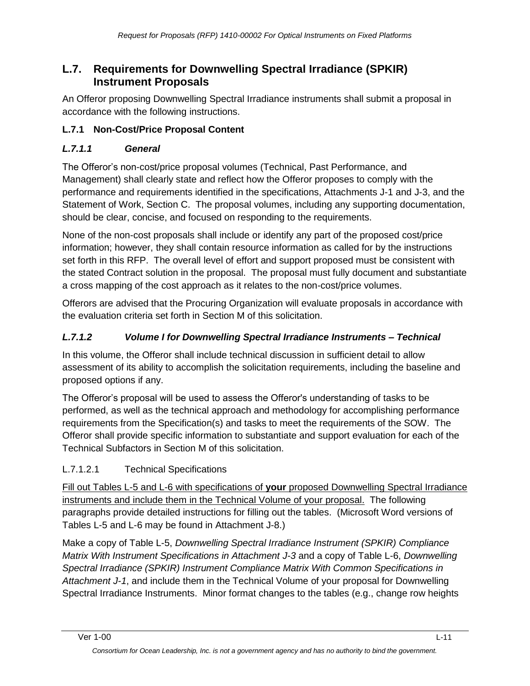# **L.7. Requirements for Downwelling Spectral Irradiance (SPKIR) Instrument Proposals**

An Offeror proposing Downwelling Spectral Irradiance instruments shall submit a proposal in accordance with the following instructions.

### **L.7.1 Non-Cost/Price Proposal Content**

### *L.7.1.1 General*

The Offeror's non-cost/price proposal volumes (Technical, Past Performance, and Management) shall clearly state and reflect how the Offeror proposes to comply with the performance and requirements identified in the specifications, Attachments J-1 and J-3, and the Statement of Work, Section C. The proposal volumes, including any supporting documentation, should be clear, concise, and focused on responding to the requirements.

None of the non-cost proposals shall include or identify any part of the proposed cost/price information; however, they shall contain resource information as called for by the instructions set forth in this RFP. The overall level of effort and support proposed must be consistent with the stated Contract solution in the proposal. The proposal must fully document and substantiate a cross mapping of the cost approach as it relates to the non-cost/price volumes.

Offerors are advised that the Procuring Organization will evaluate proposals in accordance with the evaluation criteria set forth in Section M of this solicitation.

### *L.7.1.2 Volume I for Downwelling Spectral Irradiance Instruments – Technical*

In this volume, the Offeror shall include technical discussion in sufficient detail to allow assessment of its ability to accomplish the solicitation requirements, including the baseline and proposed options if any.

The Offeror's proposal will be used to assess the Offeror's understanding of tasks to be performed, as well as the technical approach and methodology for accomplishing performance requirements from the Specification(s) and tasks to meet the requirements of the SOW. The Offeror shall provide specific information to substantiate and support evaluation for each of the Technical Subfactors in Section M of this solicitation.

### L.7.1.2.1 Technical Specifications

Fill out Tables L-5 and L-6 with specifications of **your** proposed Downwelling Spectral Irradiance instruments and include them in the Technical Volume of your proposal. The following paragraphs provide detailed instructions for filling out the tables. (Microsoft Word versions of Tables L-5 and L-6 may be found in Attachment J-8.)

Make a copy of Table L-5, *Downwelling Spectral Irradiance Instrument (SPKIR) Compliance Matrix With Instrument Specifications in Attachment J-3* and a copy of Table L-6, *Downwelling Spectral Irradiance (SPKIR) Instrument Compliance Matrix With Common Specifications in Attachment J-1*, and include them in the Technical Volume of your proposal for Downwelling Spectral Irradiance Instruments. Minor format changes to the tables (e.g., change row heights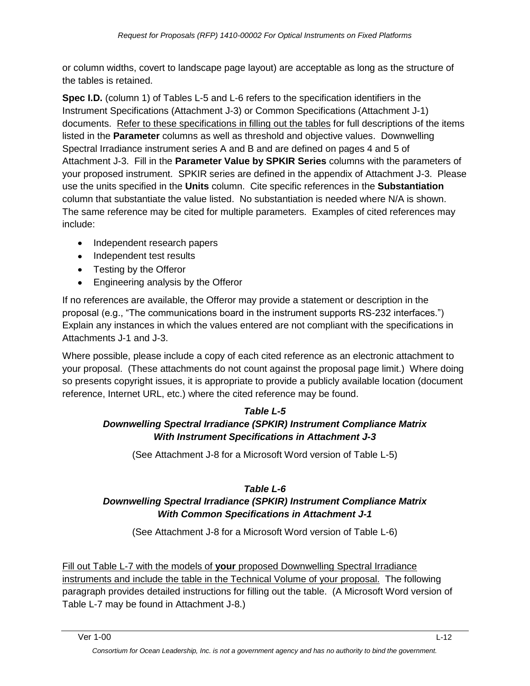or column widths, covert to landscape page layout) are acceptable as long as the structure of the tables is retained.

**Spec I.D.** (column 1) of Tables L-5 and L-6 refers to the specification identifiers in the Instrument Specifications (Attachment J-3) or Common Specifications (Attachment J-1) documents. Refer to these specifications in filling out the tables for full descriptions of the items listed in the **Parameter** columns as well as threshold and objective values. Downwelling Spectral Irradiance instrument series A and B and are defined on pages 4 and 5 of Attachment J-3. Fill in the **Parameter Value by SPKIR Series** columns with the parameters of your proposed instrument. SPKIR series are defined in the appendix of Attachment J-3. Please use the units specified in the **Units** column. Cite specific references in the **Substantiation** column that substantiate the value listed. No substantiation is needed where N/A is shown. The same reference may be cited for multiple parameters. Examples of cited references may include:

- Independent research papers
- Independent test results
- Testing by the Offeror
- Engineering analysis by the Offeror

If no references are available, the Offeror may provide a statement or description in the proposal (e.g., "The communications board in the instrument supports RS-232 interfaces.") Explain any instances in which the values entered are not compliant with the specifications in Attachments J-1 and J-3.

Where possible, please include a copy of each cited reference as an electronic attachment to your proposal. (These attachments do not count against the proposal page limit.) Where doing so presents copyright issues, it is appropriate to provide a publicly available location (document reference, Internet URL, etc.) where the cited reference may be found.

#### *Table L-5*

### *Downwelling Spectral Irradiance (SPKIR) Instrument Compliance Matrix With Instrument Specifications in Attachment J-3*

(See Attachment J-8 for a Microsoft Word version of Table L-5)

#### *Table L-6 Downwelling Spectral Irradiance (SPKIR) Instrument Compliance Matrix With Common Specifications in Attachment J-1*

(See Attachment J-8 for a Microsoft Word version of Table L-6)

Fill out Table L-7 with the models of **your** proposed Downwelling Spectral Irradiance instruments and include the table in the Technical Volume of your proposal. The following paragraph provides detailed instructions for filling out the table. (A Microsoft Word version of Table L-7 may be found in Attachment J-8.)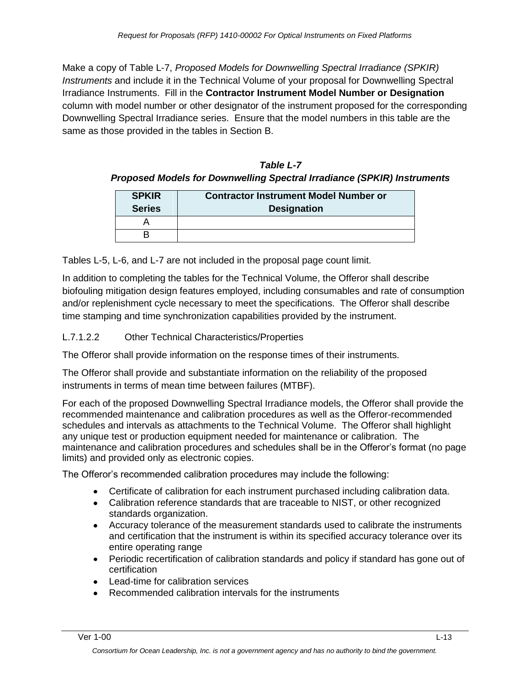Make a copy of Table L-7, *Proposed Models for Downwelling Spectral Irradiance (SPKIR) Instruments* and include it in the Technical Volume of your proposal for Downwelling Spectral Irradiance Instruments. Fill in the **Contractor Instrument Model Number or Designation** column with model number or other designator of the instrument proposed for the corresponding Downwelling Spectral Irradiance series. Ensure that the model numbers in this table are the same as those provided in the tables in Section B.

*Table L-7 Proposed Models for Downwelling Spectral Irradiance (SPKIR) Instruments*

| <b>SPKIR</b><br><b>Series</b> | <b>Contractor Instrument Model Number or</b><br><b>Designation</b> |
|-------------------------------|--------------------------------------------------------------------|
|                               |                                                                    |
|                               |                                                                    |

Tables L-5, L-6, and L-7 are not included in the proposal page count limit.

In addition to completing the tables for the Technical Volume, the Offeror shall describe biofouling mitigation design features employed, including consumables and rate of consumption and/or replenishment cycle necessary to meet the specifications. The Offeror shall describe time stamping and time synchronization capabilities provided by the instrument.

L.7.1.2.2 Other Technical Characteristics/Properties

The Offeror shall provide information on the response times of their instruments.

The Offeror shall provide and substantiate information on the reliability of the proposed instruments in terms of mean time between failures (MTBF).

For each of the proposed Downwelling Spectral Irradiance models, the Offeror shall provide the recommended maintenance and calibration procedures as well as the Offeror-recommended schedules and intervals as attachments to the Technical Volume. The Offeror shall highlight any unique test or production equipment needed for maintenance or calibration. The maintenance and calibration procedures and schedules shall be in the Offeror's format (no page limits) and provided only as electronic copies.

The Offeror's recommended calibration procedures may include the following:

- Certificate of calibration for each instrument purchased including calibration data.
- Calibration reference standards that are traceable to NIST, or other recognized standards organization.
- Accuracy tolerance of the measurement standards used to calibrate the instruments and certification that the instrument is within its specified accuracy tolerance over its entire operating range
- Periodic recertification of calibration standards and policy if standard has gone out of certification
- Lead-time for calibration services
- Recommended calibration intervals for the instruments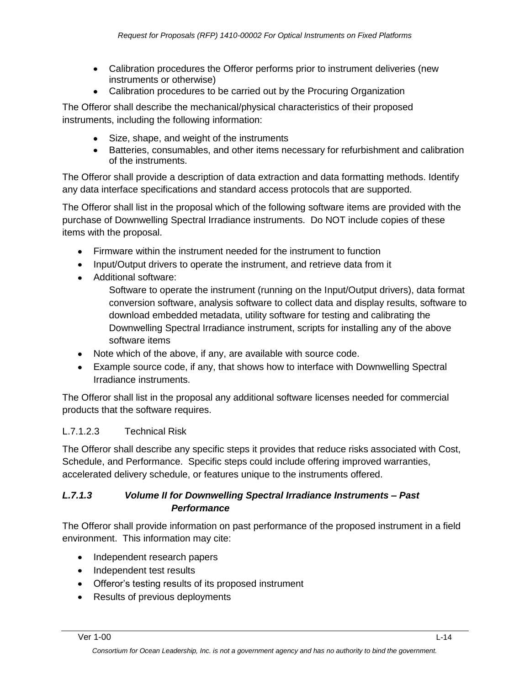- Calibration procedures the Offeror performs prior to instrument deliveries (new instruments or otherwise)
- Calibration procedures to be carried out by the Procuring Organization

The Offeror shall describe the mechanical/physical characteristics of their proposed instruments, including the following information:

- Size, shape, and weight of the instruments
- Batteries, consumables, and other items necessary for refurbishment and calibration of the instruments.

The Offeror shall provide a description of data extraction and data formatting methods. Identify any data interface specifications and standard access protocols that are supported.

The Offeror shall list in the proposal which of the following software items are provided with the purchase of Downwelling Spectral Irradiance instruments. Do NOT include copies of these items with the proposal.

- Firmware within the instrument needed for the instrument to function
- Input/Output drivers to operate the instrument, and retrieve data from it
- Additional software:

Software to operate the instrument (running on the Input/Output drivers), data format conversion software, analysis software to collect data and display results, software to download embedded metadata, utility software for testing and calibrating the Downwelling Spectral Irradiance instrument, scripts for installing any of the above software items

- Note which of the above, if any, are available with source code.
- Example source code, if any, that shows how to interface with Downwelling Spectral Irradiance instruments.

The Offeror shall list in the proposal any additional software licenses needed for commercial products that the software requires.

#### L.7.1.2.3 Technical Risk

The Offeror shall describe any specific steps it provides that reduce risks associated with Cost, Schedule, and Performance. Specific steps could include offering improved warranties, accelerated delivery schedule, or features unique to the instruments offered.

#### *L.7.1.3 Volume II for Downwelling Spectral Irradiance Instruments – Past Performance*

The Offeror shall provide information on past performance of the proposed instrument in a field environment. This information may cite:

- Independent research papers
- Independent test results
- Offeror's testing results of its proposed instrument
- Results of previous deployments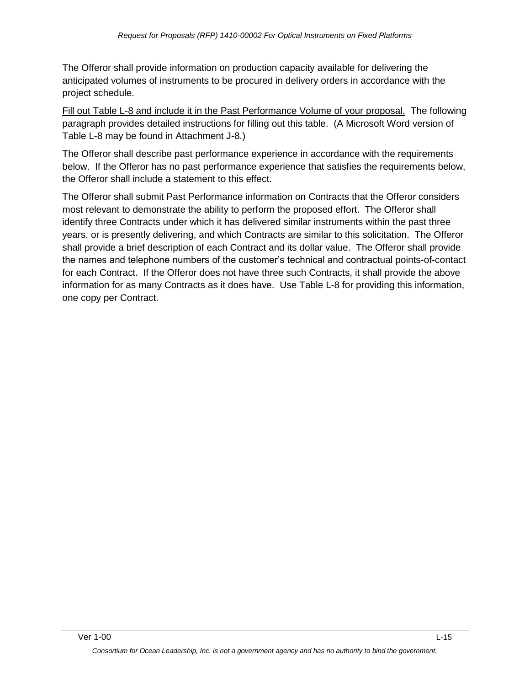The Offeror shall provide information on production capacity available for delivering the anticipated volumes of instruments to be procured in delivery orders in accordance with the project schedule.

Fill out Table L-8 and include it in the Past Performance Volume of your proposal. The following paragraph provides detailed instructions for filling out this table. (A Microsoft Word version of Table L-8 may be found in Attachment J-8.)

The Offeror shall describe past performance experience in accordance with the requirements below. If the Offeror has no past performance experience that satisfies the requirements below, the Offeror shall include a statement to this effect.

The Offeror shall submit Past Performance information on Contracts that the Offeror considers most relevant to demonstrate the ability to perform the proposed effort. The Offeror shall identify three Contracts under which it has delivered similar instruments within the past three years, or is presently delivering, and which Contracts are similar to this solicitation. The Offeror shall provide a brief description of each Contract and its dollar value. The Offeror shall provide the names and telephone numbers of the customer's technical and contractual points-of-contact for each Contract. If the Offeror does not have three such Contracts, it shall provide the above information for as many Contracts as it does have. Use Table L-8 for providing this information, one copy per Contract.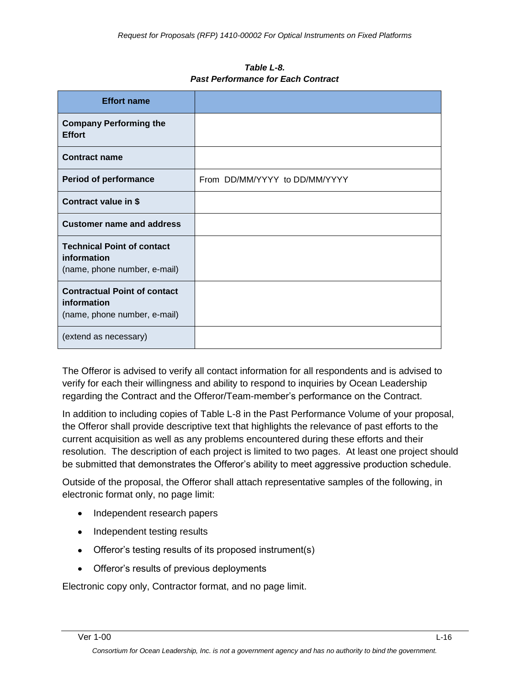*Table L-8. Past Performance for Each Contract*

| <b>Effort name</b>                                                                 |                               |
|------------------------------------------------------------------------------------|-------------------------------|
| <b>Company Performing the</b><br><b>Effort</b>                                     |                               |
| <b>Contract name</b>                                                               |                               |
| <b>Period of performance</b>                                                       | From DD/MM/YYYY to DD/MM/YYYY |
| Contract value in \$                                                               |                               |
| <b>Customer name and address</b>                                                   |                               |
| <b>Technical Point of contact</b><br>information<br>(name, phone number, e-mail)   |                               |
| <b>Contractual Point of contact</b><br>information<br>(name, phone number, e-mail) |                               |
| (extend as necessary)                                                              |                               |

The Offeror is advised to verify all contact information for all respondents and is advised to verify for each their willingness and ability to respond to inquiries by Ocean Leadership regarding the Contract and the Offeror/Team-member's performance on the Contract.

In addition to including copies of Table L-8 in the Past Performance Volume of your proposal, the Offeror shall provide descriptive text that highlights the relevance of past efforts to the current acquisition as well as any problems encountered during these efforts and their resolution. The description of each project is limited to two pages. At least one project should be submitted that demonstrates the Offeror's ability to meet aggressive production schedule.

Outside of the proposal, the Offeror shall attach representative samples of the following, in electronic format only, no page limit:

- Independent research papers
- Independent testing results
- Offeror's testing results of its proposed instrument(s)
- Offeror's results of previous deployments

Electronic copy only, Contractor format, and no page limit.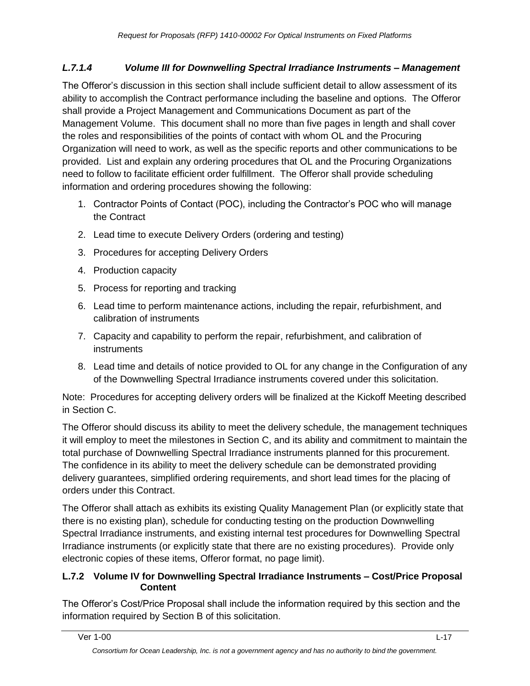#### *L.7.1.4 Volume III for Downwelling Spectral Irradiance Instruments – Management*

The Offeror's discussion in this section shall include sufficient detail to allow assessment of its ability to accomplish the Contract performance including the baseline and options. The Offeror shall provide a Project Management and Communications Document as part of the Management Volume. This document shall no more than five pages in length and shall cover the roles and responsibilities of the points of contact with whom OL and the Procuring Organization will need to work, as well as the specific reports and other communications to be provided. List and explain any ordering procedures that OL and the Procuring Organizations need to follow to facilitate efficient order fulfillment. The Offeror shall provide scheduling information and ordering procedures showing the following:

- 1. Contractor Points of Contact (POC), including the Contractor's POC who will manage the Contract
- 2. Lead time to execute Delivery Orders (ordering and testing)
- 3. Procedures for accepting Delivery Orders
- 4. Production capacity
- 5. Process for reporting and tracking
- 6. Lead time to perform maintenance actions, including the repair, refurbishment, and calibration of instruments
- 7. Capacity and capability to perform the repair, refurbishment, and calibration of instruments
- 8. Lead time and details of notice provided to OL for any change in the Configuration of any of the Downwelling Spectral Irradiance instruments covered under this solicitation.

Note: Procedures for accepting delivery orders will be finalized at the Kickoff Meeting described in Section C.

The Offeror should discuss its ability to meet the delivery schedule, the management techniques it will employ to meet the milestones in Section C, and its ability and commitment to maintain the total purchase of Downwelling Spectral Irradiance instruments planned for this procurement. The confidence in its ability to meet the delivery schedule can be demonstrated providing delivery guarantees, simplified ordering requirements, and short lead times for the placing of orders under this Contract.

The Offeror shall attach as exhibits its existing Quality Management Plan (or explicitly state that there is no existing plan), schedule for conducting testing on the production Downwelling Spectral Irradiance instruments, and existing internal test procedures for Downwelling Spectral Irradiance instruments (or explicitly state that there are no existing procedures). Provide only electronic copies of these items, Offeror format, no page limit).

#### **L.7.2 Volume IV for Downwelling Spectral Irradiance Instruments – Cost/Price Proposal Content**

The Offeror's Cost/Price Proposal shall include the information required by this section and the information required by Section B of this solicitation.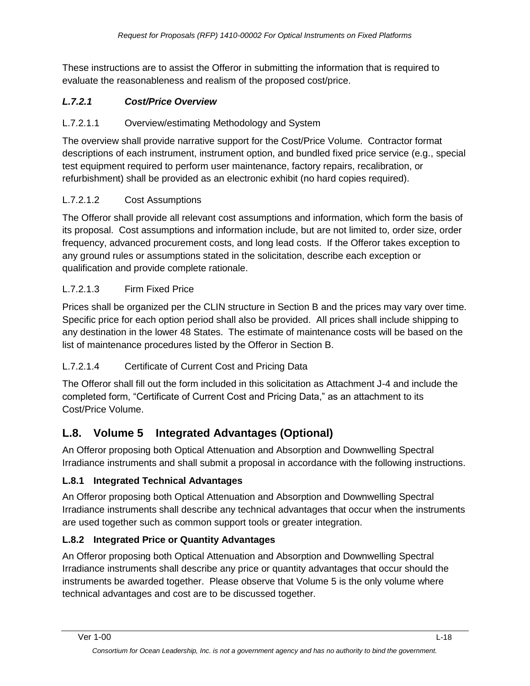These instructions are to assist the Offeror in submitting the information that is required to evaluate the reasonableness and realism of the proposed cost/price.

## *L.7.2.1 Cost/Price Overview*

#### L.7.2.1.1 Overview/estimating Methodology and System

The overview shall provide narrative support for the Cost/Price Volume. Contractor format descriptions of each instrument, instrument option, and bundled fixed price service (e.g., special test equipment required to perform user maintenance, factory repairs, recalibration, or refurbishment) shall be provided as an electronic exhibit (no hard copies required).

### L.7.2.1.2 Cost Assumptions

The Offeror shall provide all relevant cost assumptions and information, which form the basis of its proposal. Cost assumptions and information include, but are not limited to, order size, order frequency, advanced procurement costs, and long lead costs. If the Offeror takes exception to any ground rules or assumptions stated in the solicitation, describe each exception or qualification and provide complete rationale.

#### L.7.2.1.3 Firm Fixed Price

Prices shall be organized per the CLIN structure in Section B and the prices may vary over time. Specific price for each option period shall also be provided. All prices shall include shipping to any destination in the lower 48 States. The estimate of maintenance costs will be based on the list of maintenance procedures listed by the Offeror in Section B.

### L.7.2.1.4 Certificate of Current Cost and Pricing Data

The Offeror shall fill out the form included in this solicitation as Attachment J-4 and include the completed form, "Certificate of Current Cost and Pricing Data," as an attachment to its Cost/Price Volume.

# **L.8. Volume 5 Integrated Advantages (Optional)**

An Offeror proposing both Optical Attenuation and Absorption and Downwelling Spectral Irradiance instruments and shall submit a proposal in accordance with the following instructions.

#### **L.8.1 Integrated Technical Advantages**

An Offeror proposing both Optical Attenuation and Absorption and Downwelling Spectral Irradiance instruments shall describe any technical advantages that occur when the instruments are used together such as common support tools or greater integration.

### **L.8.2 Integrated Price or Quantity Advantages**

An Offeror proposing both Optical Attenuation and Absorption and Downwelling Spectral Irradiance instruments shall describe any price or quantity advantages that occur should the instruments be awarded together. Please observe that Volume 5 is the only volume where technical advantages and cost are to be discussed together.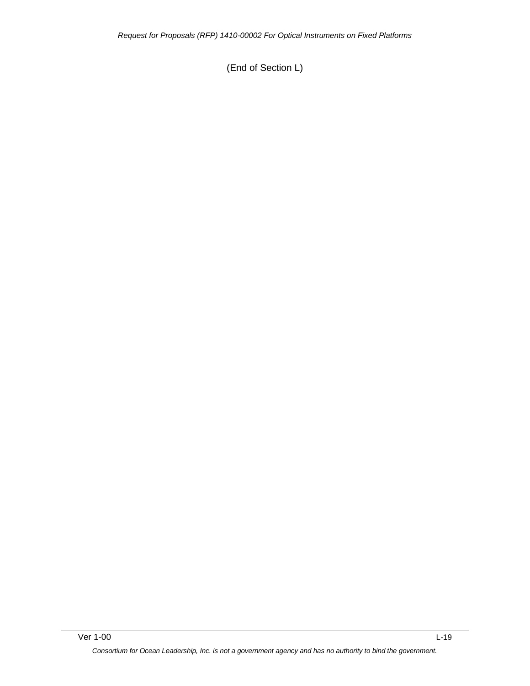(End of Section L)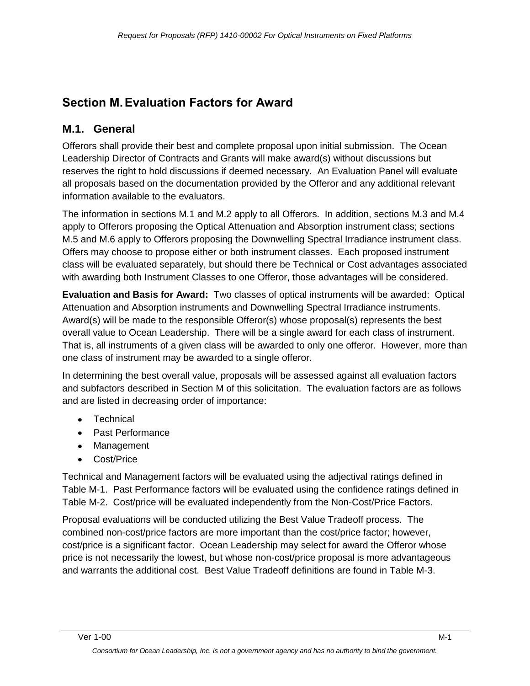# **Section M.Evaluation Factors for Award**

# **M.1. General**

Offerors shall provide their best and complete proposal upon initial submission. The Ocean Leadership Director of Contracts and Grants will make award(s) without discussions but reserves the right to hold discussions if deemed necessary. An Evaluation Panel will evaluate all proposals based on the documentation provided by the Offeror and any additional relevant information available to the evaluators.

The information in sections M.1 and M.2 apply to all Offerors. In addition, sections M.3 and M.4 apply to Offerors proposing the Optical Attenuation and Absorption instrument class; sections M.5 and M.6 apply to Offerors proposing the Downwelling Spectral Irradiance instrument class. Offers may choose to propose either or both instrument classes. Each proposed instrument class will be evaluated separately, but should there be Technical or Cost advantages associated with awarding both Instrument Classes to one Offeror, those advantages will be considered.

**Evaluation and Basis for Award:** Two classes of optical instruments will be awarded: Optical Attenuation and Absorption instruments and Downwelling Spectral Irradiance instruments. Award(s) will be made to the responsible Offeror(s) whose proposal(s) represents the best overall value to Ocean Leadership. There will be a single award for each class of instrument. That is, all instruments of a given class will be awarded to only one offeror. However, more than one class of instrument may be awarded to a single offeror.

In determining the best overall value, proposals will be assessed against all evaluation factors and subfactors described in Section M of this solicitation. The evaluation factors are as follows and are listed in decreasing order of importance:

- Technical
- Past Performance
- Management
- Cost/Price

Technical and Management factors will be evaluated using the adjectival ratings defined in Table M-1. Past Performance factors will be evaluated using the confidence ratings defined in Table M-2. Cost/price will be evaluated independently from the Non-Cost/Price Factors.

Proposal evaluations will be conducted utilizing the Best Value Tradeoff process. The combined non-cost/price factors are more important than the cost/price factor; however, cost/price is a significant factor. Ocean Leadership may select for award the Offeror whose price is not necessarily the lowest, but whose non-cost/price proposal is more advantageous and warrants the additional cost. Best Value Tradeoff definitions are found in Table M-3.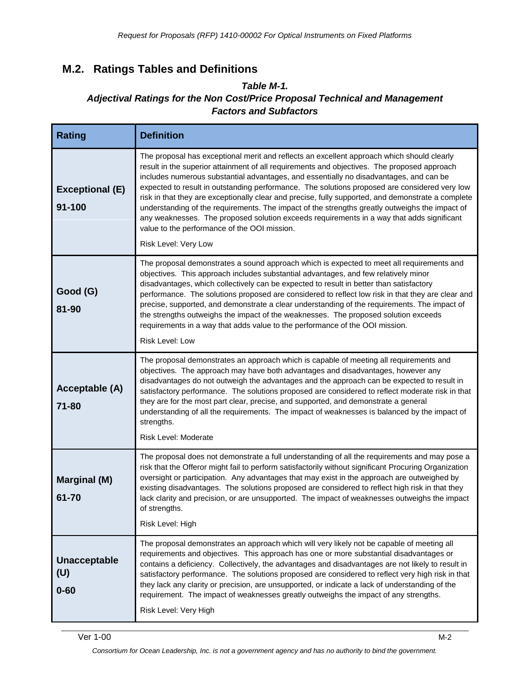# **M.2. Ratings Tables and Definitions**

#### *Table M-1. Adjectival Ratings for the Non Cost/Price Proposal Technical and Management Factors and Subfactors*

| <b>Rating</b>                          | <b>Definition</b>                                                                                                                                                                                                                                                                                                                                                                                                                                                                                                                                                                                                                                                                                                                                                 |
|----------------------------------------|-------------------------------------------------------------------------------------------------------------------------------------------------------------------------------------------------------------------------------------------------------------------------------------------------------------------------------------------------------------------------------------------------------------------------------------------------------------------------------------------------------------------------------------------------------------------------------------------------------------------------------------------------------------------------------------------------------------------------------------------------------------------|
| <b>Exceptional (E)</b><br>$91 - 100$   | The proposal has exceptional merit and reflects an excellent approach which should clearly<br>result in the superior attainment of all requirements and objectives. The proposed approach<br>includes numerous substantial advantages, and essentially no disadvantages, and can be<br>expected to result in outstanding performance. The solutions proposed are considered very low<br>risk in that they are exceptionally clear and precise, fully supported, and demonstrate a complete<br>understanding of the requirements. The impact of the strengths greatly outweighs the impact of<br>any weaknesses. The proposed solution exceeds requirements in a way that adds significant<br>value to the performance of the OOI mission.<br>Risk Level: Very Low |
| Good (G)<br>81-90                      | The proposal demonstrates a sound approach which is expected to meet all requirements and<br>objectives. This approach includes substantial advantages, and few relatively minor<br>disadvantages, which collectively can be expected to result in better than satisfactory<br>performance. The solutions proposed are considered to reflect low risk in that they are clear and<br>precise, supported, and demonstrate a clear understanding of the requirements. The impact of<br>the strengths outweighs the impact of the weaknesses. The proposed solution exceeds<br>requirements in a way that adds value to the performance of the OOI mission.<br><b>Risk Level: Low</b>                                                                                 |
| Acceptable (A)<br>71-80                | The proposal demonstrates an approach which is capable of meeting all requirements and<br>objectives. The approach may have both advantages and disadvantages, however any<br>disadvantages do not outweigh the advantages and the approach can be expected to result in<br>satisfactory performance. The solutions proposed are considered to reflect moderate risk in that<br>they are for the most part clear, precise, and supported, and demonstrate a general<br>understanding of all the requirements. The impact of weaknesses is balanced by the impact of<br>strengths.<br>Risk Level: Moderate                                                                                                                                                         |
| <b>Marginal (M)</b><br>61-70           | The proposal does not demonstrate a full understanding of all the requirements and may pose a<br>risk that the Offeror might fail to perform satisfactorily without significant Procuring Organization<br>oversight or participation. Any advantages that may exist in the approach are outweighed by<br>existing disadvantages. The solutions proposed are considered to reflect high risk in that they<br>lack clarity and precision, or are unsupported. The impact of weaknesses outweighs the impact<br>of strengths.<br>Risk Level: High                                                                                                                                                                                                                    |
| <b>Unacceptable</b><br>(U)<br>$0 - 60$ | The proposal demonstrates an approach which will very likely not be capable of meeting all<br>requirements and objectives. This approach has one or more substantial disadvantages or<br>contains a deficiency. Collectively, the advantages and disadvantages are not likely to result in<br>satisfactory performance. The solutions proposed are considered to reflect very high risk in that<br>they lack any clarity or precision, are unsupported, or indicate a lack of understanding of the<br>requirement. The impact of weaknesses greatly outweighs the impact of any strengths.<br>Risk Level: Very High                                                                                                                                               |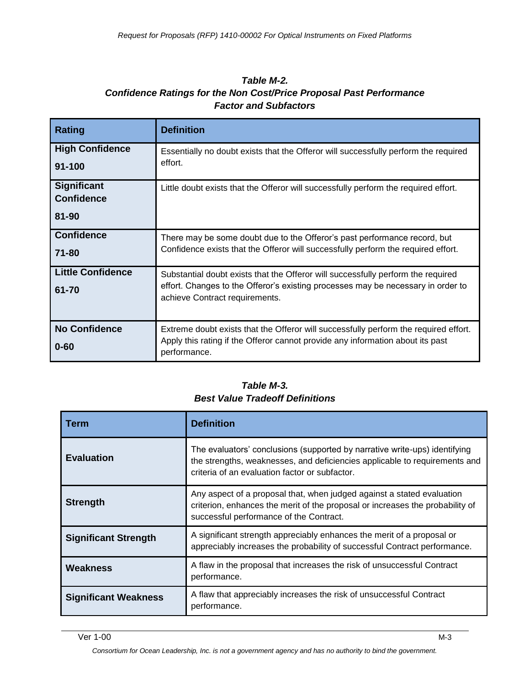#### *Table M-2. Confidence Ratings for the Non Cost/Price Proposal Past Performance Factor and Subfactors*

| <b>Rating</b>                                    | <b>Definition</b>                                                                                                                                                                                      |
|--------------------------------------------------|--------------------------------------------------------------------------------------------------------------------------------------------------------------------------------------------------------|
| <b>High Confidence</b><br>$91 - 100$             | Essentially no doubt exists that the Offeror will successfully perform the required<br>effort.                                                                                                         |
| <b>Significant</b><br><b>Confidence</b><br>81-90 | Little doubt exists that the Offeror will successfully perform the required effort.                                                                                                                    |
| <b>Confidence</b><br>71-80                       | There may be some doubt due to the Offeror's past performance record, but<br>Confidence exists that the Offeror will successfully perform the required effort.                                         |
| <b>Little Confidence</b><br>61-70                | Substantial doubt exists that the Offeror will successfully perform the required<br>effort. Changes to the Offeror's existing processes may be necessary in order to<br>achieve Contract requirements. |
| <b>No Confidence</b><br>$0 - 60$                 | Extreme doubt exists that the Offeror will successfully perform the required effort.<br>Apply this rating if the Offeror cannot provide any information about its past<br>performance.                 |

#### *Table M-3. Best Value Tradeoff Definitions*

| Term                        | <b>Definition</b>                                                                                                                                                                                          |
|-----------------------------|------------------------------------------------------------------------------------------------------------------------------------------------------------------------------------------------------------|
| <b>Evaluation</b>           | The evaluators' conclusions (supported by narrative write-ups) identifying<br>the strengths, weaknesses, and deficiencies applicable to requirements and<br>criteria of an evaluation factor or subfactor. |
| <b>Strength</b>             | Any aspect of a proposal that, when judged against a stated evaluation<br>criterion, enhances the merit of the proposal or increases the probability of<br>successful performance of the Contract.         |
| <b>Significant Strength</b> | A significant strength appreciably enhances the merit of a proposal or<br>appreciably increases the probability of successful Contract performance.                                                        |
| <b>Weakness</b>             | A flaw in the proposal that increases the risk of unsuccessful Contract<br>performance.                                                                                                                    |
| <b>Significant Weakness</b> | A flaw that appreciably increases the risk of unsuccessful Contract<br>performance.                                                                                                                        |

*Consortium for Ocean Leadership, Inc. is not a government agency and has no authority to bind the government.*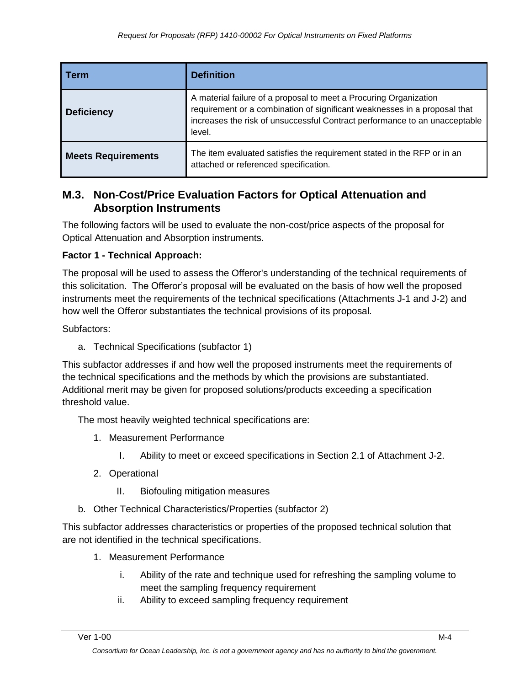| Term                      | <b>Definition</b>                                                                                                                                                                                                                      |
|---------------------------|----------------------------------------------------------------------------------------------------------------------------------------------------------------------------------------------------------------------------------------|
| <b>Deficiency</b>         | A material failure of a proposal to meet a Procuring Organization<br>requirement or a combination of significant weaknesses in a proposal that<br>increases the risk of unsuccessful Contract performance to an unacceptable<br>level. |
| <b>Meets Requirements</b> | The item evaluated satisfies the requirement stated in the RFP or in an<br>attached or referenced specification.                                                                                                                       |

### **M.3. Non-Cost/Price Evaluation Factors for Optical Attenuation and Absorption Instruments**

The following factors will be used to evaluate the non-cost/price aspects of the proposal for Optical Attenuation and Absorption instruments.

#### **Factor 1 - Technical Approach:**

The proposal will be used to assess the Offeror's understanding of the technical requirements of this solicitation. The Offeror's proposal will be evaluated on the basis of how well the proposed instruments meet the requirements of the technical specifications (Attachments J-1 and J-2) and how well the Offeror substantiates the technical provisions of its proposal.

Subfactors:

a. Technical Specifications (subfactor 1)

This subfactor addresses if and how well the proposed instruments meet the requirements of the technical specifications and the methods by which the provisions are substantiated. Additional merit may be given for proposed solutions/products exceeding a specification threshold value.

The most heavily weighted technical specifications are:

- 1. Measurement Performance
	- I. Ability to meet or exceed specifications in Section 2.1 of Attachment J-2.
- 2. Operational
	- II. Biofouling mitigation measures
- b. Other Technical Characteristics/Properties (subfactor 2)

This subfactor addresses characteristics or properties of the proposed technical solution that are not identified in the technical specifications.

- 1. Measurement Performance
	- i. Ability of the rate and technique used for refreshing the sampling volume to meet the sampling frequency requirement
	- ii. Ability to exceed sampling frequency requirement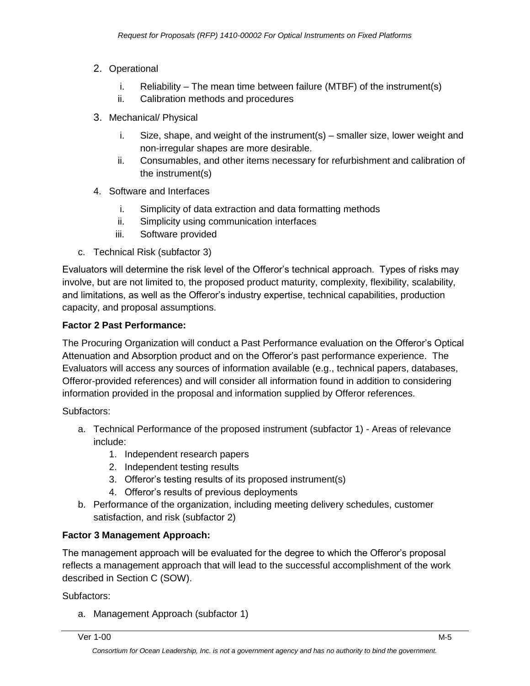- 2. Operational
	- i. Reliability The mean time between failure (MTBF) of the instrument(s)
	- ii. Calibration methods and procedures
- 3. Mechanical/ Physical
	- i. Size, shape, and weight of the instrument(s) smaller size, lower weight and non-irregular shapes are more desirable.
	- ii. Consumables, and other items necessary for refurbishment and calibration of the instrument(s)
- 4. Software and Interfaces
	- i. Simplicity of data extraction and data formatting methods
	- ii. Simplicity using communication interfaces
	- iii. Software provided
- c. Technical Risk (subfactor 3)

Evaluators will determine the risk level of the Offeror's technical approach. Types of risks may involve, but are not limited to, the proposed product maturity, complexity, flexibility, scalability, and limitations, as well as the Offeror's industry expertise, technical capabilities, production capacity, and proposal assumptions.

#### **Factor 2 Past Performance:**

The Procuring Organization will conduct a Past Performance evaluation on the Offeror's Optical Attenuation and Absorption product and on the Offeror's past performance experience. The Evaluators will access any sources of information available (e.g., technical papers, databases, Offeror-provided references) and will consider all information found in addition to considering information provided in the proposal and information supplied by Offeror references.

Subfactors:

- a. Technical Performance of the proposed instrument (subfactor 1) Areas of relevance include:
	- 1. Independent research papers
	- 2. Independent testing results
	- 3. Offeror's testing results of its proposed instrument(s)
	- 4. Offeror's results of previous deployments
- b. Performance of the organization, including meeting delivery schedules, customer satisfaction, and risk (subfactor 2)

### **Factor 3 Management Approach:**

The management approach will be evaluated for the degree to which the Offeror's proposal reflects a management approach that will lead to the successful accomplishment of the work described in Section C (SOW).

Subfactors:

a. Management Approach (subfactor 1)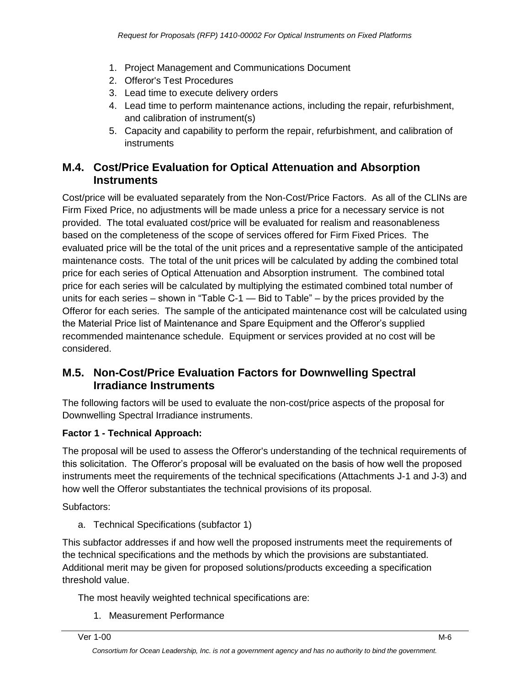- 1. Project Management and Communications Document
- 2. Offeror's Test Procedures
- 3. Lead time to execute delivery orders
- 4. Lead time to perform maintenance actions, including the repair, refurbishment, and calibration of instrument(s)
- 5. Capacity and capability to perform the repair, refurbishment, and calibration of instruments

### **M.4. Cost/Price Evaluation for Optical Attenuation and Absorption Instruments**

Cost/price will be evaluated separately from the Non-Cost/Price Factors. As all of the CLINs are Firm Fixed Price, no adjustments will be made unless a price for a necessary service is not provided. The total evaluated cost/price will be evaluated for realism and reasonableness based on the completeness of the scope of services offered for Firm Fixed Prices. The evaluated price will be the total of the unit prices and a representative sample of the anticipated maintenance costs. The total of the unit prices will be calculated by adding the combined total price for each series of Optical Attenuation and Absorption instrument. The combined total price for each series will be calculated by multiplying the estimated combined total number of units for each series – shown in "Table C-1 — Bid to Table" – by the prices provided by the Offeror for each series. The sample of the anticipated maintenance cost will be calculated using the Material Price list of Maintenance and Spare Equipment and the Offeror's supplied recommended maintenance schedule. Equipment or services provided at no cost will be considered.

### **M.5. Non-Cost/Price Evaluation Factors for Downwelling Spectral Irradiance Instruments**

The following factors will be used to evaluate the non-cost/price aspects of the proposal for Downwelling Spectral Irradiance instruments.

#### **Factor 1 - Technical Approach:**

The proposal will be used to assess the Offeror's understanding of the technical requirements of this solicitation. The Offeror's proposal will be evaluated on the basis of how well the proposed instruments meet the requirements of the technical specifications (Attachments J-1 and J-3) and how well the Offeror substantiates the technical provisions of its proposal.

Subfactors:

a. Technical Specifications (subfactor 1)

This subfactor addresses if and how well the proposed instruments meet the requirements of the technical specifications and the methods by which the provisions are substantiated. Additional merit may be given for proposed solutions/products exceeding a specification threshold value.

The most heavily weighted technical specifications are:

1. Measurement Performance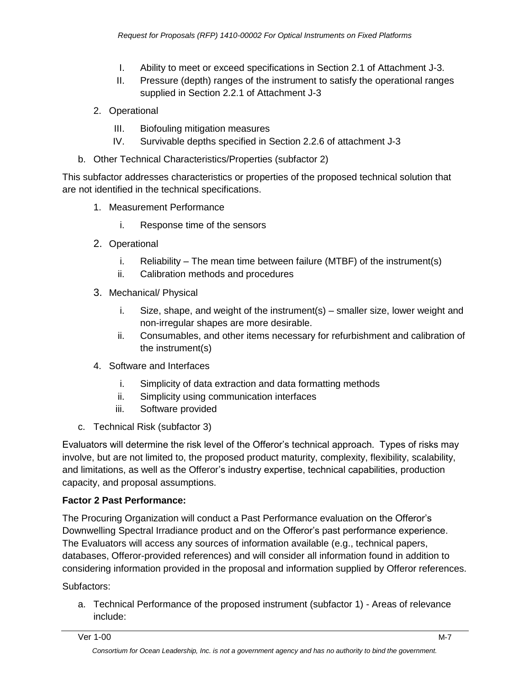- I. Ability to meet or exceed specifications in Section 2.1 of Attachment J-3.
- II. Pressure (depth) ranges of the instrument to satisfy the operational ranges supplied in Section 2.2.1 of Attachment J-3
- 2. Operational
	- III. Biofouling mitigation measures
	- IV. Survivable depths specified in Section 2.2.6 of attachment J-3
- b. Other Technical Characteristics/Properties (subfactor 2)

This subfactor addresses characteristics or properties of the proposed technical solution that are not identified in the technical specifications.

- 1. Measurement Performance
	- i. Response time of the sensors
- 2. Operational
	- i. Reliability The mean time between failure (MTBF) of the instrument(s)
	- ii. Calibration methods and procedures
- 3. Mechanical/ Physical
	- i. Size, shape, and weight of the instrument( $s$ ) smaller size, lower weight and non-irregular shapes are more desirable.
	- ii. Consumables, and other items necessary for refurbishment and calibration of the instrument(s)
- 4. Software and Interfaces
	- i. Simplicity of data extraction and data formatting methods
	- ii. Simplicity using communication interfaces
	- iii. Software provided
- c. Technical Risk (subfactor 3)

Evaluators will determine the risk level of the Offeror's technical approach. Types of risks may involve, but are not limited to, the proposed product maturity, complexity, flexibility, scalability, and limitations, as well as the Offeror's industry expertise, technical capabilities, production capacity, and proposal assumptions.

### **Factor 2 Past Performance:**

The Procuring Organization will conduct a Past Performance evaluation on the Offeror's Downwelling Spectral Irradiance product and on the Offeror's past performance experience. The Evaluators will access any sources of information available (e.g., technical papers, databases, Offeror-provided references) and will consider all information found in addition to considering information provided in the proposal and information supplied by Offeror references.

Subfactors:

a. Technical Performance of the proposed instrument (subfactor 1) - Areas of relevance include: